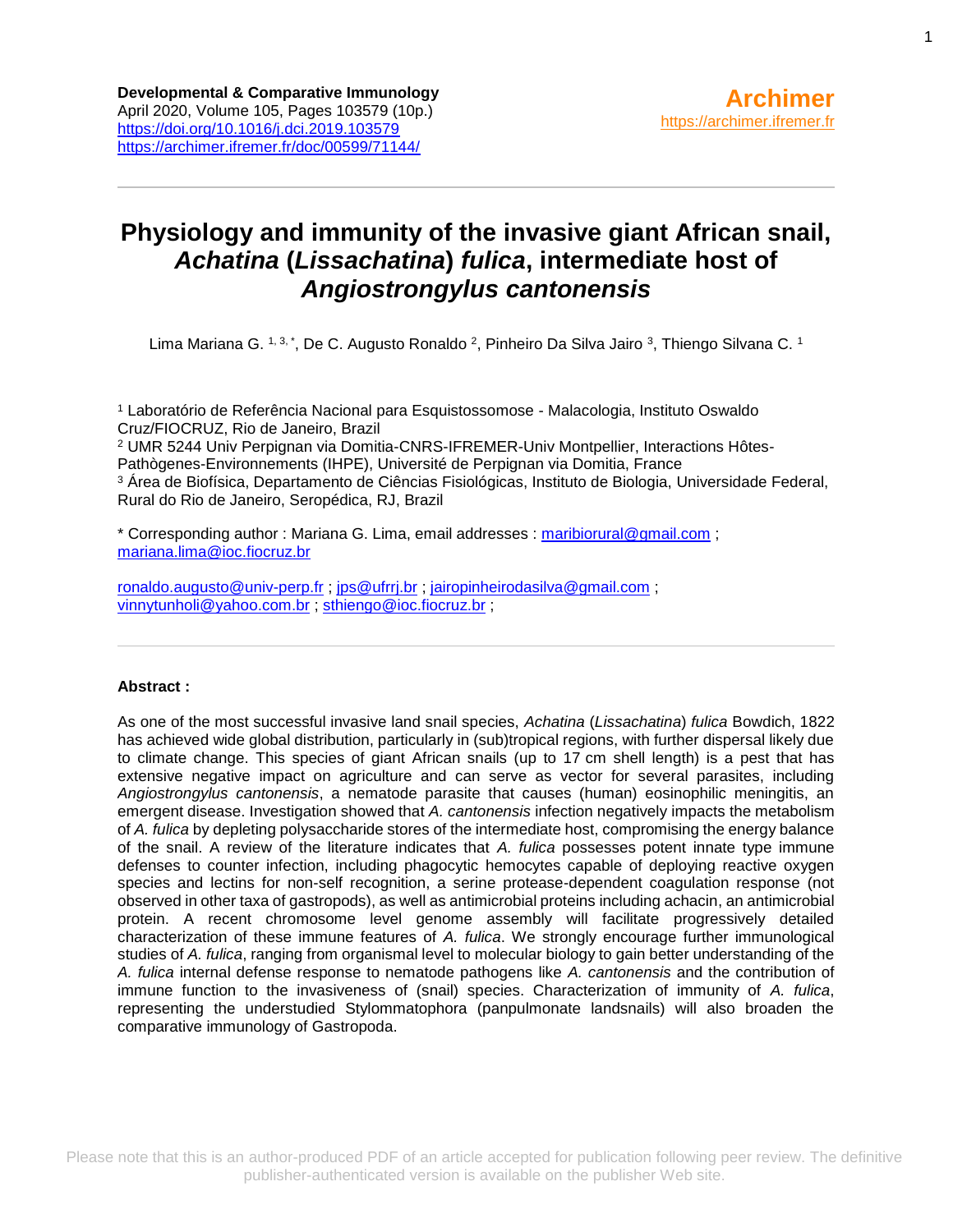# **Physiology and immunity of the invasive giant African snail,**  *Achatina* **(***Lissachatina***)** *fulica***, intermediate host of**  *Angiostrongylus cantonensis*

Lima Mariana G. 1, 3, \*, De C. Augusto Ronaldo <sup>2</sup>, Pinheiro Da Silva Jairo <sup>3</sup>, Thiengo Silvana C. 1

<sup>1</sup> Laboratório de Referência Nacional para Esquistossomose - Malacologia, Instituto Oswaldo Cruz/FIOCRUZ, Rio de Janeiro, Brazil <sup>2</sup> UMR 5244 Univ Perpignan via Domitia-CNRS-IFREMER-Univ Montpellier, Interactions Hôtes-Pathògenes-Environnements (IHPE), Université de Perpignan via Domitia, France <sup>3</sup> Área de Biofísica, Departamento de Ciências Fisiológicas, Instituto de Biologia, Universidade Federal, Rural do Rio de Janeiro, Seropédica, RJ, Brazil

\* Corresponding author : Mariana G. Lima, email addresses : [maribiorural@gmail.com](mailto:maribiorural@gmail.com) ; [mariana.lima@ioc.fiocruz.br](mailto:mariana.lima@ioc.fiocruz.br)

[ronaldo.augusto@univ-perp.fr](mailto:ronaldo.augusto@univ-perp.fr) ; [jps@ufrrj.br](mailto:jps@ufrrj.br) ; [jairopinheirodasilva@gmail.com](mailto:jairopinheirodasilva@gmail.com) ; [vinnytunholi@yahoo.com.br](mailto:vinnytunholi@yahoo.com.br) ; [sthiengo@ioc.fiocruz.br](mailto:sthiengo@ioc.fiocruz.br) ;

### **Abstract :**

As one of the most successful invasive land snail species, *Achatina* (*Lissachatina*) *fulica* Bowdich, 1822 has achieved wide global distribution, particularly in (sub)tropical regions, with further dispersal likely due to climate change. This species of giant African snails (up to 17 cm shell length) is a pest that has extensive negative impact on agriculture and can serve as vector for several parasites, including *Angiostrongylus cantonensis*, a nematode parasite that causes (human) eosinophilic meningitis, an emergent disease. Investigation showed that *A. cantonensis* infection negatively impacts the metabolism of *A. fulica* by depleting polysaccharide stores of the intermediate host, compromising the energy balance of the snail. A review of the literature indicates that *A. fulica* possesses potent innate type immune defenses to counter infection, including phagocytic hemocytes capable of deploying reactive oxygen species and lectins for non-self recognition, a serine protease-dependent coagulation response (not observed in other taxa of gastropods), as well as antimicrobial proteins including achacin, an antimicrobial protein. A recent chromosome level genome assembly will facilitate progressively detailed characterization of these immune features of *A. fulica*. We strongly encourage further immunological studies of *A. fulica*, ranging from organismal level to molecular biology to gain better understanding of the *A. fulica* internal defense response to nematode pathogens like *A. cantonensis* and the contribution of immune function to the invasiveness of (snail) species. Characterization of immunity of *A. fulica*, representing the understudied Stylommatophora (panpulmonate landsnails) will also broaden the comparative immunology of Gastropoda.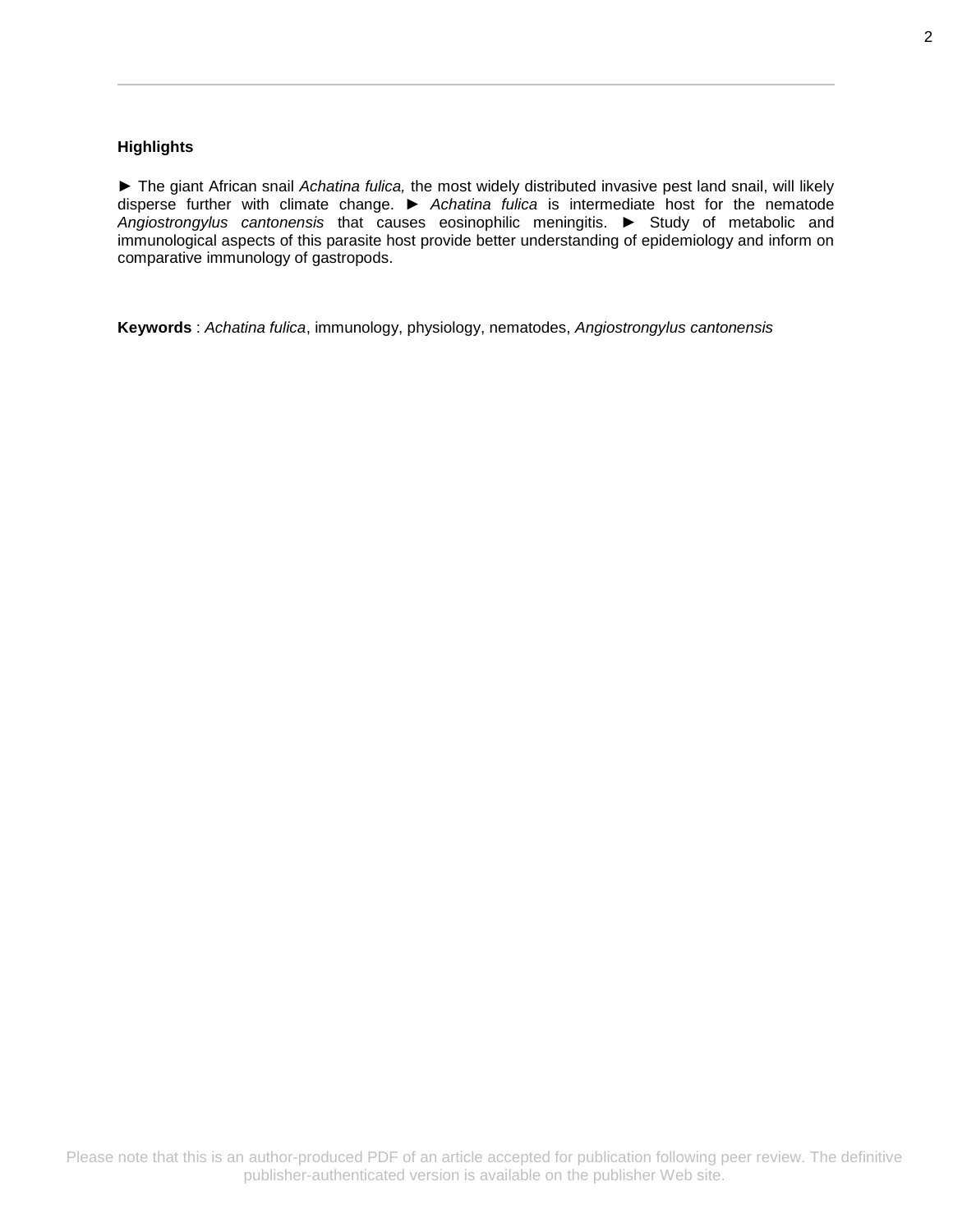### **Highlights**

► The giant African snail *Achatina fulica,* the most widely distributed invasive pest land snail, will likely disperse further with climate change. ► *Achatina fulica* is intermediate host for the nematode *Angiostrongylus cantonensis* that causes eosinophilic meningitis. ► Study of metabolic and immunological aspects of this parasite host provide better understanding of epidemiology and inform on comparative immunology of gastropods.

**Keywords** : *Achatina fulica*, immunology, physiology, nematodes, *Angiostrongylus cantonensis*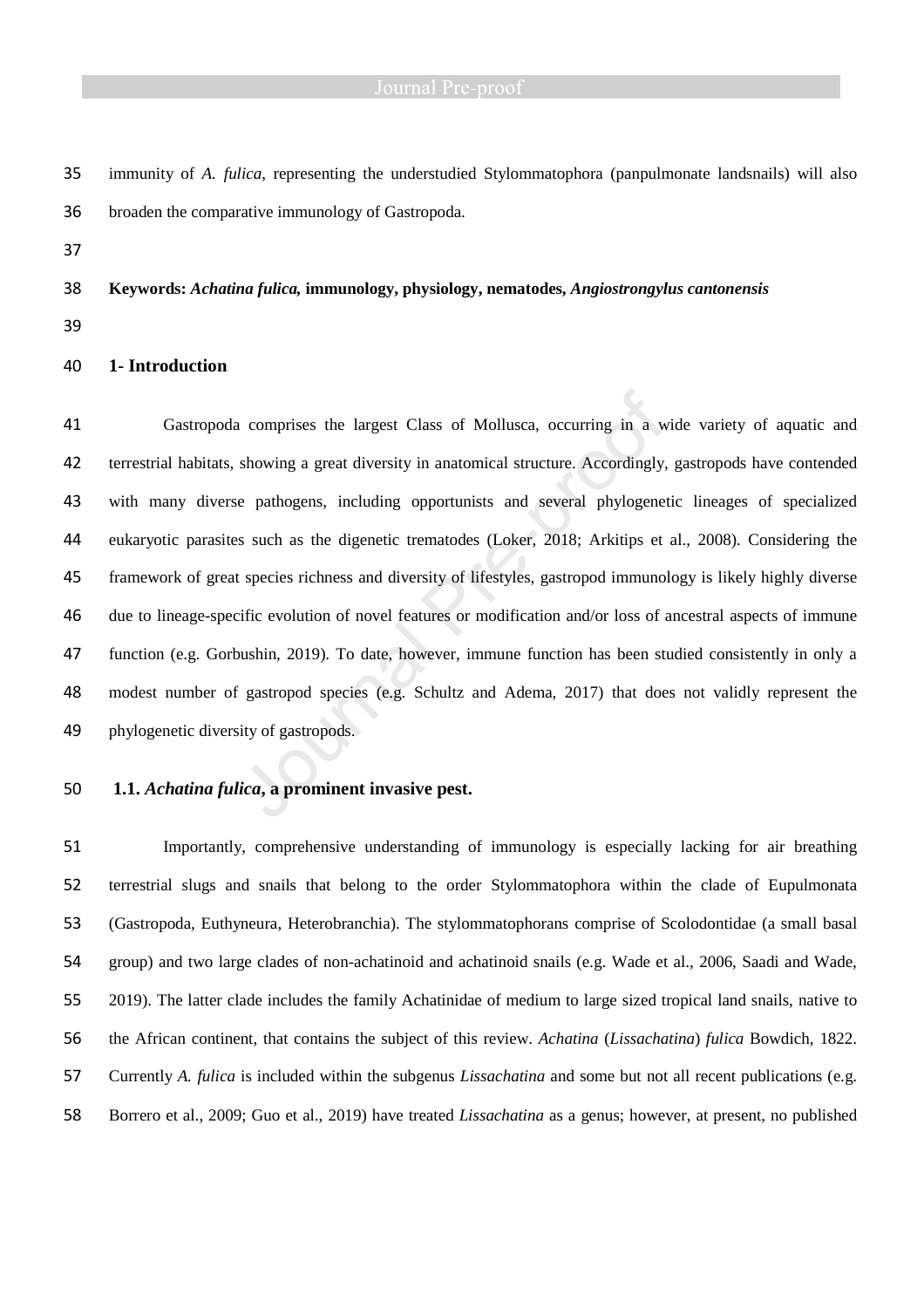### **1- Introduction**

Gastropoda comprises the largest Class of Mollusca, occurring in a wide variety of aquatic and terrestrial habitats, showing a great diversity in anatomical structure. Accordingly, gastropods have contended with many diverse pathogens, including opportunists and several phylogenetic lineages of specialized eukaryotic parasites such as the digenetic trematodes (Loker, 2018; Arkitips et al., 2008). Considering the framework of great species richness and diversity of lifestyles, gastropod immunology is likely highly diverse due to lineage-specific evolution of novel features or modification and/or loss of ancestral aspects of immune function (e.g. Gorbushin, 2019). To date, however, immune function has been studied consistently in only a modest number of gastropod species (e.g. Schultz and Adema, 2017) that does not validly represent the phylogenetic diversity of gastropods.

### **1.1.** *Achatina fulica***, a prominent invasive pest.**

Importantly, comprehensive understanding of immunology is especially lacking for air breathing terrestrial slugs and snails that belong to the order Stylommatophora within the clade of Eupulmonata (Gastropoda, Euthyneura, Heterobranchia). The stylommatophorans comprise of Scolodontidae (a small basal group) and two large clades of non-achatinoid and achatinoid snails (e.g. Wade et al., 2006, Saadi and Wade, 2019). The latter clade includes the family Achatinidae of medium to large sized tropical land snails, native to the African continent, that contains the subject of this review. *Achatina* (*Lissachatina*) *fulica* Bowdich, 1822. Currently *A. fulica* is included within the subgenus *Lissachatina* and some but not all recent publications (e.g. Borrero et al., 2009; Guo et al., 2019) have treated *Lissachatina* as a genus; however, at present, no published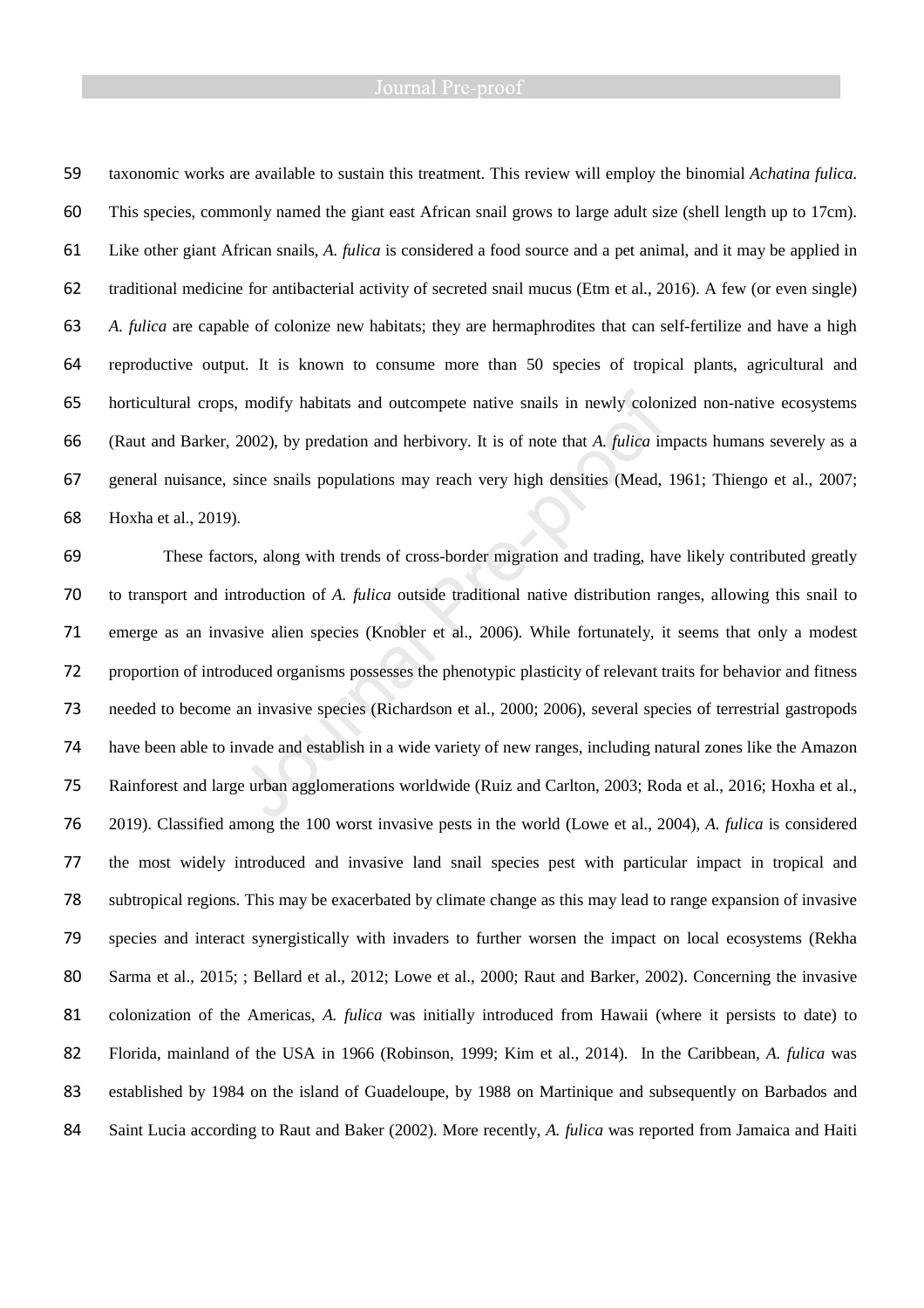taxonomic works are available to sustain this treatment. This review will employ the binomial *Achatina fulica*. This species, commonly named the giant east African snail grows to large adult size (shell length up to 17cm). Like other giant African snails, *A. fulica* is considered a food source and a pet animal, and it may be applied in traditional medicine for antibacterial activity of secreted snail mucus (Etm et al., 2016). A few (or even single) *A. fulica* are capable of colonize new habitats; they are hermaphrodites that can self-fertilize and have a high reproductive output. It is known to consume more than 50 species of tropical plants, agricultural and horticultural crops, modify habitats and outcompete native snails in newly colonized non-native ecosystems (Raut and Barker, 2002), by predation and herbivory. It is of note that *A. fulica* impacts humans severely as a general nuisance, since snails populations may reach very high densities (Mead, 1961; Thiengo et al., 2007; Hoxha et al., 2019).

These factors, along with trends of cross-border migration and trading, have likely contributed greatly to transport and introduction of *A. fulica* outside traditional native distribution ranges, allowing this snail to emerge as an invasive alien species (Knobler et al., 2006). While fortunately, it seems that only a modest proportion of introduced organisms possesses the phenotypic plasticity of relevant traits for behavior and fitness needed to become an invasive species (Richardson et al., 2000; 2006), several species of terrestrial gastropods have been able to invade and establish in a wide variety of new ranges, including natural zones like the Amazon Rainforest and large urban agglomerations worldwide (Ruiz and Carlton, 2003; Roda et al., 2016; Hoxha et al., 2019). Classified among the 100 worst invasive pests in the world (Lowe et al., 2004), *A. fulica* is considered the most widely introduced and invasive land snail species pest with particular impact in tropical and subtropical regions. This may be exacerbated by climate change as this may lead to range expansion of invasive species and interact synergistically with invaders to further worsen the impact on local ecosystems (Rekha Sarma et al., 2015; ; Bellard et al., 2012; Lowe et al., 2000; Raut and Barker, 2002). Concerning the invasive colonization of the Americas, *A. fulica* was initially introduced from Hawaii (where it persists to date) to Florida, mainland of the USA in 1966 (Robinson, 1999; Kim et al., 2014). In the Caribbean, *A. fulica* was established by 1984 on the island of Guadeloupe, by 1988 on Martinique and subsequently on Barbados and Saint Lucia according to Raut and Baker (2002). More recently, *A. fulica* was reported from Jamaica and Haiti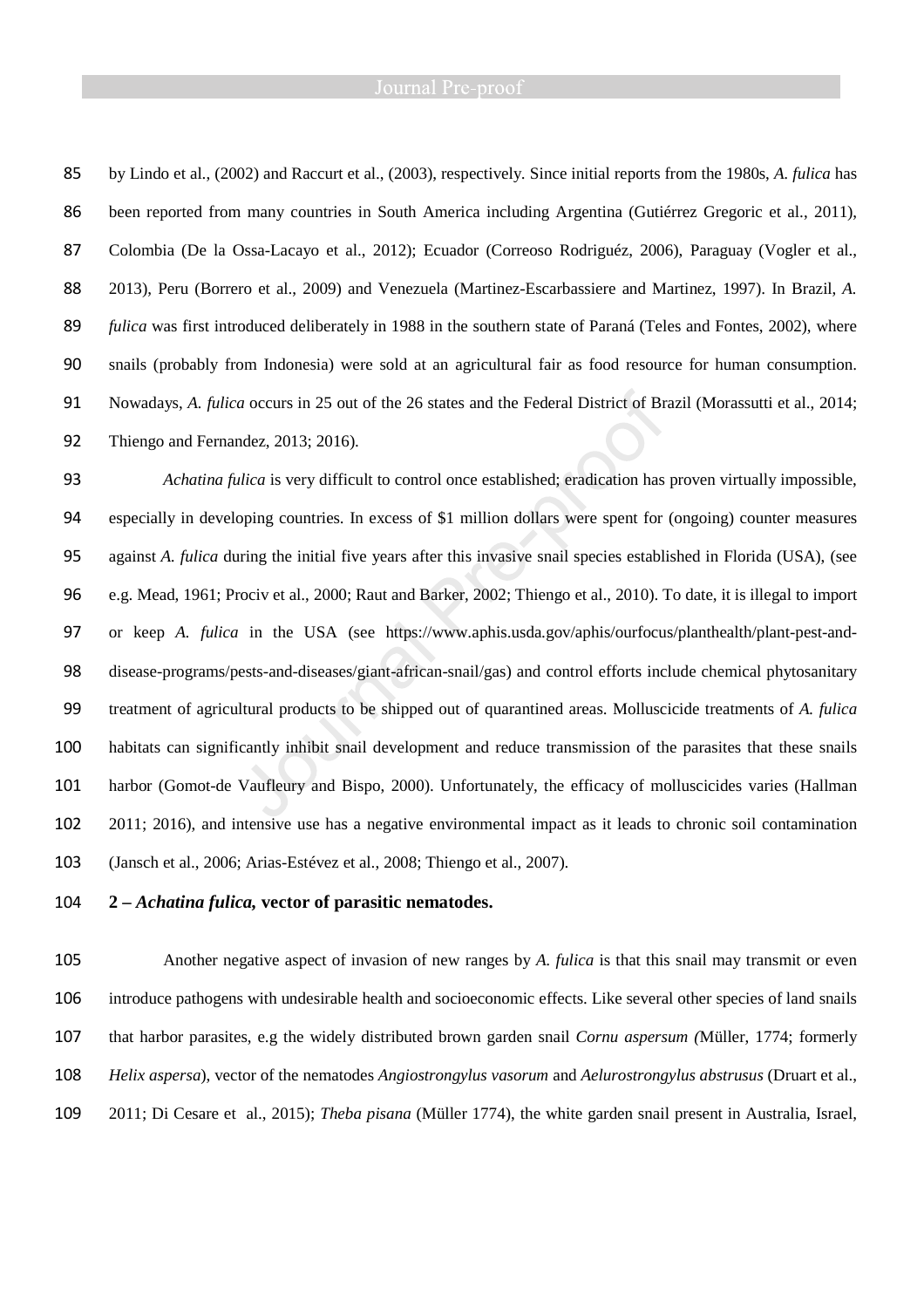by Lindo et al., (2002) and Raccurt et al., (2003), respectively. Since initial reports from the 1980s, *A. fulica* has 86 been reported from many countries in South America including Argentina (Gutiérrez Gregoric et al., 2011), Colombia (De la Ossa-Lacayo et al., 2012); Ecuador (Correoso Rodriguéz, 2006), Paraguay (Vogler et al., 2013), Peru (Borrero et al., 2009) and Venezuela (Martinez-Escarbassiere and Martinez, 1997). In Brazil, *A. fulica* was first introduced deliberately in 1988 in the southern state of Paraná (Teles and Fontes, 2002), where snails (probably from Indonesia) were sold at an agricultural fair as food resource for human consumption. Nowadays, *A. fulica* occurs in 25 out of the 26 states and the Federal District of Brazil (Morassutti et al., 2014; Thiengo and Fernandez, 2013; 2016).

*Achatina fulica* is very difficult to control once established; eradication has proven virtually impossible, especially in developing countries. In excess of \$1 million dollars were spent for (ongoing) counter measures against *A. fulica* during the initial five years after this invasive snail species established in Florida (USA), (see e.g. Mead, 1961; Prociv et al., 2000; Raut and Barker, 2002; Thiengo et al., 2010). To date, it is illegal to import or keep *A. fulica* in the USA (see https://www.aphis.usda.gov/aphis/ourfocus/planthealth/plant-pest-and-disease-programs/pests-and-diseases/giant-african-snail/gas) and control efforts include chemical phytosanitary treatment of agricultural products to be shipped out of quarantined areas. Molluscicide treatments of *A. fulica*  habitats can significantly inhibit snail development and reduce transmission of the parasites that these snails harbor (Gomot-de Vaufleury and Bispo, 2000). Unfortunately, the efficacy of molluscicides varies (Hallman 2011; 2016), and intensive use has a negative environmental impact as it leads to chronic soil contamination (Jansch et al., 2006; Arias-Estévez et al., 2008; Thiengo et al., 2007).

**2 –** *Achatina fulica,* **vector of parasitic nematodes.** 

Another negative aspect of invasion of new ranges by *A. fulica* is that this snail may transmit or even introduce pathogens with undesirable health and socioeconomic effects. Like several other species of land snails that harbor parasites, e.g the widely distributed brown garden snail *Cornu aspersum (*Müller, 1774; formerly *Helix aspersa*), vector of the nematodes *Angiostrongylus vasorum* and *Aelurostrongylus abstrusus* (Druart et al., 2011; Di Cesare et al., 2015); *Theba pisana* (Müller 1774), the white garden snail present in Australia, Israel,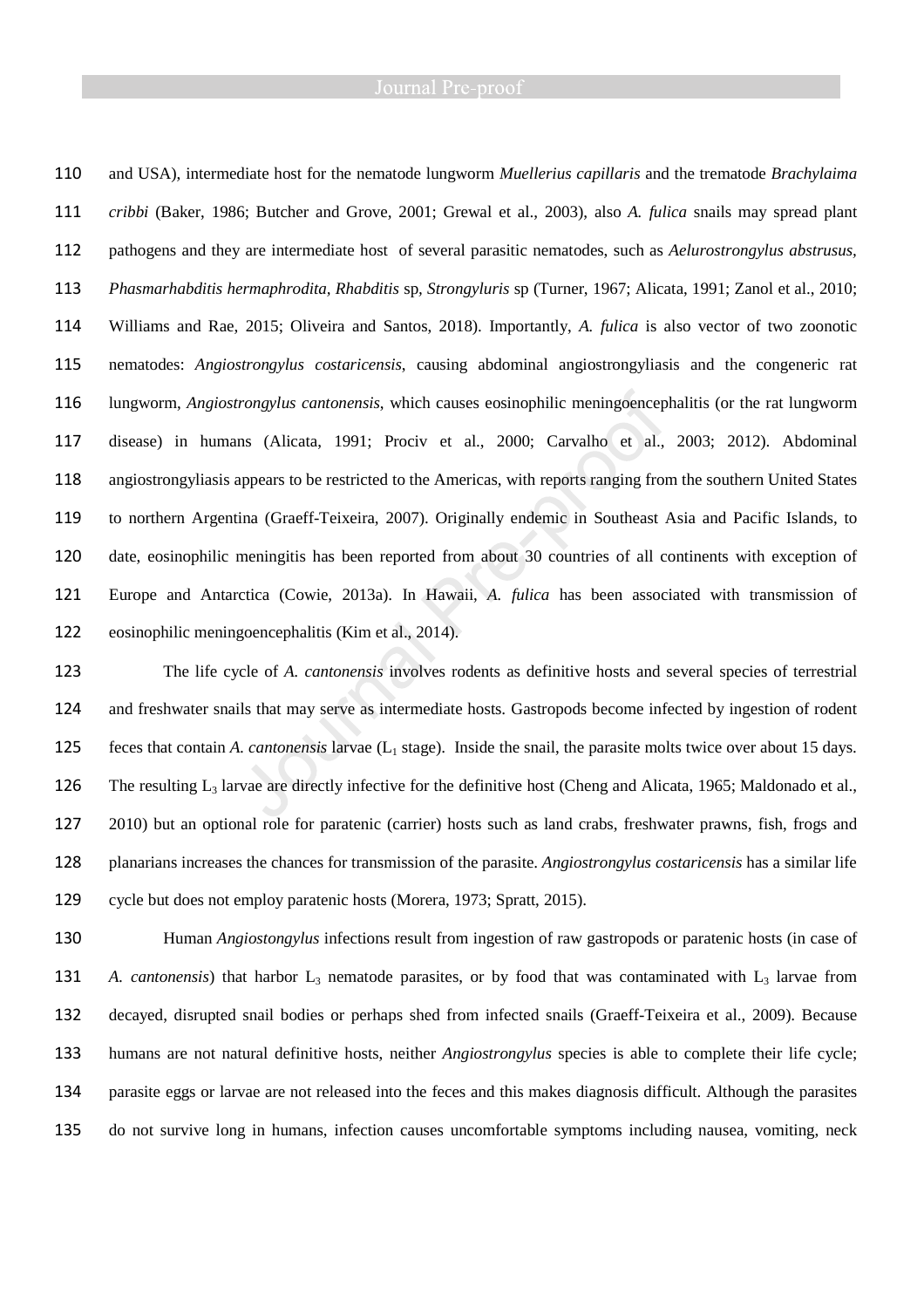and USA), intermediate host for the nematode lungworm *Muellerius capillaris* and the trematode *Brachylaima cribbi* (Baker, 1986; Butcher and Grove, 2001; Grewal et al., 2003), also *A. fulica* snails may spread plant pathogens and they are intermediate host of several parasitic nematodes, such as *Aelurostrongylus abstrusus, Phasmarhabditis hermaphrodita, Rhabditis* sp*, Strongyluris* sp (Turner, 1967; Alicata, 1991; Zanol et al., 2010; Williams and Rae, 2015; Oliveira and Santos, 2018). Importantly, *A. fulica* is also vector of two zoonotic nematodes: *Angiostrongylus costaricensis*, causing abdominal angiostrongyliasis and the congeneric rat lungworm, *Angiostrongylus cantonensis*, which causes eosinophilic meningoencephalitis (or the rat lungworm disease) in humans (Alicata, 1991; Prociv et al., 2000; Carvalho et al., 2003; 2012). Abdominal angiostrongyliasis appears to be restricted to the Americas, with reports ranging from the southern United States to northern Argentina (Graeff-Teixeira, 2007). Originally endemic in Southeast Asia and Pacific Islands, to date, eosinophilic meningitis has been reported from about 30 countries of all continents with exception of Europe and Antarctica (Cowie, 2013a). In Hawaii, *A. fulica* has been associated with transmission of eosinophilic meningoencephalitis (Kim et al., 2014).

The life cycle of *A. cantonensis* involves rodents as definitive hosts and several species of terrestrial and freshwater snails that may serve as intermediate hosts. Gastropods become infected by ingestion of rodent 125 feces that contain *A. cantonensis* larvae (L<sub>1</sub> stage). Inside the snail, the parasite molts twice over about 15 days. 126 The resulting  $L_3$  larvae are directly infective for the definitive host (Cheng and Alicata, 1965; Maldonado et al., 2010) but an optional role for paratenic (carrier) hosts such as land crabs, freshwater prawns, fish, frogs and planarians increases the chances for transmission of the parasite. *Angiostrongylus costaricensis* has a similar life cycle but does not employ paratenic hosts (Morera, 1973; Spratt, 2015).

Human *Angiostongylus* infections result from ingestion of raw gastropods or paratenic hosts (in case of *A. cantonensis*) that harbor  $L_3$  nematode parasites, or by food that was contaminated with  $L_3$  larvae from decayed, disrupted snail bodies or perhaps shed from infected snails (Graeff-Teixeira et al., 2009). Because humans are not natural definitive hosts, neither *Angiostrongylus* species is able to complete their life cycle; parasite eggs or larvae are not released into the feces and this makes diagnosis difficult. Although the parasites do not survive long in humans, infection causes uncomfortable symptoms including nausea, vomiting, neck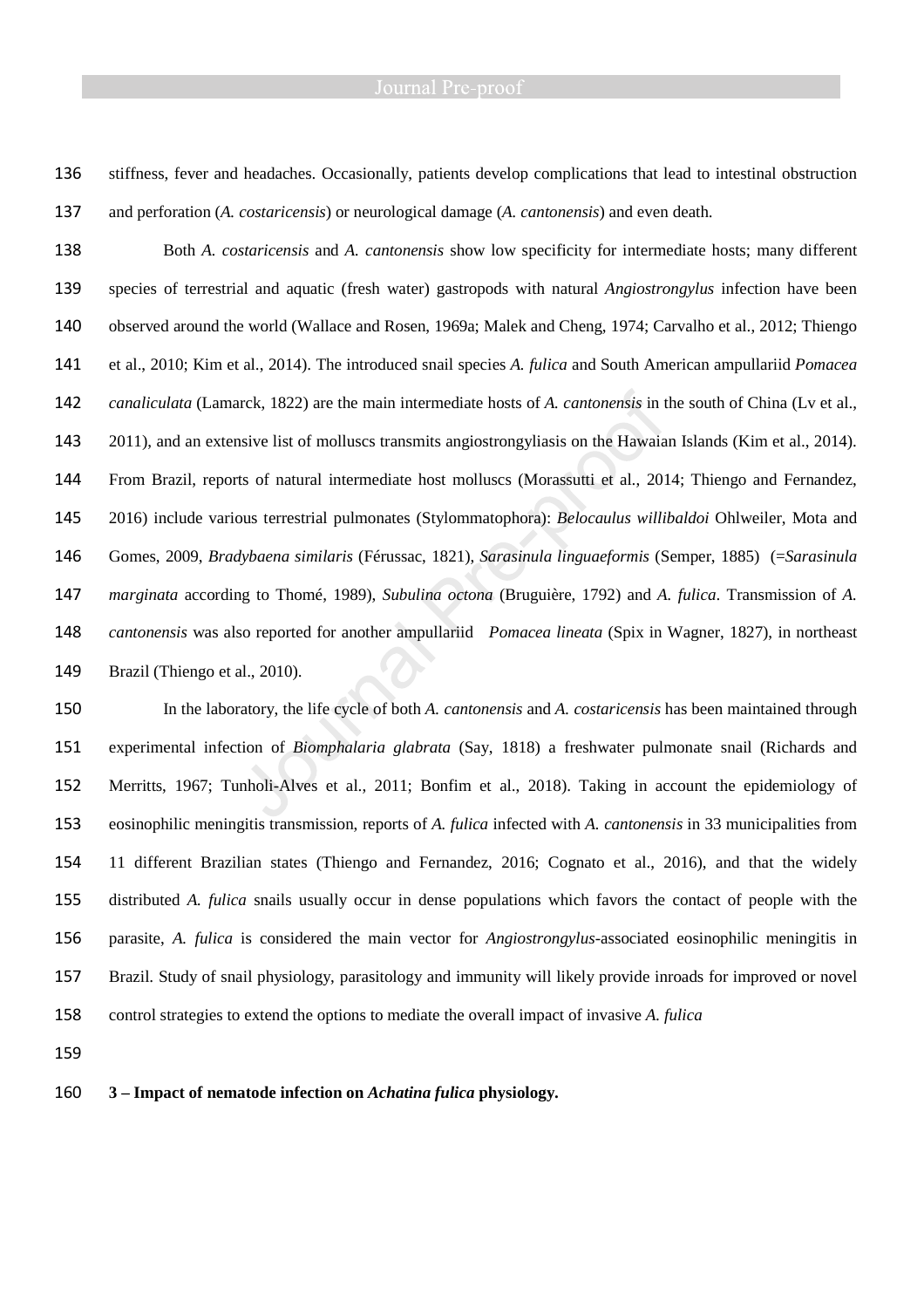stiffness, fever and headaches. Occasionally, patients develop complications that lead to intestinal obstruction and perforation (*A. costaricensis*) or neurological damage (*A. cantonensis*) and even death.

Both *A. costaricensis* and *A. cantonensis* show low specificity for intermediate hosts; many different species of terrestrial and aquatic (fresh water) gastropods with natural *Angiostrongylus* infection have been observed around the world (Wallace and Rosen, 1969a; Malek and Cheng, 1974; Carvalho et al., 2012; Thiengo et al., 2010; Kim et al., 2014). The introduced snail species *A. fulica* and South American ampullariid *Pomacea canaliculata* (Lamarck, 1822) are the main intermediate hosts of *A. cantonensis* in the south of China (Lv et al., 2011), and an extensive list of molluscs transmits angiostrongyliasis on the Hawaian Islands (Kim et al., 2014). From Brazil, reports of natural intermediate host molluscs (Morassutti et al., 2014; Thiengo and Fernandez, 2016) include various terrestrial pulmonates (Stylommatophora): *Belocaulus willibaldoi* Ohlweiler, Mota and Gomes, 2009, *Bradybaena similaris* (Férussac, 1821), *Sarasinula linguaeformis* (Semper, 1885) (=*Sarasinula marginata* according to Thomé, 1989), *Subulina octona* (Bruguière, 1792) and *A. fulica*. Transmission of *A. cantonensis* was also reported for another ampullariid *Pomacea lineata* (Spix in Wagner, 1827), in northeast Brazil (Thiengo et al., 2010).

In the laboratory, the life cycle of both *A. cantonensis* and *A. costaricensis* has been maintained through experimental infection of *Biomphalaria glabrata* (Say, 1818) a freshwater pulmonate snail (Richards and Merritts, 1967; Tunholi-Alves et al., 2011; Bonfim et al., 2018). Taking in account the epidemiology of eosinophilic meningitis transmission, reports of *A. fulica* infected with *A. cantonensis* in 33 municipalities from 11 different Brazilian states (Thiengo and Fernandez, 2016; Cognato et al., 2016), and that the widely distributed *A. fulica* snails usually occur in dense populations which favors the contact of people with the parasite, *A. fulica* is considered the main vector for *Angiostrongylus*-associated eosinophilic meningitis in Brazil. Study of snail physiology, parasitology and immunity will likely provide inroads for improved or novel control strategies to extend the options to mediate the overall impact of invasive *A. fulica*

**3 – Impact of nematode infection on** *Achatina fulica* **physiology.**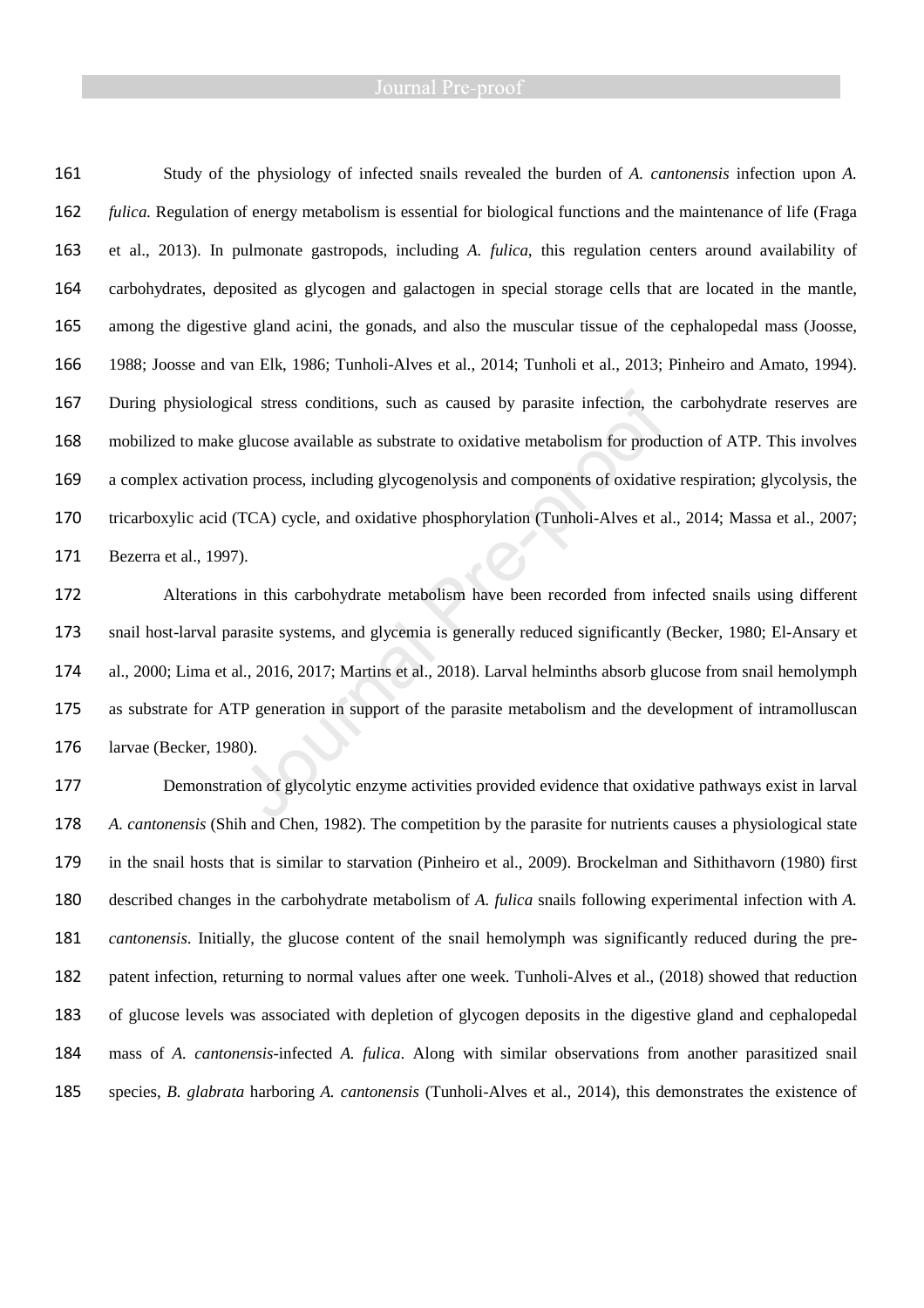Study of the physiology of infected snails revealed the burden of *A. cantonensis* infection upon *A. fulica*. Regulation of energy metabolism is essential for biological functions and the maintenance of life (Fraga et al., 2013). In pulmonate gastropods, including *A. fulica*, this regulation centers around availability of carbohydrates, deposited as glycogen and galactogen in special storage cells that are located in the mantle, among the digestive gland acini, the gonads, and also the muscular tissue of the cephalopedal mass (Joosse, 1988; Joosse and van Elk, 1986; Tunholi-Alves et al., 2014; Tunholi et al., 2013; Pinheiro and Amato, 1994). During physiological stress conditions, such as caused by parasite infection, the carbohydrate reserves are mobilized to make glucose available as substrate to oxidative metabolism for production of ATP. This involves a complex activation process, including glycogenolysis and components of oxidative respiration; glycolysis, the tricarboxylic acid (TCA) cycle, and oxidative phosphorylation (Tunholi-Alves et al., 2014; Massa et al., 2007; Bezerra et al., 1997).

Alterations in this carbohydrate metabolism have been recorded from infected snails using different snail host-larval parasite systems, and glycemia is generally reduced significantly (Becker, 1980; El-Ansary et al., 2000; Lima et al., 2016, 2017; Martins et al., 2018). Larval helminths absorb glucose from snail hemolymph as substrate for ATP generation in support of the parasite metabolism and the development of intramolluscan larvae (Becker, 1980).

Demonstration of glycolytic enzyme activities provided evidence that oxidative pathways exist in larval *A. cantonensis* (Shih and Chen, 1982). The competition by the parasite for nutrients causes a physiological state in the snail hosts that is similar to starvation (Pinheiro et al., 2009). Brockelman and Sithithavorn (1980) first described changes in the carbohydrate metabolism of *A. fulica* snails following experimental infection with *A. cantonensis*. Initially, the glucose content of the snail hemolymph was significantly reduced during the pre-patent infection, returning to normal values after one week. Tunholi-Alves et al., (2018) showed that reduction of glucose levels was associated with depletion of glycogen deposits in the digestive gland and cephalopedal mass of *A. cantonensis*-infected *A. fulica*. Along with similar observations from another parasitized snail species, *B. glabrata* harboring *A. cantonensis* (Tunholi-Alves et al., 2014)*,* this demonstrates the existence of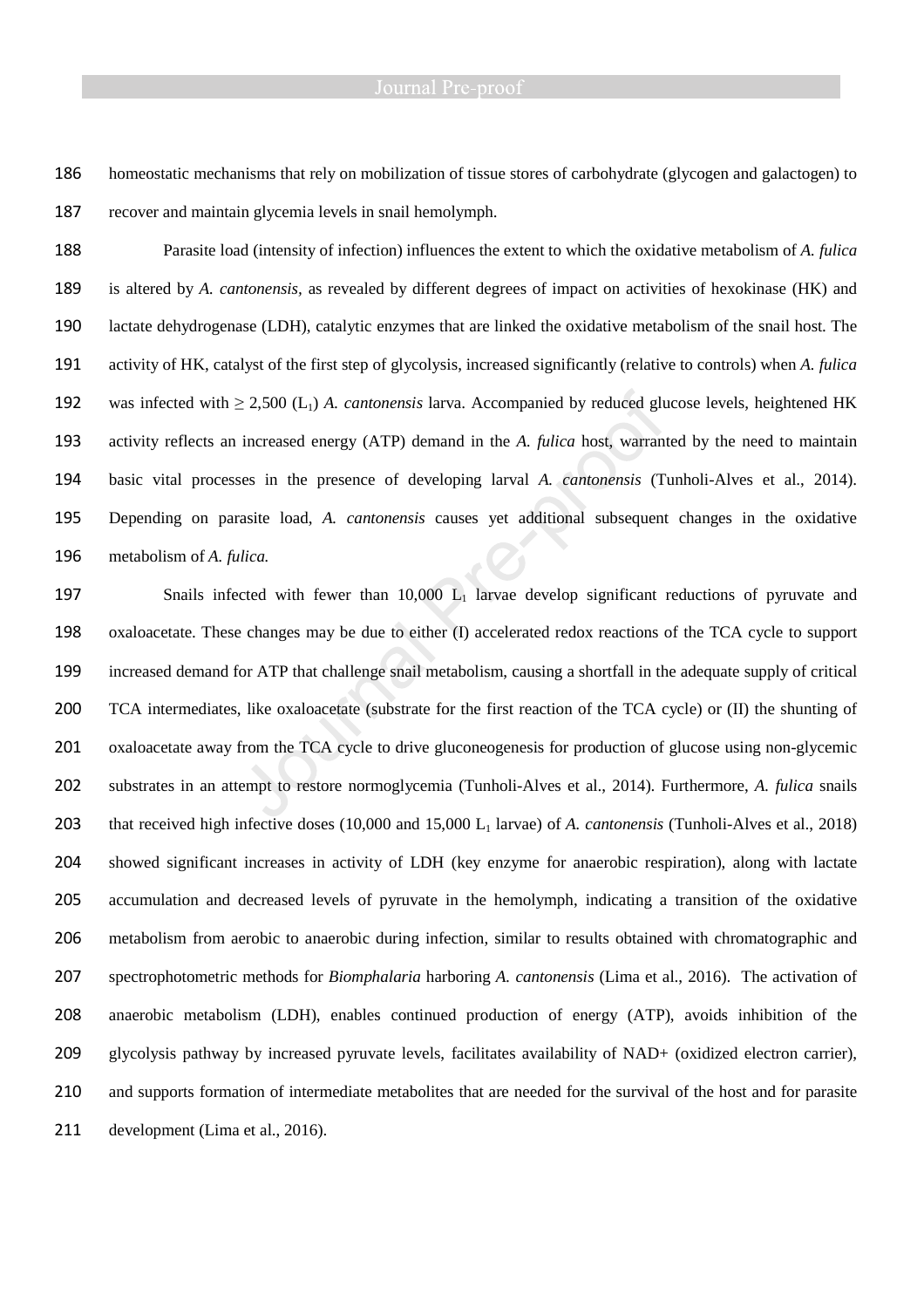homeostatic mechanisms that rely on mobilization of tissue stores of carbohydrate (glycogen and galactogen) to recover and maintain glycemia levels in snail hemolymph.

Parasite load (intensity of infection) influences the extent to which the oxidative metabolism of *A. fulica* is altered by *A. cantonensis,* as revealed by different degrees of impact on activities of hexokinase (HK) and lactate dehydrogenase (LDH), catalytic enzymes that are linked the oxidative metabolism of the snail host. The activity of HK, catalyst of the first step of glycolysis, increased significantly (relative to controls) when *A. fulica* was infected with ≥ 2,500 (L1) *A. cantonensis* larva. Accompanied by reduced glucose levels, heightened HK activity reflects an increased energy (ATP) demand in the *A. fulica* host, warranted by the need to maintain basic vital processes in the presence of developing larval *A. cantonensis* (Tunholi-Alves et al., 2014). Depending on parasite load, *A. cantonensis* causes yet additional subsequent changes in the oxidative metabolism of *A. fulica.*

197 Snails infected with fewer than 10,000 L<sub>1</sub> larvae develop significant reductions of pyruvate and oxaloacetate. These changes may be due to either (I) accelerated redox reactions of the TCA cycle to support increased demand for ATP that challenge snail metabolism, causing a shortfall in the adequate supply of critical TCA intermediates, like oxaloacetate (substrate for the first reaction of the TCA cycle) or (II) the shunting of oxaloacetate away from the TCA cycle to drive gluconeogenesis for production of glucose using non-glycemic substrates in an attempt to restore normoglycemia (Tunholi-Alves et al., 2014). Furthermore, *A. fulica* snails 203 that received high infective doses (10,000 and 15,000 L<sub>1</sub> larvae) of *A. cantonensis* (Tunholi-Alves et al., 2018) showed significant increases in activity of LDH (key enzyme for anaerobic respiration), along with lactate accumulation and decreased levels of pyruvate in the hemolymph, indicating a transition of the oxidative metabolism from aerobic to anaerobic during infection, similar to results obtained with chromatographic and spectrophotometric methods for *Biomphalaria* harboring *A. cantonensis* (Lima et al., 2016). The activation of anaerobic metabolism (LDH), enables continued production of energy (ATP), avoids inhibition of the glycolysis pathway by increased pyruvate levels, facilitates availability of NAD+ (oxidized electron carrier), and supports formation of intermediate metabolites that are needed for the survival of the host and for parasite 211 development (Lima et al., 2016).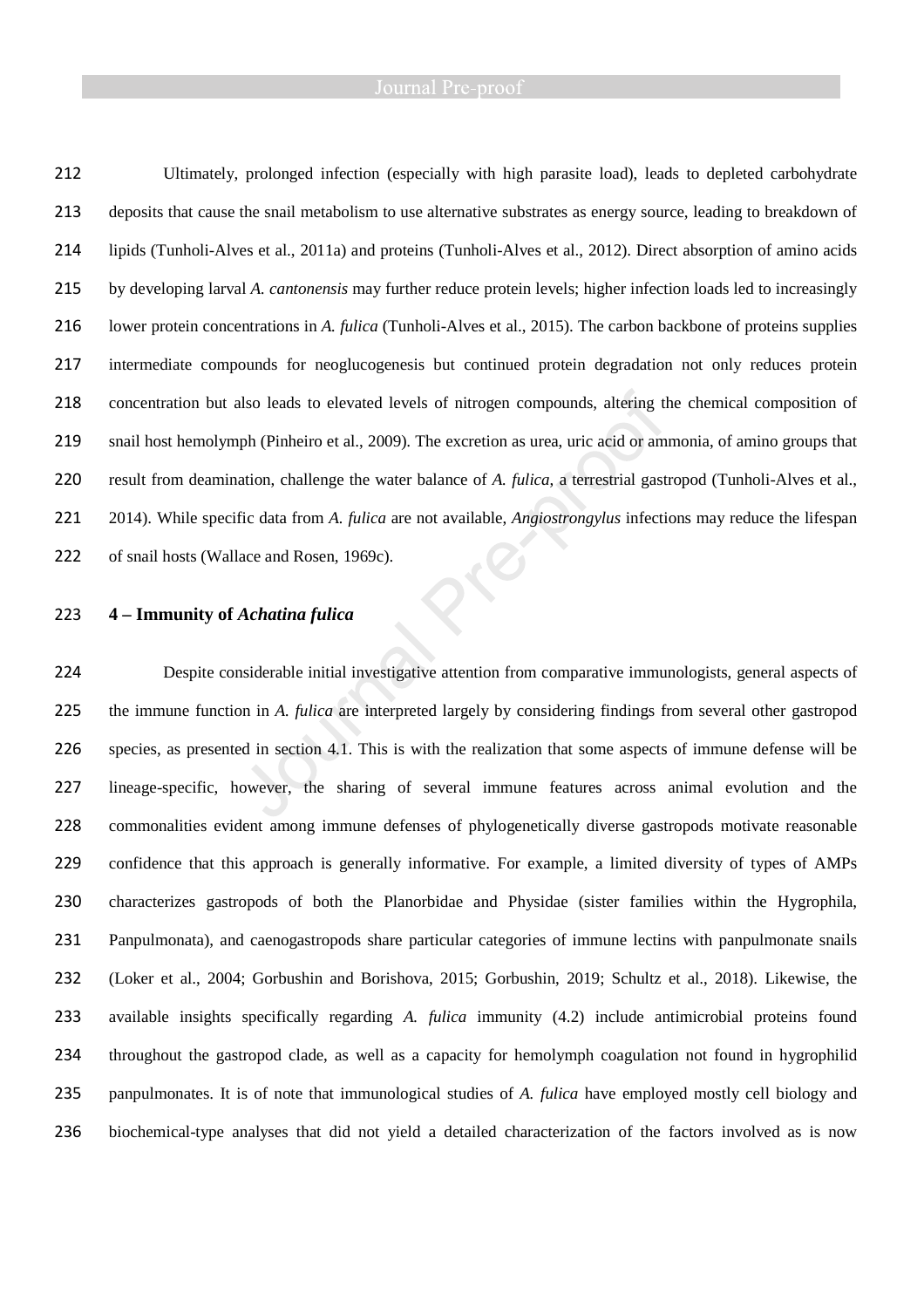Ultimately, prolonged infection (especially with high parasite load), leads to depleted carbohydrate deposits that cause the snail metabolism to use alternative substrates as energy source, leading to breakdown of lipids (Tunholi-Alves et al., 2011a) and proteins (Tunholi-Alves et al., 2012). Direct absorption of amino acids by developing larval *A. cantonensis* may further reduce protein levels; higher infection loads led to increasingly lower protein concentrations in *A. fulica* (Tunholi-Alves et al., 2015). The carbon backbone of proteins supplies intermediate compounds for neoglucogenesis but continued protein degradation not only reduces protein concentration but also leads to elevated levels of nitrogen compounds, altering the chemical composition of snail host hemolymph (Pinheiro et al., 2009). The excretion as urea, uric acid or ammonia, of amino groups that result from deamination, challenge the water balance of *A. fulica*, a terrestrial gastropod (Tunholi-Alves et al., 2014). While specific data from *A. fulica* are not available, *Angiostrongylus* infections may reduce the lifespan 222 of snail hosts (Wallace and Rosen, 1969c).

### **4 – Immunity of** *Achatina fulica*

Despite considerable initial investigative attention from comparative immunologists, general aspects of the immune function in *A. fulica* are interpreted largely by considering findings from several other gastropod species, as presented in section 4.1. This is with the realization that some aspects of immune defense will be lineage-specific, however, the sharing of several immune features across animal evolution and the commonalities evident among immune defenses of phylogenetically diverse gastropods motivate reasonable confidence that this approach is generally informative. For example, a limited diversity of types of AMPs characterizes gastropods of both the Planorbidae and Physidae (sister families within the Hygrophila, Panpulmonata), and caenogastropods share particular categories of immune lectins with panpulmonate snails (Loker et al., 2004; Gorbushin and Borishova, 2015; Gorbushin, 2019; Schultz et al., 2018). Likewise, the available insights specifically regarding *A. fulica* immunity (4.2) include antimicrobial proteins found throughout the gastropod clade, as well as a capacity for hemolymph coagulation not found in hygrophilid panpulmonates. It is of note that immunological studies of *A. fulica* have employed mostly cell biology and biochemical-type analyses that did not yield a detailed characterization of the factors involved as is now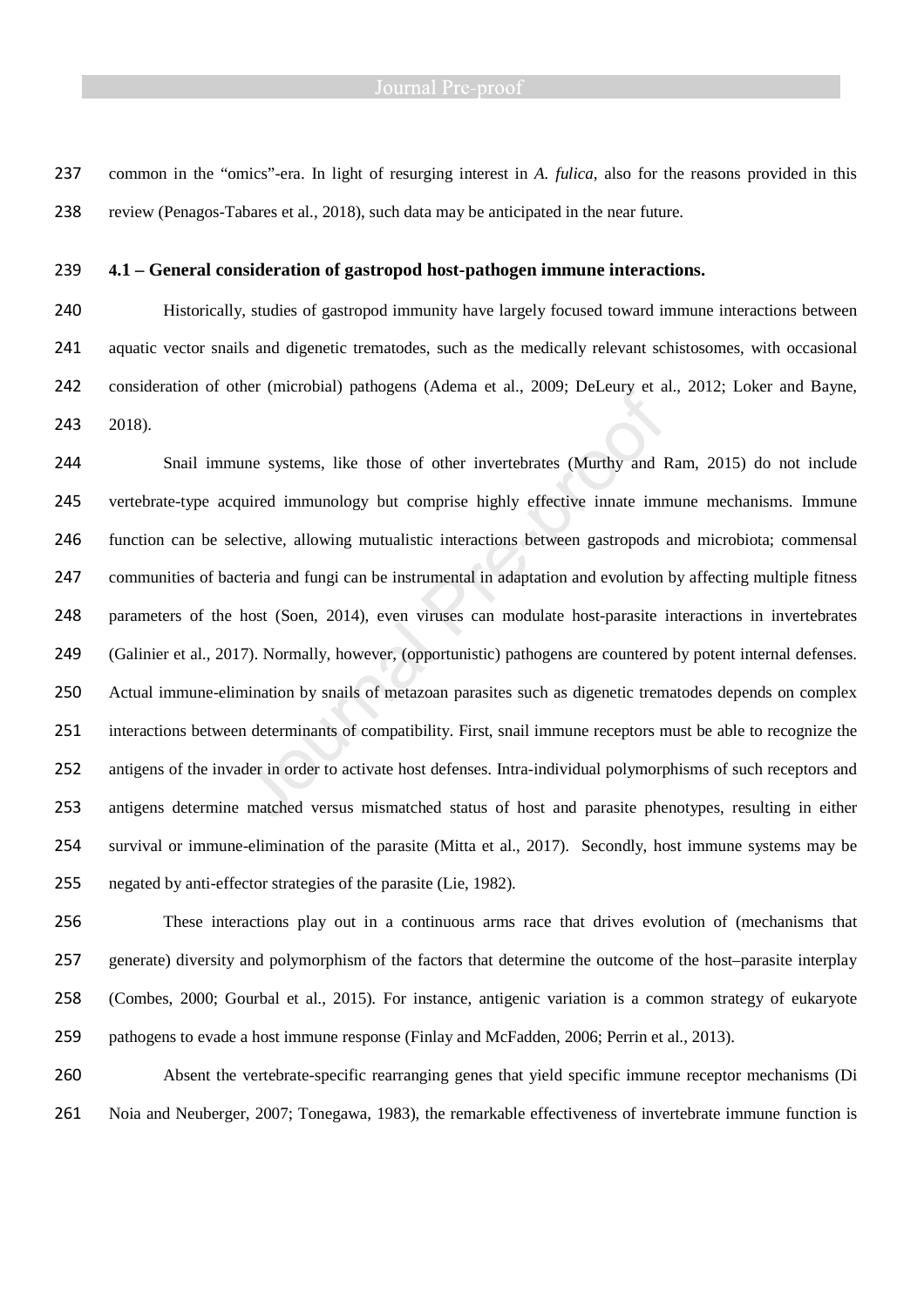common in the "omics"-era. In light of resurging interest in *A. fulica*, also for the reasons provided in this review (Penagos-Tabares et al., 2018), such data may be anticipated in the near future.

### **4.1 – General consideration of gastropod host-pathogen immune interactions.**

Historically, studies of gastropod immunity have largely focused toward immune interactions between aquatic vector snails and digenetic trematodes, such as the medically relevant schistosomes, with occasional consideration of other (microbial) pathogens (Adema et al., 2009; DeLeury et al., 2012; Loker and Bayne, 2018).

Snail immune systems, like those of other invertebrates (Murthy and Ram, 2015) do not include vertebrate-type acquired immunology but comprise highly effective innate immune mechanisms. Immune function can be selective, allowing mutualistic interactions between gastropods and microbiota; commensal communities of bacteria and fungi can be instrumental in adaptation and evolution by affecting multiple fitness parameters of the host (Soen, 2014), even viruses can modulate host-parasite interactions in invertebrates 249 (Galinier et al., 2017). Normally, however, (opportunistic) pathogens are countered by potent internal defenses. Actual immune-elimination by snails of metazoan parasites such as digenetic trematodes depends on complex interactions between determinants of compatibility. First, snail immune receptors must be able to recognize the antigens of the invader in order to activate host defenses. Intra-individual polymorphisms of such receptors and antigens determine matched versus mismatched status of host and parasite phenotypes, resulting in either survival or immune-elimination of the parasite (Mitta et al., 2017). Secondly, host immune systems may be negated by anti-effector strategies of the parasite (Lie, 1982).

These interactions play out in a continuous arms race that drives evolution of (mechanisms that generate) diversity and polymorphism of the factors that determine the outcome of the host–parasite interplay (Combes, 2000; Gourbal et al., 2015). For instance, antigenic variation is a common strategy of eukaryote pathogens to evade a host immune response (Finlay and McFadden, 2006; Perrin et al., 2013).

Absent the vertebrate-specific rearranging genes that yield specific immune receptor mechanisms (Di Noia and Neuberger, 2007; Tonegawa, 1983), the remarkable effectiveness of invertebrate immune function is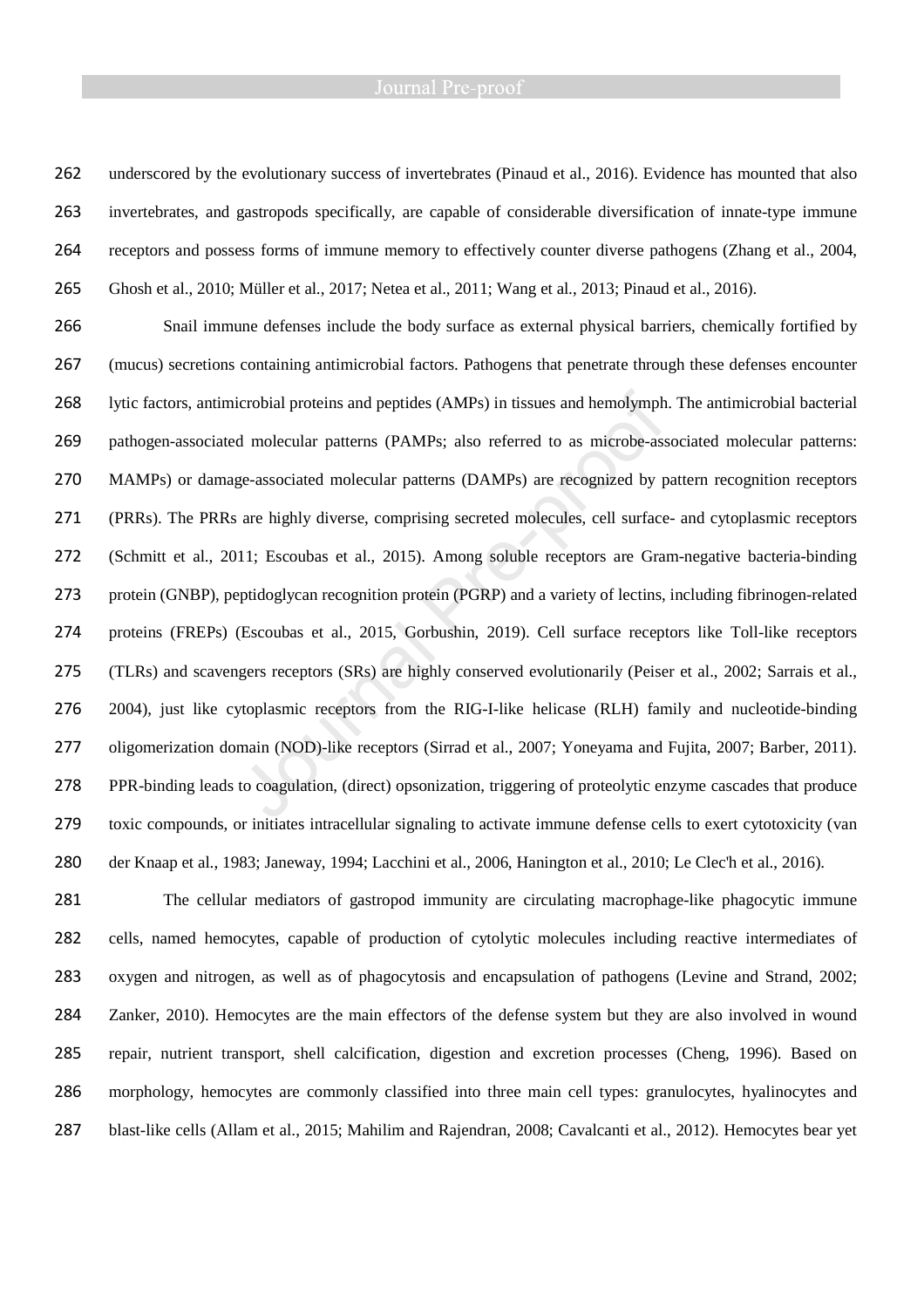underscored by the evolutionary success of invertebrates (Pinaud et al., 2016). Evidence has mounted that also invertebrates, and gastropods specifically, are capable of considerable diversification of innate-type immune receptors and possess forms of immune memory to effectively counter diverse pathogens (Zhang et al., 2004, Ghosh et al., 2010; Müller et al., 2017; Netea et al., 2011; Wang et al., 2013; Pinaud et al., 2016).

Snail immune defenses include the body surface as external physical barriers, chemically fortified by (mucus) secretions containing antimicrobial factors. Pathogens that penetrate through these defenses encounter lytic factors, antimicrobial proteins and peptides (AMPs) in tissues and hemolymph. The antimicrobial bacterial pathogen-associated molecular patterns (PAMPs; also referred to as microbe-associated molecular patterns: MAMPs) or damage-associated molecular patterns (DAMPs) are recognized by pattern recognition receptors (PRRs). The PRRs are highly diverse, comprising secreted molecules, cell surface- and cytoplasmic receptors (Schmitt et al., 2011; Escoubas et al., 2015). Among soluble receptors are Gram-negative bacteria-binding protein (GNBP), peptidoglycan recognition protein (PGRP) and a variety of lectins, including fibrinogen-related proteins (FREPs) (Escoubas et al., 2015, Gorbushin, 2019). Cell surface receptors like Toll-like receptors (TLRs) and scavengers receptors (SRs) are highly conserved evolutionarily (Peiser et al., 2002; Sarrais et al., 2004), just like cytoplasmic receptors from the RIG-I-like helicase (RLH) family and nucleotide-binding oligomerization domain (NOD)-like receptors (Sirrad et al., 2007; Yoneyama and Fujita, 2007; Barber, 2011). PPR-binding leads to coagulation, (direct) opsonization, triggering of proteolytic enzyme cascades that produce toxic compounds, or initiates intracellular signaling to activate immune defense cells to exert cytotoxicity (van der Knaap et al., 1983; Janeway, 1994; Lacchini et al., 2006, Hanington et al., 2010; Le Clec'h et al., 2016).

The cellular mediators of gastropod immunity are circulating macrophage-like phagocytic immune cells, named hemocytes, capable of production of cytolytic molecules including reactive intermediates of oxygen and nitrogen, as well as of phagocytosis and encapsulation of pathogens (Levine and Strand, 2002; Zanker, 2010). Hemocytes are the main effectors of the defense system but they are also involved in wound repair, nutrient transport, shell calcification, digestion and excretion processes (Cheng, 1996). Based on morphology, hemocytes are commonly classified into three main cell types: granulocytes, hyalinocytes and blast-like cells (Allam et al., 2015; Mahilim and Rajendran, 2008; Cavalcanti et al., 2012). Hemocytes bear yet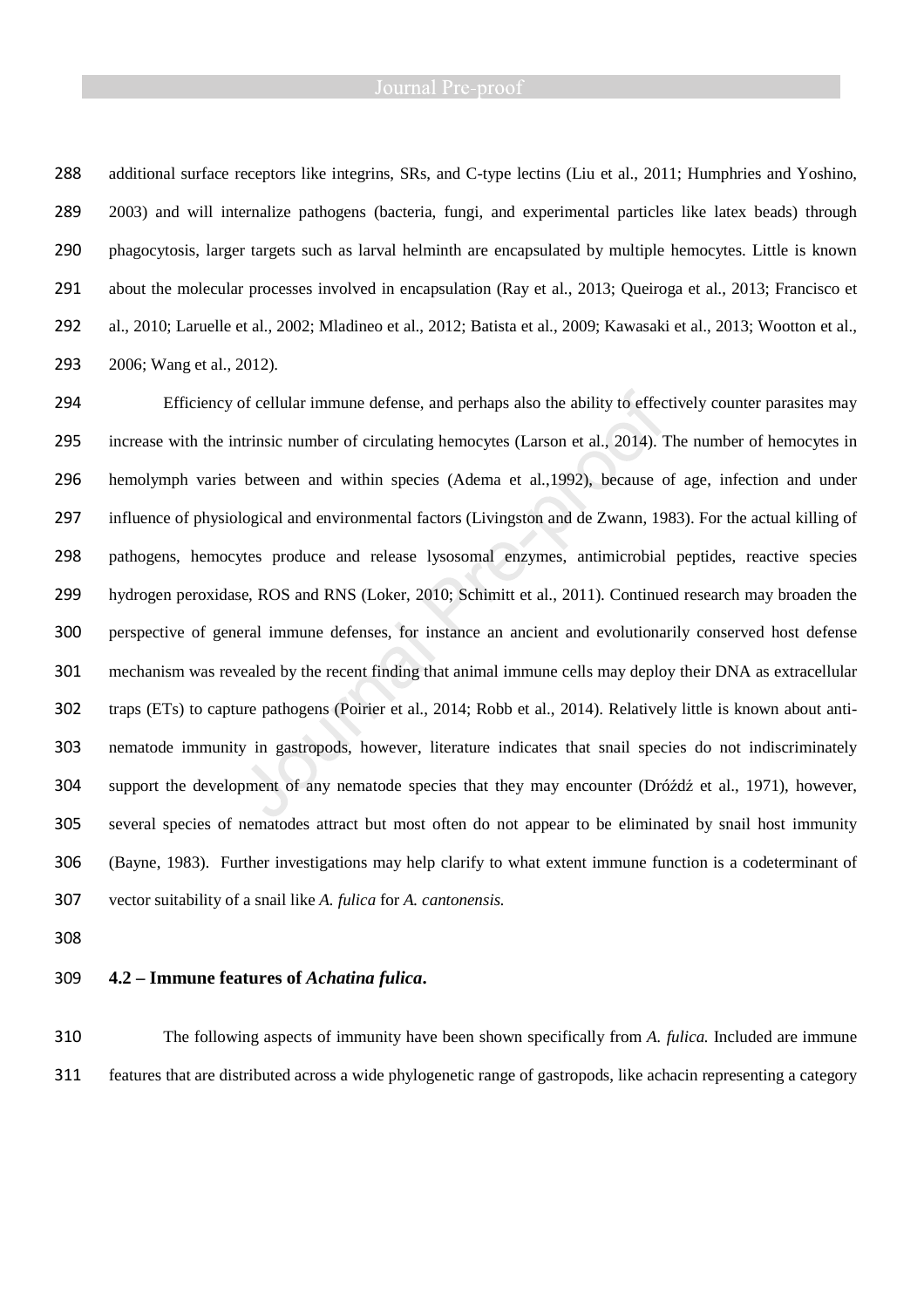additional surface receptors like integrins, SRs, and C-type lectins (Liu et al., 2011; Humphries and Yoshino, 2003) and will internalize pathogens (bacteria, fungi, and experimental particles like latex beads) through phagocytosis, larger targets such as larval helminth are encapsulated by multiple hemocytes. Little is known about the molecular processes involved in encapsulation (Ray et al., 2013; Queiroga et al., 2013; Francisco et al., 2010; Laruelle et al., 2002; Mladineo et al., 2012; Batista et al., 2009; Kawasaki et al., 2013; Wootton et al., 2006; Wang et al., 2012).

Efficiency of cellular immune defense, and perhaps also the ability to effectively counter parasites may increase with the intrinsic number of circulating hemocytes (Larson et al., 2014). The number of hemocytes in hemolymph varies between and within species (Adema et al.,1992), because of age, infection and under influence of physiological and environmental factors (Livingston and de Zwann, 1983). For the actual killing of pathogens, hemocytes produce and release lysosomal enzymes, antimicrobial peptides, reactive species hydrogen peroxidase, ROS and RNS (Loker, 2010; Schimitt et al., 2011). Continued research may broaden the perspective of general immune defenses, for instance an ancient and evolutionarily conserved host defense mechanism was revealed by the recent finding that animal immune cells may deploy their DNA as extracellular traps (ETs) to capture pathogens (Poirier et al., 2014; Robb et al., 2014). Relatively little is known about anti-nematode immunity in gastropods, however, literature indicates that snail species do not indiscriminately support the development of any nematode species that they may encounter (Dróźdź et al., 1971), however, several species of nematodes attract but most often do not appear to be eliminated by snail host immunity (Bayne, 1983). Further investigations may help clarify to what extent immune function is a codeterminant of vector suitability of a snail like *A. fulica* for *A. cantonensis.*

# **4.2 – Immune features of** *Achatina fulica***.**

The following aspects of immunity have been shown specifically from *A. fulica.* Included are immune features that are distributed across a wide phylogenetic range of gastropods, like achacin representing a category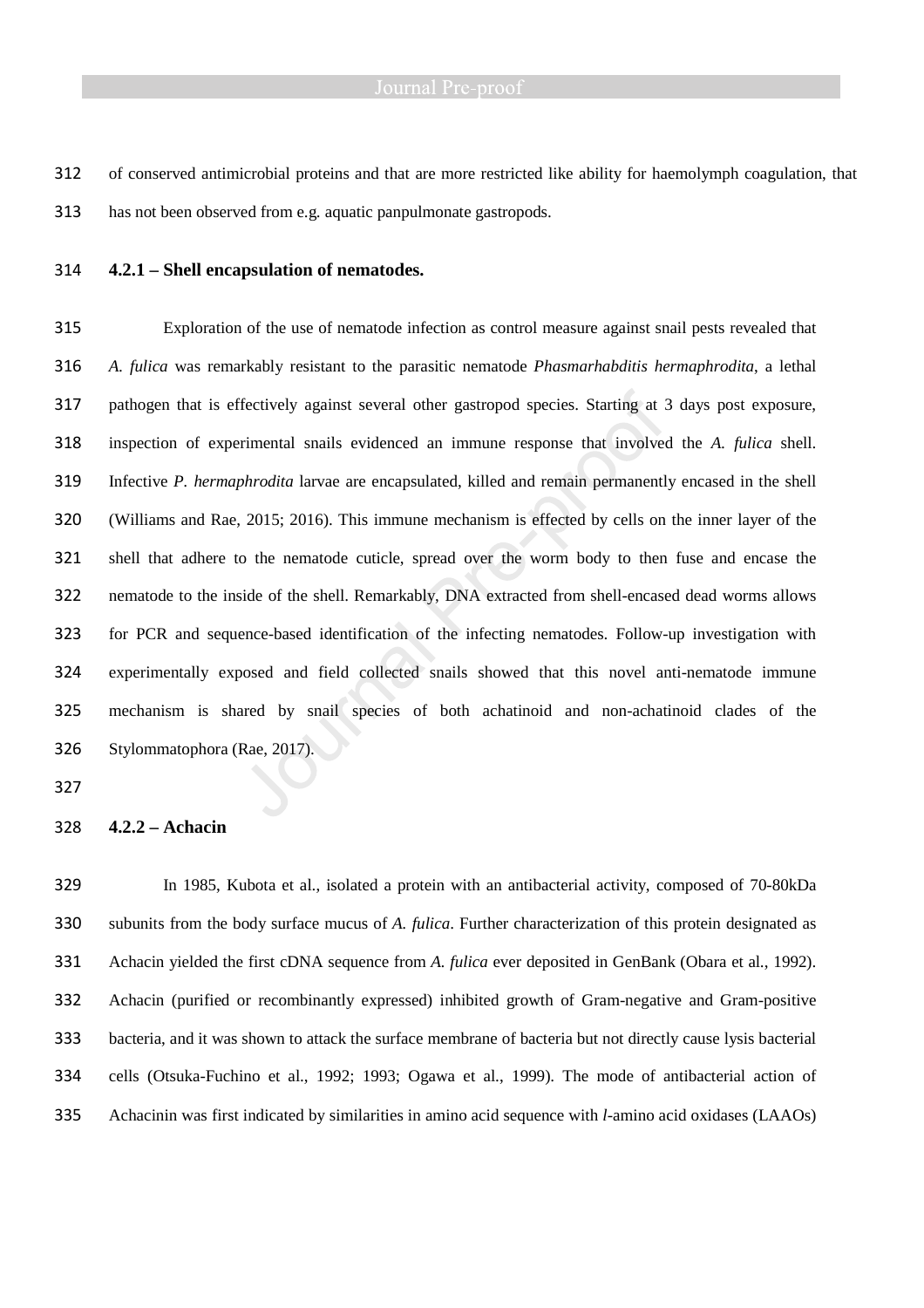of conserved antimicrobial proteins and that are more restricted like ability for haemolymph coagulation, that has not been observed from e.g. aquatic panpulmonate gastropods.

### **4.2.1 – Shell encapsulation of nematodes.**

Exploration of the use of nematode infection as control measure against snail pests revealed that *A. fulica* was remarkably resistant to the parasitic nematode *Phasmarhabditis hermaphrodita*, a lethal pathogen that is effectively against several other gastropod species. Starting at 3 days post exposure, inspection of experimental snails evidenced an immune response that involved the *A. fulica* shell. Infective *P. hermaphrodita* larvae are encapsulated, killed and remain permanently encased in the shell (Williams and Rae, 2015; 2016). This immune mechanism is effected by cells on the inner layer of the shell that adhere to the nematode cuticle, spread over the worm body to then fuse and encase the nematode to the inside of the shell. Remarkably, DNA extracted from shell-encased dead worms allows for PCR and sequence-based identification of the infecting nematodes. Follow-up investigation with experimentally exposed and field collected snails showed that this novel anti-nematode immune mechanism is shared by snail species of both achatinoid and non-achatinoid clades of the Stylommatophora (Rae, 2017).

### **4.2.2 – Achacin**

In 1985, Kubota et al., isolated a protein with an antibacterial activity, composed of 70-80kDa subunits from the body surface mucus of *A. fulica*. Further characterization of this protein designated as Achacin yielded the first cDNA sequence from *A. fulica* ever deposited in GenBank (Obara et al., 1992). Achacin (purified or recombinantly expressed) inhibited growth of Gram-negative and Gram-positive bacteria, and it was shown to attack the surface membrane of bacteria but not directly cause lysis bacterial cells (Otsuka-Fuchino et al., 1992; 1993; Ogawa et al., 1999). The mode of antibacterial action of Achacinin was first indicated by similarities in amino acid sequence with *l*-amino acid oxidases (LAAOs)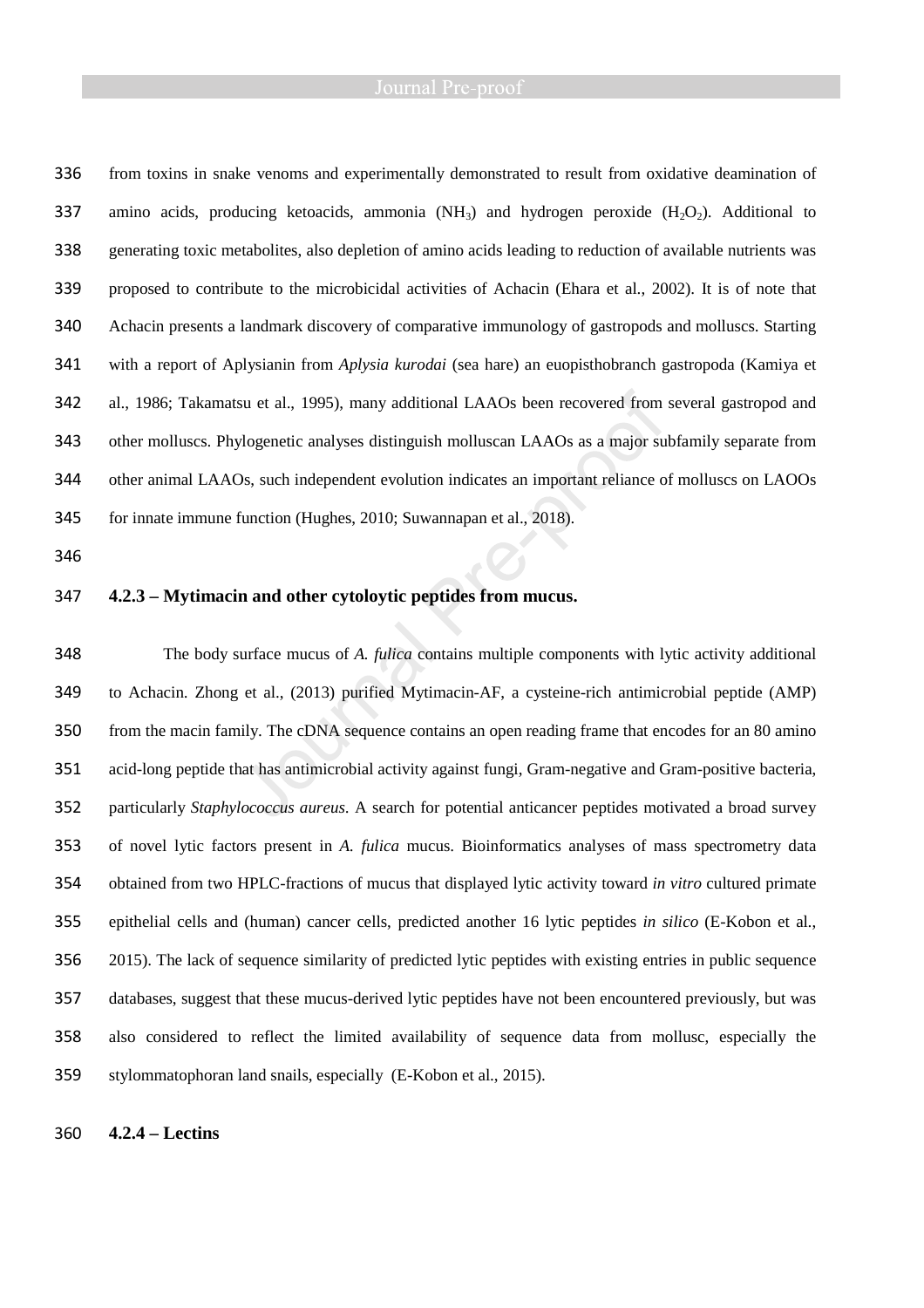### Journal Pre-proof

from toxins in snake venoms and experimentally demonstrated to result from oxidative deamination of 337 amino acids, producing ketoacids, ammonia  $(NH_3)$  and hydrogen peroxide  $(H_2O_2)$ . Additional to generating toxic metabolites, also depletion of amino acids leading to reduction of available nutrients was proposed to contribute to the microbicidal activities of Achacin (Ehara et al., 2002). It is of note that Achacin presents a landmark discovery of comparative immunology of gastropods and molluscs. Starting with a report of Aplysianin from *Aplysia kurodai* (sea hare) an euopisthobranch gastropoda (Kamiya et al., 1986; Takamatsu et al., 1995), many additional LAAOs been recovered from several gastropod and other molluscs. Phylogenetic analyses distinguish molluscan LAAOs as a major subfamily separate from other animal LAAOs, such independent evolution indicates an important reliance of molluscs on LAOOs for innate immune function (Hughes, 2010; Suwannapan et al., 2018).

**4.2.3 – Mytimacin and other cytoloytic peptides from mucus.** 

The body surface mucus of *A. fulica* contains multiple components with lytic activity additional to Achacin. Zhong et al., (2013) purified Mytimacin-AF, a cysteine-rich antimicrobial peptide (AMP) from the macin family. The cDNA sequence contains an open reading frame that encodes for an 80 amino acid-long peptide that has antimicrobial activity against fungi, Gram-negative and Gram-positive bacteria, particularly *Staphylococcus aureus*. A search for potential anticancer peptides motivated a broad survey of novel lytic factors present in *A. fulica* mucus. Bioinformatics analyses of mass spectrometry data obtained from two HPLC-fractions of mucus that displayed lytic activity toward *in vitro* cultured primate epithelial cells and (human) cancer cells, predicted another 16 lytic peptides *in silico* (E-Kobon et al., 2015). The lack of sequence similarity of predicted lytic peptides with existing entries in public sequence databases, suggest that these mucus-derived lytic peptides have not been encountered previously, but was also considered to reflect the limited availability of sequence data from mollusc, especially the stylommatophoran land snails, especially (E-Kobon et al., 2015).

### **4.2.4 – Lectins**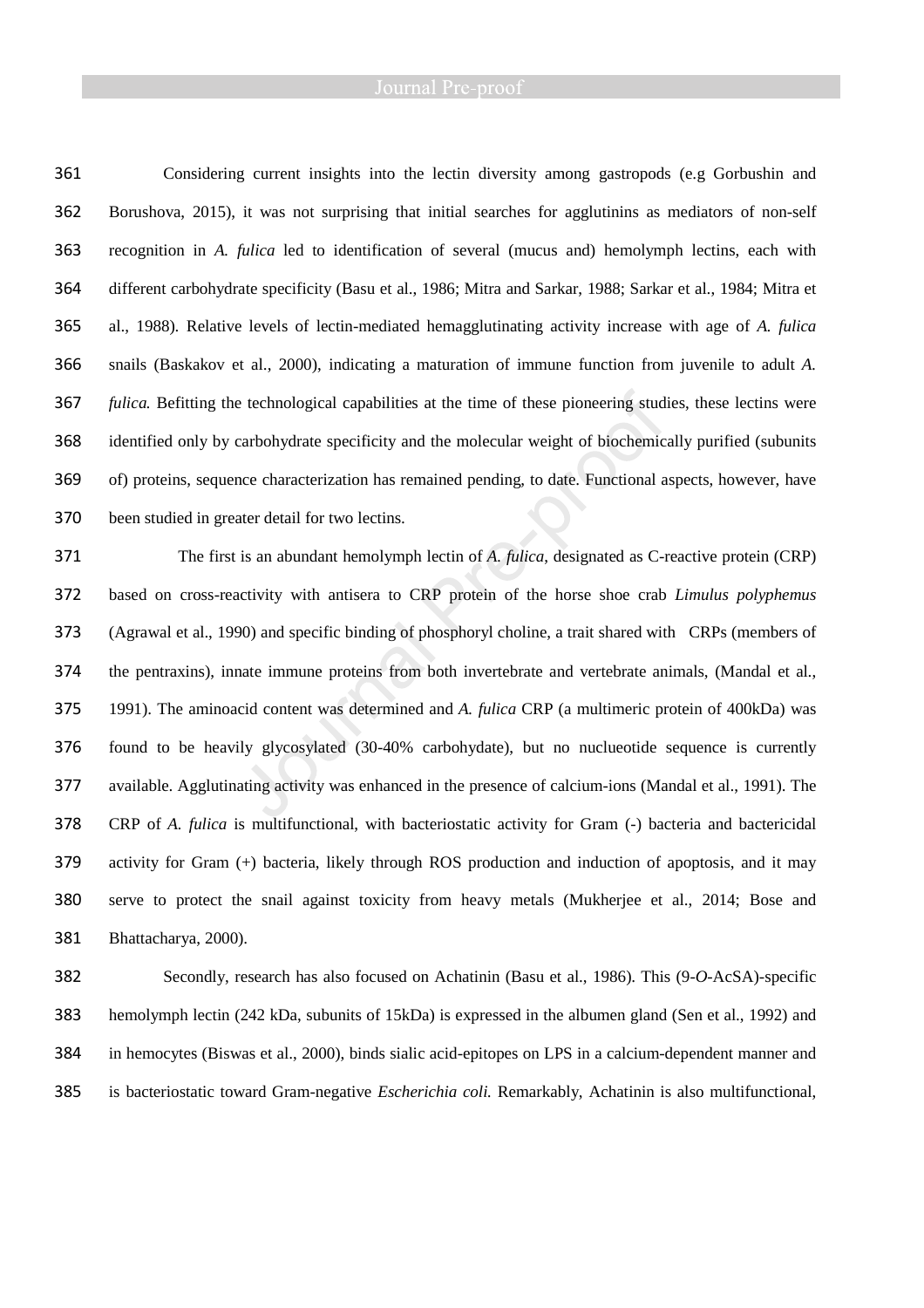Considering current insights into the lectin diversity among gastropods (e.g Gorbushin and Borushova, 2015), it was not surprising that initial searches for agglutinins as mediators of non-self recognition in *A. fulica* led to identification of several (mucus and) hemolymph lectins, each with different carbohydrate specificity (Basu et al., 1986; Mitra and Sarkar, 1988; Sarkar et al., 1984; Mitra et al., 1988). Relative levels of lectin-mediated hemagglutinating activity increase with age of *A. fulica*  snails (Baskakov et al., 2000), indicating a maturation of immune function from juvenile to adult *A. fulica.* Befitting the technological capabilities at the time of these pioneering studies, these lectins were identified only by carbohydrate specificity and the molecular weight of biochemically purified (subunits of) proteins, sequence characterization has remained pending, to date. Functional aspects, however, have been studied in greater detail for two lectins. The first is an abundant hemolymph lectin of *A. fulica*, designated as C-reactive protein (CRP)

based on cross-reactivity with antisera to CRP protein of the horse shoe crab *Limulus polyphemus* (Agrawal et al., 1990) and specific binding of phosphoryl choline, a trait shared with CRPs (members of the pentraxins), innate immune proteins from both invertebrate and vertebrate animals, (Mandal et al., 1991). The aminoacid content was determined and *A. fulica* CRP (a multimeric protein of 400kDa) was found to be heavily glycosylated (30-40% carbohydate), but no nuclueotide sequence is currently available. Agglutinating activity was enhanced in the presence of calcium-ions (Mandal et al., 1991). The CRP of *A. fulica* is multifunctional, with bacteriostatic activity for Gram (-) bacteria and bactericidal activity for Gram (+) bacteria, likely through ROS production and induction of apoptosis, and it may serve to protect the snail against toxicity from heavy metals (Mukherjee et al., 2014; Bose and Bhattacharya, 2000).

Secondly, research has also focused on Achatinin (Basu et al., 1986). This (9-*O*-AcSA)-specific hemolymph lectin (242 kDa, subunits of 15kDa) is expressed in the albumen gland (Sen et al., 1992) and in hemocytes (Biswas et al., 2000), binds sialic acid-epitopes on LPS in a calcium-dependent manner and is bacteriostatic toward Gram-negative *Escherichia coli.* Remarkably, Achatinin is also multifunctional,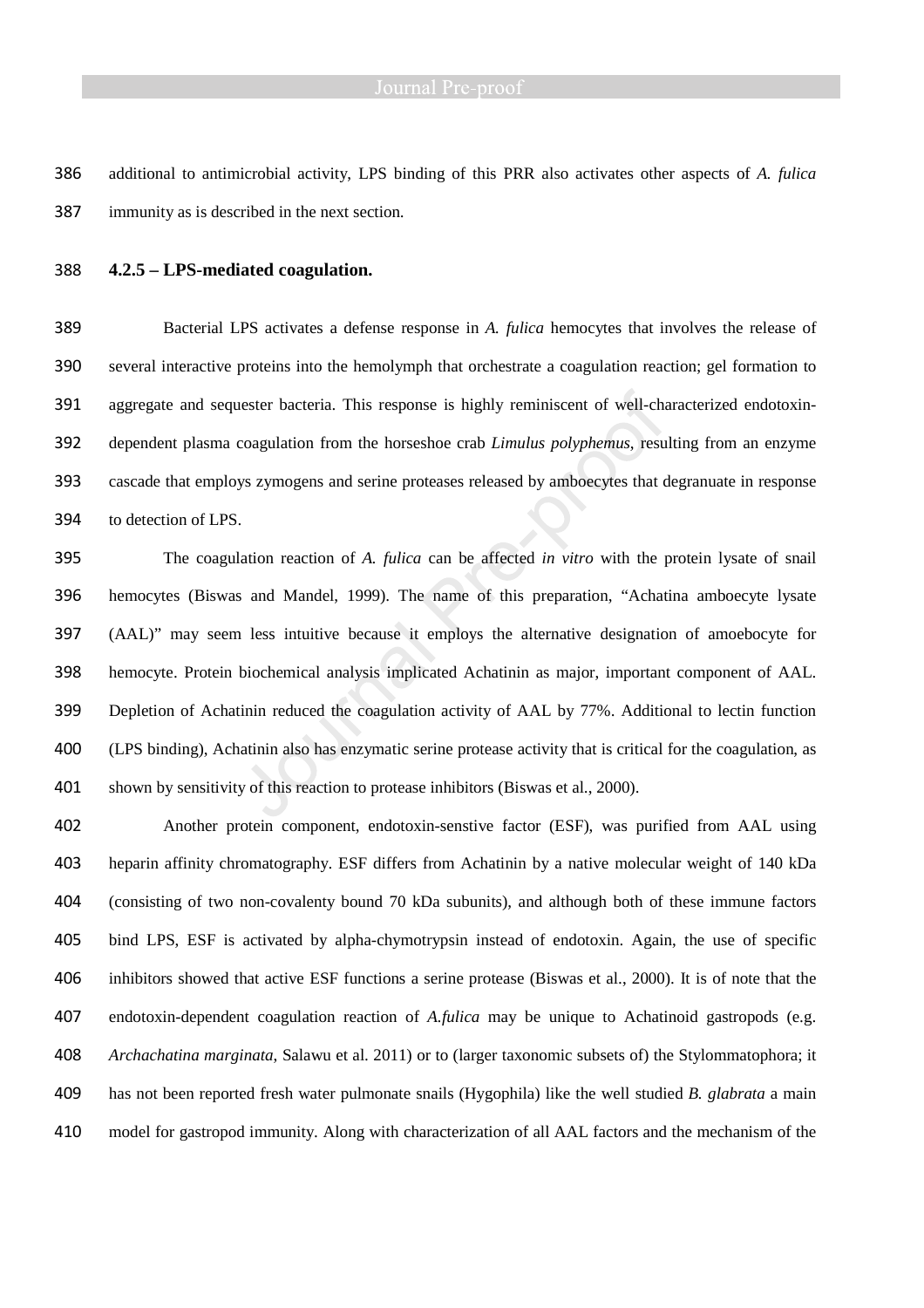additional to antimicrobial activity, LPS binding of this PRR also activates other aspects of *A. fulica* immunity as is described in the next section.

### **4.2.5 – LPS-mediated coagulation.**

Bacterial LPS activates a defense response in *A. fulica* hemocytes that involves the release of several interactive proteins into the hemolymph that orchestrate a coagulation reaction; gel formation to aggregate and sequester bacteria. This response is highly reminiscent of well-characterized endotoxin-dependent plasma coagulation from the horseshoe crab *Limulus polyphemus*, resulting from an enzyme cascade that employs zymogens and serine proteases released by amboecytes that degranuate in response to detection of LPS.

The coagulation reaction of *A. fulica* can be affected *in vitro* with the protein lysate of snail hemocytes (Biswas and Mandel, 1999). The name of this preparation, "Achatina amboecyte lysate (AAL)" may seem less intuitive because it employs the alternative designation of amoebocyte for hemocyte. Protein biochemical analysis implicated Achatinin as major, important component of AAL. Depletion of Achatinin reduced the coagulation activity of AAL by 77%. Additional to lectin function (LPS binding), Achatinin also has enzymatic serine protease activity that is critical for the coagulation, as shown by sensitivity of this reaction to protease inhibitors (Biswas et al., 2000).

Another protein component, endotoxin-senstive factor (ESF), was purified from AAL using heparin affinity chromatography. ESF differs from Achatinin by a native molecular weight of 140 kDa (consisting of two non-covalenty bound 70 kDa subunits), and although both of these immune factors bind LPS, ESF is activated by alpha-chymotrypsin instead of endotoxin. Again, the use of specific inhibitors showed that active ESF functions a serine protease (Biswas et al., 2000). It is of note that the endotoxin-dependent coagulation reaction of *A.fulica* may be unique to Achatinoid gastropods (e.g. *Archachatina marginata*, Salawu et al. 2011) or to (larger taxonomic subsets of) the Stylommatophora; it has not been reported fresh water pulmonate snails (Hygophila) like the well studied *B. glabrata* a main model for gastropod immunity. Along with characterization of all AAL factors and the mechanism of the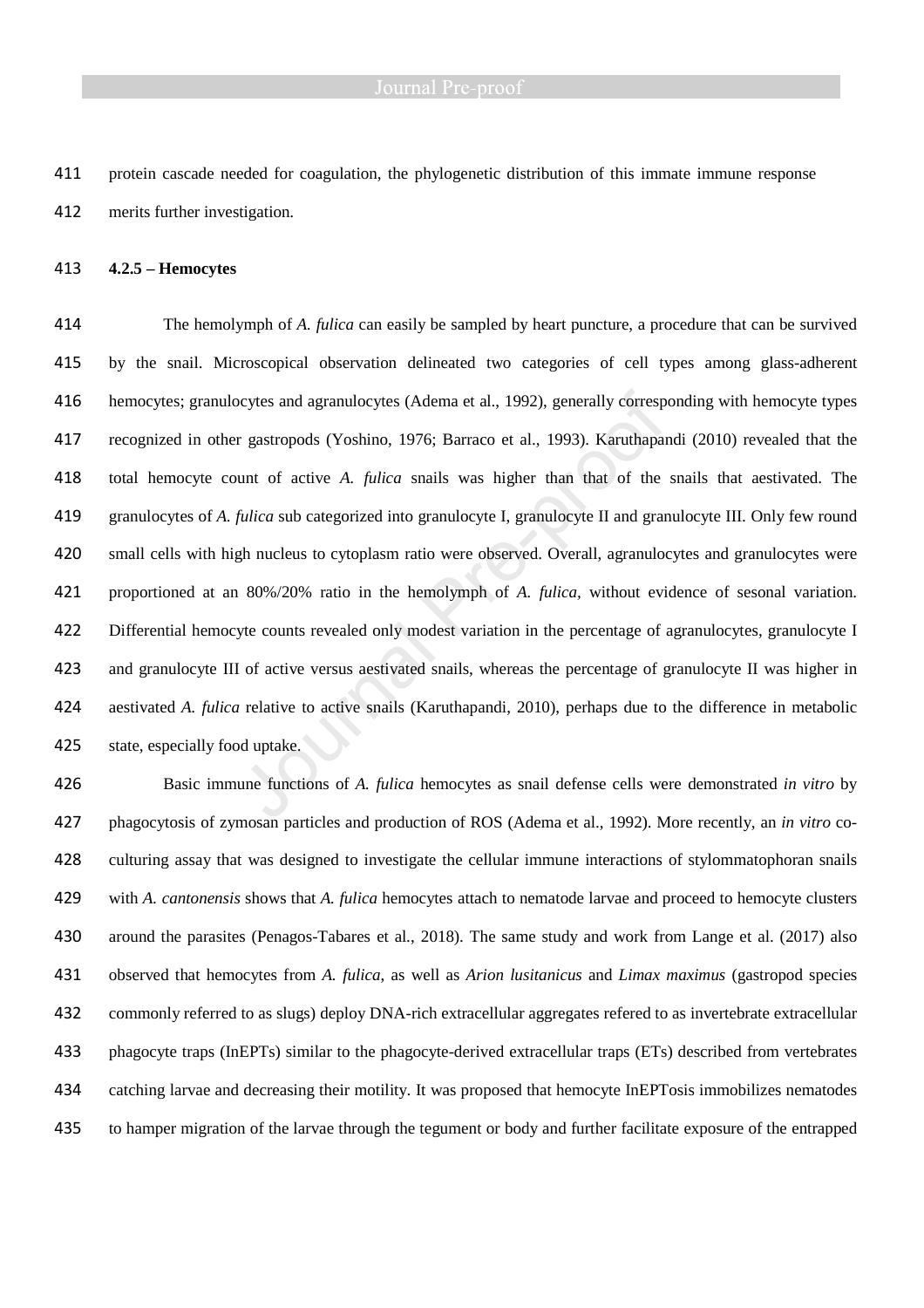protein cascade needed for coagulation, the phylogenetic distribution of this immate immune response merits further investigation.

**4.2.5 – Hemocytes** 

The hemolymph of *A. fulica* can easily be sampled by heart puncture, a procedure that can be survived by the snail. Microscopical observation delineated two categories of cell types among glass-adherent hemocytes; granulocytes and agranulocytes (Adema et al., 1992), generally corresponding with hemocyte types recognized in other gastropods (Yoshino, 1976; Barraco et al., 1993). Karuthapandi (2010) revealed that the total hemocyte count of active *A. fulica* snails was higher than that of the snails that aestivated. The granulocytes of *A. fulica* sub categorized into granulocyte I, granulocyte II and granulocyte III. Only few round small cells with high nucleus to cytoplasm ratio were observed. Overall, agranulocytes and granulocytes were proportioned at an 80%/20% ratio in the hemolymph of *A. fulica,* without evidence of sesonal variation. Differential hemocyte counts revealed only modest variation in the percentage of agranulocytes, granulocyte I and granulocyte III of active versus aestivated snails, whereas the percentage of granulocyte II was higher in aestivated *A. fulica* relative to active snails (Karuthapandi, 2010), perhaps due to the difference in metabolic state, especially food uptake.

Basic immune functions of *A. fulica* hemocytes as snail defense cells were demonstrated *in vitro* by phagocytosis of zymosan particles and production of ROS (Adema et al., 1992). More recently, an *in vitro* co-culturing assay that was designed to investigate the cellular immune interactions of stylommatophoran snails with *A. cantonensis* shows that *A. fulica* hemocytes attach to nematode larvae and proceed to hemocyte clusters around the parasites (Penagos-Tabares et al., 2018). The same study and work from Lange et al. (2017) also observed that hemocytes from *A. fulica*, as well as *Arion lusitanicus* and *Limax maximus* (gastropod species commonly referred to as slugs) deploy DNA-rich extracellular aggregates refered to as invertebrate extracellular phagocyte traps (InEPTs) similar to the phagocyte-derived extracellular traps (ETs) described from vertebrates catching larvae and decreasing their motility. It was proposed that hemocyte InEPTosis immobilizes nematodes to hamper migration of the larvae through the tegument or body and further facilitate exposure of the entrapped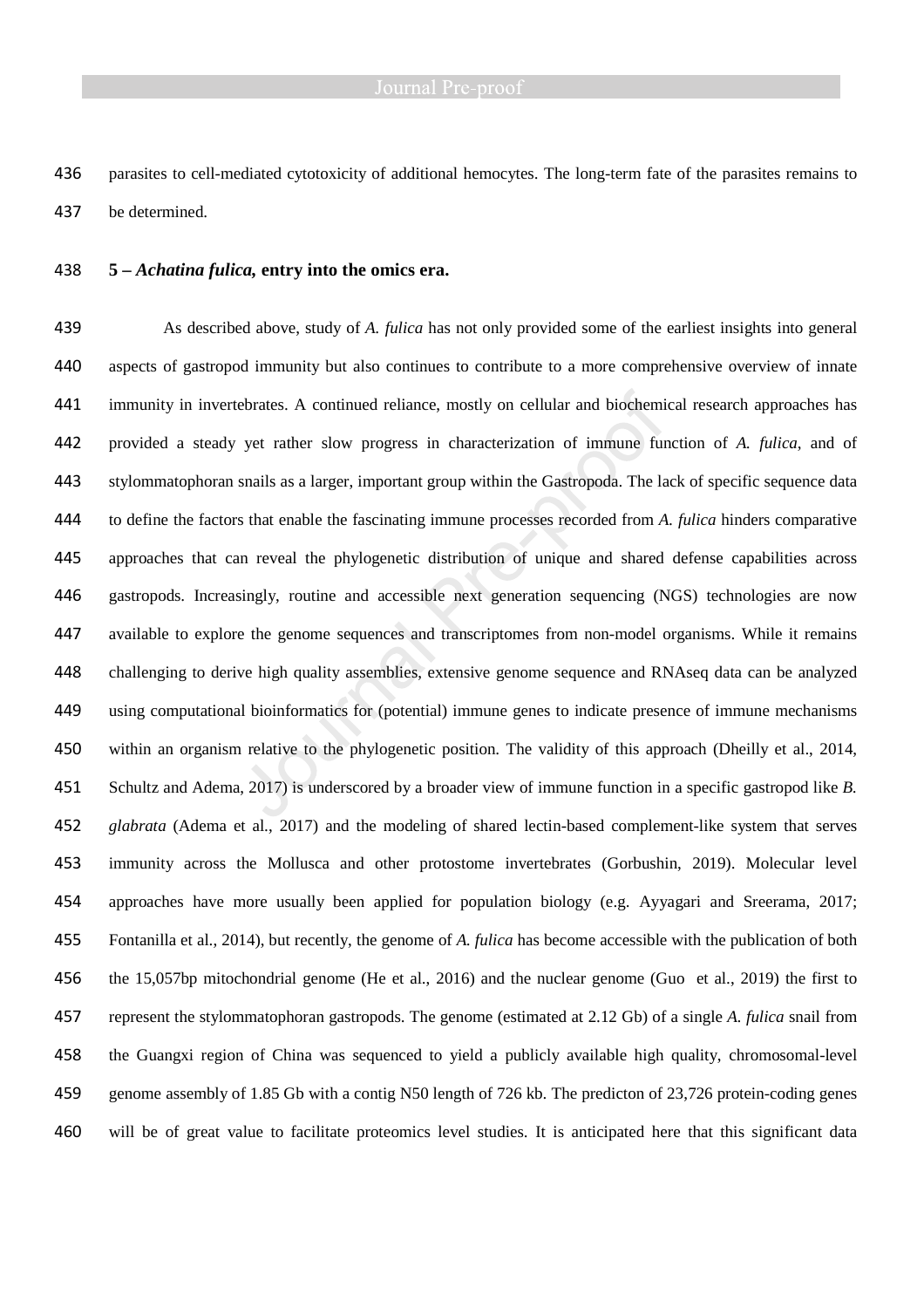parasites to cell-mediated cytotoxicity of additional hemocytes. The long-term fate of the parasites remains to be determined.

# **5 –** *Achatina fulica,* **entry into the omics era.**

As described above, study of *A. fulica* has not only provided some of the earliest insights into general aspects of gastropod immunity but also continues to contribute to a more comprehensive overview of innate immunity in invertebrates. A continued reliance, mostly on cellular and biochemical research approaches has provided a steady yet rather slow progress in characterization of immune function of *A. fulica*, and of stylommatophoran snails as a larger, important group within the Gastropoda. The lack of specific sequence data to define the factors that enable the fascinating immune processes recorded from *A. fulica* hinders comparative approaches that can reveal the phylogenetic distribution of unique and shared defense capabilities across gastropods. Increasingly, routine and accessible next generation sequencing (NGS) technologies are now available to explore the genome sequences and transcriptomes from non-model organisms. While it remains challenging to derive high quality assemblies, extensive genome sequence and RNAseq data can be analyzed using computational bioinformatics for (potential) immune genes to indicate presence of immune mechanisms within an organism relative to the phylogenetic position. The validity of this approach (Dheilly et al., 2014, Schultz and Adema, 2017) is underscored by a broader view of immune function in a specific gastropod like *B. glabrata* (Adema et al., 2017) and the modeling of shared lectin-based complement-like system that serves immunity across the Mollusca and other protostome invertebrates (Gorbushin, 2019). Molecular level approaches have more usually been applied for population biology (e.g. Ayyagari and Sreerama, 2017; Fontanilla et al., 2014), but recently, the genome of *A. fulica* has become accessible with the publication of both the 15,057bp mitochondrial genome (He et al., 2016) and the nuclear genome (Guo et al., 2019) the first to represent the stylommatophoran gastropods. The genome (estimated at 2.12 Gb) of a single *A. fulica* snail from the Guangxi region of China was sequenced to yield a publicly available high quality, chromosomal-level genome assembly of 1.85 Gb with a contig N50 length of 726 kb. The predicton of 23,726 protein-coding genes will be of great value to facilitate proteomics level studies. It is anticipated here that this significant data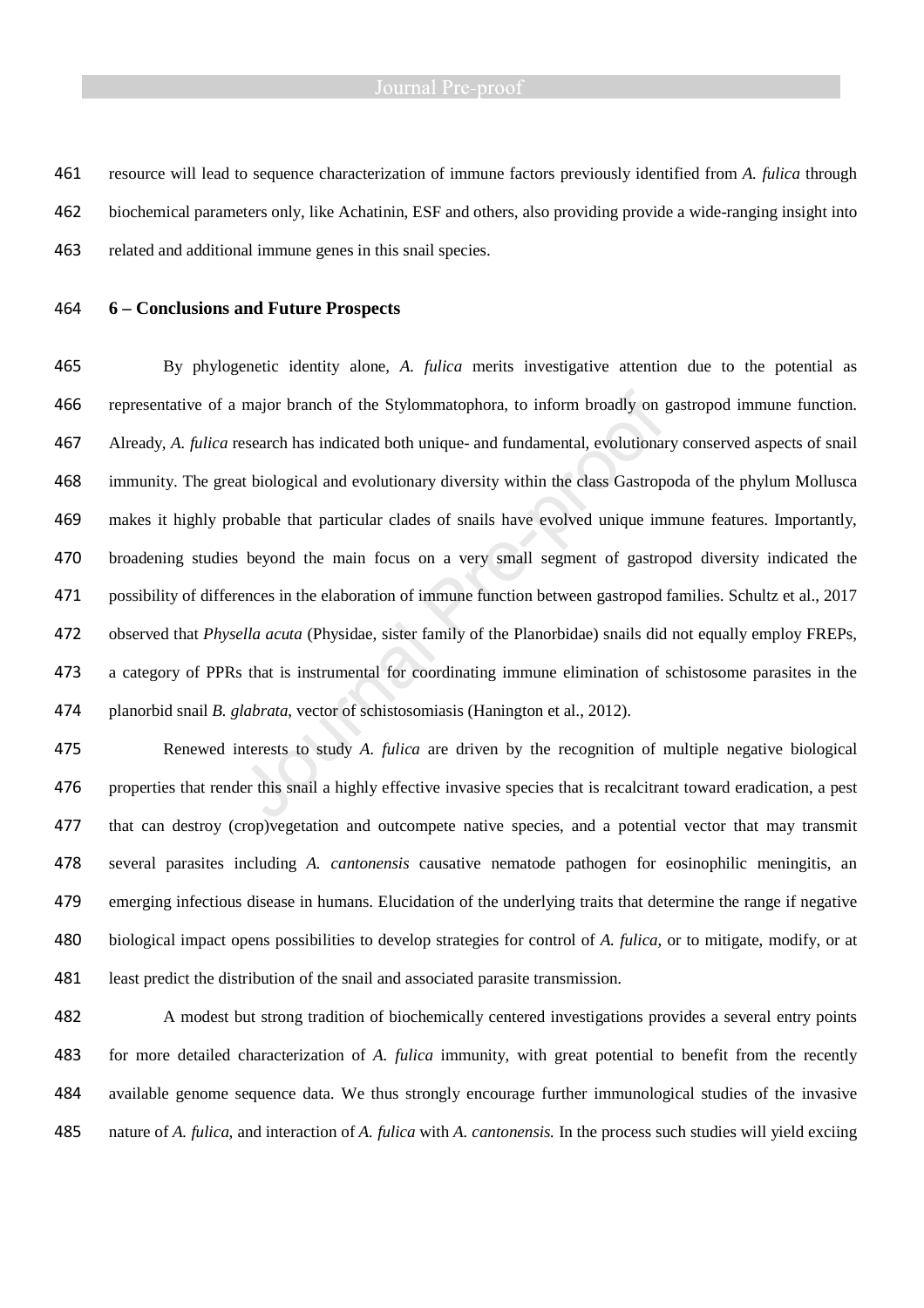resource will lead to sequence characterization of immune factors previously identified from *A. fulica* through biochemical parameters only, like Achatinin, ESF and others, also providing provide a wide-ranging insight into related and additional immune genes in this snail species.

# **6 – Conclusions and Future Prospects**

By phylogenetic identity alone, *A. fulica* merits investigative attention due to the potential as representative of a major branch of the Stylommatophora, to inform broadly on gastropod immune function. Already, *A. fulica* research has indicated both unique- and fundamental, evolutionary conserved aspects of snail immunity. The great biological and evolutionary diversity within the class Gastropoda of the phylum Mollusca makes it highly probable that particular clades of snails have evolved unique immune features. Importantly, broadening studies beyond the main focus on a very small segment of gastropod diversity indicated the possibility of differences in the elaboration of immune function between gastropod families. Schultz et al., 2017 observed that *Physella acuta* (Physidae, sister family of the Planorbidae) snails did not equally employ FREPs, a category of PPRs that is instrumental for coordinating immune elimination of schistosome parasites in the planorbid snail *B. glabrata*, vector of schistosomiasis (Hanington et al., 2012).

Renewed interests to study *A. fulica* are driven by the recognition of multiple negative biological properties that render this snail a highly effective invasive species that is recalcitrant toward eradication, a pest that can destroy (crop)vegetation and outcompete native species, and a potential vector that may transmit several parasites including *A. cantonensis* causative nematode pathogen for eosinophilic meningitis, an emerging infectious disease in humans. Elucidation of the underlying traits that determine the range if negative biological impact opens possibilities to develop strategies for control of *A. fulica*, or to mitigate, modify, or at least predict the distribution of the snail and associated parasite transmission.

A modest but strong tradition of biochemically centered investigations provides a several entry points for more detailed characterization of *A. fulica* immunity, with great potential to benefit from the recently available genome sequence data. We thus strongly encourage further immunological studies of the invasive nature of *A. fulica,* and interaction of *A. fulica* with *A. cantonensis.* In the process such studies will yield exciing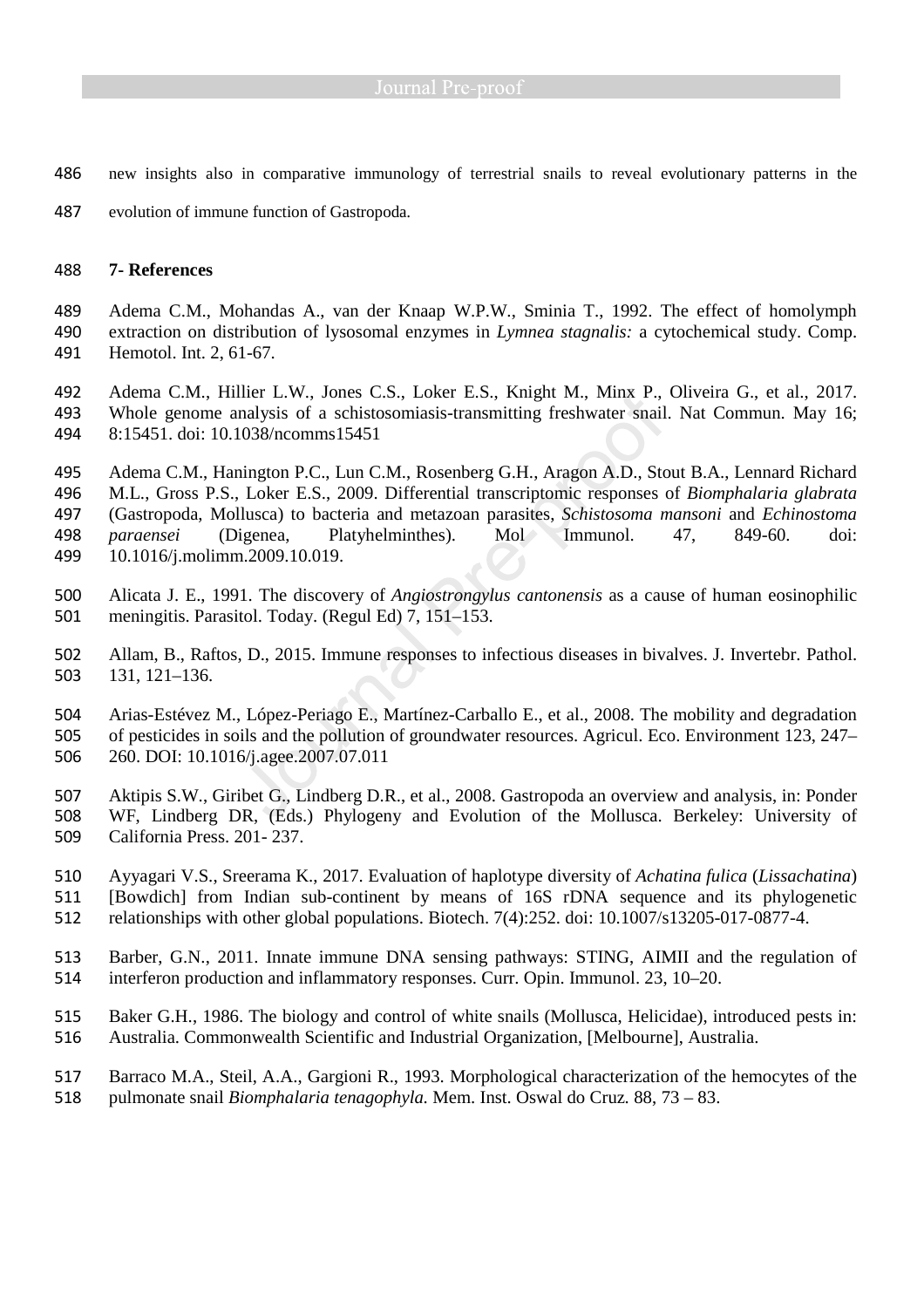- new insights also in comparative immunology of terrestrial snails to reveal evolutionary patterns in the
- evolution of immune function of Gastropoda.

### **7- References**

Adema C.M., Mohandas A., van der Knaap W.P.W., Sminia T., 1992. The effect of homolymph extraction on distribution of lysosomal enzymes in *Lymnea stagnalis:* a cytochemical study. Comp. Hemotol. Int. 2, 61-67.

Adema C.M., Hillier L.W., Jones C.S., Loker E.S., Knight M., Minx P., Oliveira G., et al., 2017. Whole genome analysis of a schistosomiasis-transmitting freshwater snail. Nat Commun. May 16; 8:15451. doi: 10.1038/ncomms15451

Adema C.M., Hanington P.C., Lun C.M., Rosenberg G.H., Aragon A.D., Stout B.A., Lennard Richard M.L., Gross P.S., Loker E.S., 2009. Differential transcriptomic responses of *Biomphalaria glabrata* (Gastropoda, Mollusca) to bacteria and metazoan parasites, *Schistosoma mansoni* and *Echinostoma paraensei* (Digenea, Platyhelminthes). Mol Immunol. 47, 849-60. doi: 10.1016/j.molimm.2009.10.019.

- Alicata J. E., 1991. The discovery of *Angiostrongylus cantonensis* as a cause of human eosinophilic meningitis. Parasitol. Today. (Regul Ed) 7, 151–153.
- Allam, B., Raftos, D., 2015. Immune responses to infectious diseases in bivalves. J. Invertebr. Pathol. 131, 121–136.
- Arias-Estévez M., López-Periago E., Martínez-Carballo E., et al., 2008. The mobility and degradation of pesticides in soils and the pollution of groundwater resources. Agricul. Eco. Environment 123, 247– 260. DOI: 10.1016/j.agee.2007.07.011
- Aktipis S.W., Giribet G., Lindberg D.R., et al., 2008. Gastropoda an overview and analysis, in: Ponder WF, Lindberg DR, (Eds.) Phylogeny and Evolution of the Mollusca. Berkeley: University of California Press. 201- 237.
- Ayyagari V.S., Sreerama K., 2017. Evaluation of haplotype diversity of *Achatina fulica* (*Lissachatina*) [Bowdich] from Indian sub-continent by means of 16S rDNA sequence and its phylogenetic
- relationships with other global populations. Biotech. 7(4):252. doi: 10.1007/s13205-017-0877-4.
- Barber, G.N., 2011. Innate immune DNA sensing pathways: STING, AIMII and the regulation of interferon production and inflammatory responses. Curr. Opin. Immunol. 23, 10–20.
- Baker G.H., 1986. The biology and control of white snails (Mollusca, Helicidae), introduced pests in: Australia. Commonwealth Scientific and Industrial Organization, [Melbourne], Australia.
- Barraco M.A., Steil, A.A., Gargioni R., 1993. Morphological characterization of the hemocytes of the pulmonate snail *Biomphalaria tenagophyla.* Mem. Inst. Oswal do Cruz*.* 88, 73 – 83.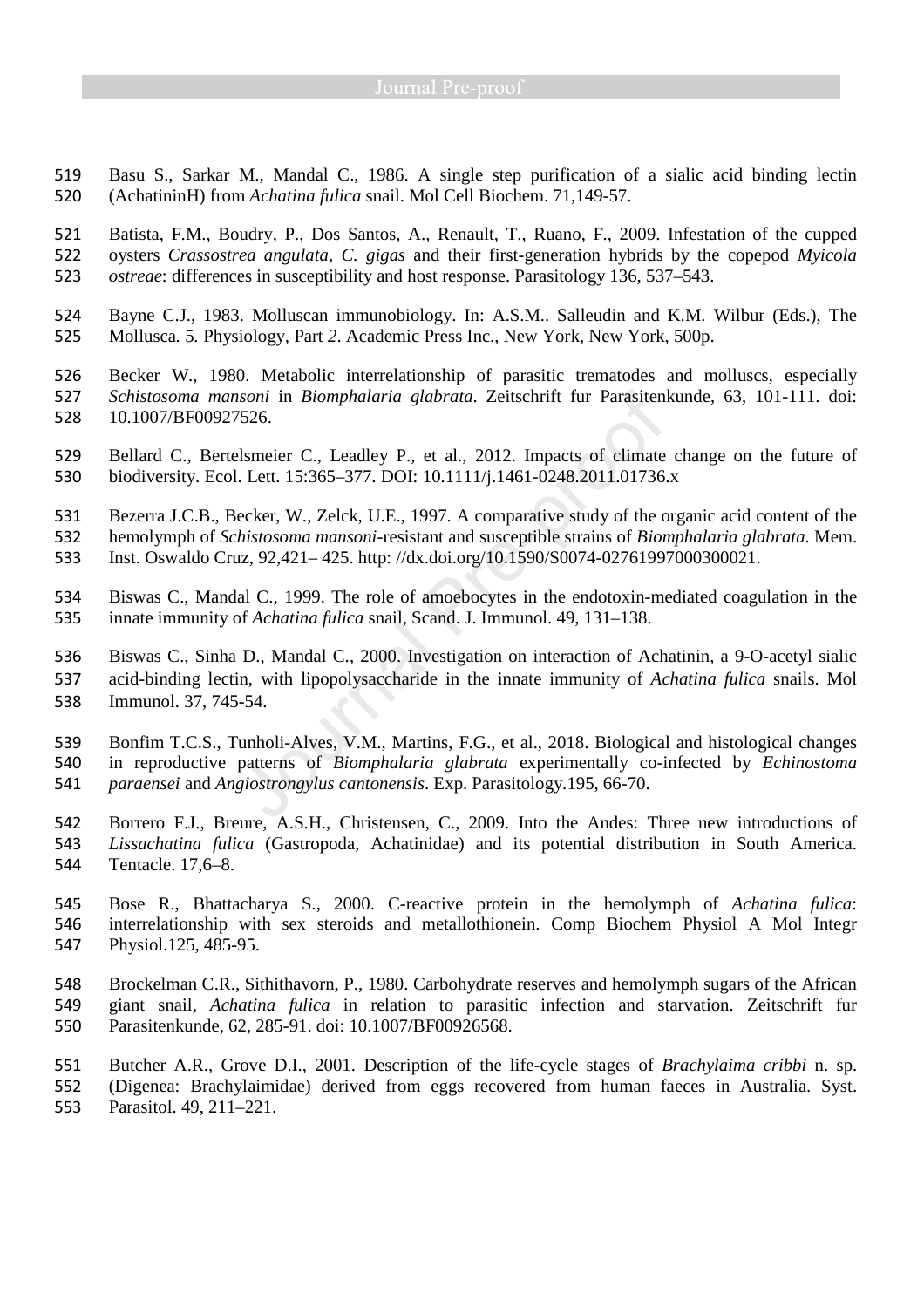- Basu S., Sarkar M., Mandal C., 1986. A single step purification of a sialic acid binding lectin (AchatininH) from *Achatina fulica* snail. Mol Cell Biochem. 71,149-57.
- Batista, F.M., Boudry, P., Dos Santos, A., Renault, T., Ruano, F., 2009. Infestation of the cupped oysters *Crassostrea angulata, C. gigas* and their first-generation hybrids by the copepod *Myicola ostreae*: differences in susceptibility and host response. Parasitology 136, 537–543.
- Bayne C.J., 1983. Molluscan immunobiology. In: A.S.M.. Salleudin and K.M. Wilbur (Eds.), The Mollusca*.* 5*.* Physiology*,* Part *2*. Academic Press Inc., New York, New York, 500p.
- Becker W., 1980. Metabolic interrelationship of parasitic trematodes and molluscs, especially *Schistosoma mansoni* in *Biomphalaria glabrata*. Zeitschrift fur Parasitenkunde, 63, 101-111. doi: 10.1007/BF00927526.
- Bellard C., Bertelsmeier C., Leadley P., et al., 2012. Impacts of climate change on the future of biodiversity. Ecol. Lett. 15:365–377. DOI: 10.1111/j.1461-0248.2011.01736.x
- Bezerra J.C.B., Becker, W., Zelck, U.E., 1997. A comparative study of the organic acid content of the
- hemolymph of *Schistosoma mansoni*-resistant and susceptible strains of *Biomphalaria glabrata*. Mem.
- Inst. Oswaldo Cruz, 92,421– 425. http: //dx.doi.org/10.1590/S0074-02761997000300021.
- Biswas C., Mandal C., 1999. The role of amoebocytes in the endotoxin-mediated coagulation in the innate immunity of *Achatina fulica* snail, Scand. J. Immunol. 49, 131–138.
- Biswas C., Sinha D., Mandal C., 2000. Investigation on interaction of Achatinin, a 9-O-acetyl sialic
- acid-binding lectin, with lipopolysaccharide in the innate immunity of *Achatina fulica* snails. Mol
- Immunol. 37, 745-54.
- Bonfim T.C.S., Tunholi-Alves, V.M., Martins, F.G., et al., 2018. Biological and histological changes
- in reproductive patterns of *Biomphalaria glabrata* experimentally co-infected by *Echinostoma*
- *paraensei* and *Angiostrongylus cantonensis*. Exp. Parasitology.195, 66-70.
- Borrero F.J., Breure, A.S.H., Christensen, C., 2009. Into the Andes: Three new introductions of *Lissachatina fulica* (Gastropoda, Achatinidae) and its potential distribution in South America. Tentacle. 17,6–8.
- Bose R., Bhattacharya S., 2000. C-reactive protein in the hemolymph of *Achatina fulica*: interrelationship with sex steroids and metallothionein. Comp Biochem Physiol A Mol Integr Physiol.125, 485-95.
- Brockelman C.R., Sithithavorn, P., 1980. Carbohydrate reserves and hemolymph sugars of the African giant snail, *Achatina fulica* in relation to parasitic infection and starvation. Zeitschrift fur Parasitenkunde, 62, 285-91. doi: 10.1007/BF00926568.
- Butcher A.R., Grove D.I., 2001. Description of the life-cycle stages of *Brachylaima cribbi* n. sp. (Digenea: Brachylaimidae) derived from eggs recovered from human faeces in Australia. Syst. Parasitol. 49, 211–221.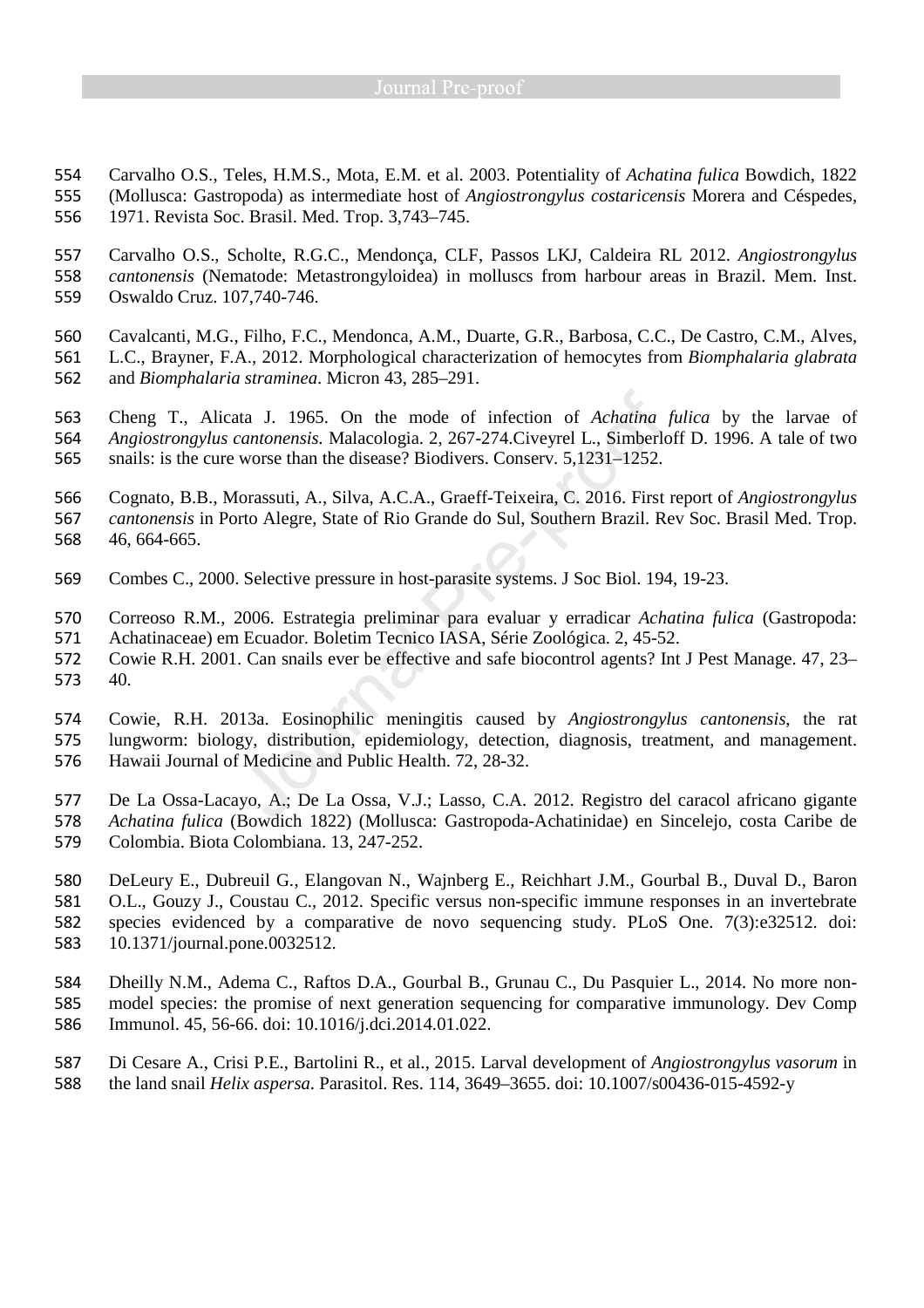Carvalho O.S., Teles, H.M.S., Mota, E.M. et al. 2003. Potentiality of *Achatina fulica* Bowdich, 1822 (Mollusca: Gastropoda) as intermediate host of *Angiostrongylus costaricensis* Morera and Céspedes, 1971. Revista Soc. Brasil. Med. Trop. 3,743–745.

Carvalho O.S., Scholte, R.G.C., Mendonça, CLF, Passos LKJ, Caldeira RL 2012. *Angiostrongylus cantonensis* (Nematode: Metastrongyloidea) in molluscs from harbour areas in Brazil. Mem. Inst. Oswaldo Cruz. 107,740-746.

Cavalcanti, M.G., Filho, F.C., Mendonca, A.M., Duarte, G.R., Barbosa, C.C., De Castro, C.M., Alves, L.C., Brayner, F.A., 2012. Morphological characterization of hemocytes from *Biomphalaria glabrata* and *Biomphalaria straminea*. Micron 43, 285–291.

Cheng T., Alicata J. 1965. On the mode of infection of *Achatina fulica* by the larvae of *Angiostrongylus cantonensis.* Malacologia. 2, 267-274.Civeyrel L., Simberloff D. 1996. A tale of two snails: is the cure worse than the disease? Biodivers. Conserv*.* 5,1231–1252.

Cognato, B.B., Morassuti, A., Silva, A.C.A., Graeff-Teixeira, C. 2016. First report of *Angiostrongylus cantonensis* in Porto Alegre, State of Rio Grande do Sul, Southern Brazil. Rev Soc. Brasil Med. Trop. 46, 664-665.

- Combes C., 2000. Selective pressure in host-parasite systems. J Soc Biol. 194, 19-23.
- Correoso R.M., 2006. Estrategia preliminar para evaluar y erradicar *Achatina fulica* (Gastropoda:
- Achatinaceae) em Ecuador. Boletim Tecnico IASA, Série Zoológica. 2, 45-52.
- Cowie R.H. 2001. Can snails ever be effective and safe biocontrol agents? Int J Pest Manage. 47, 23– 40.

Cowie, R.H. 2013a. Eosinophilic meningitis caused by *Angiostrongylus cantonensis*, the rat lungworm: biology, distribution, epidemiology, detection, diagnosis, treatment, and management. Hawaii Journal of Medicine and Public Health. 72, 28-32.

De La Ossa-Lacayo, A.; De La Ossa, V.J.; Lasso, C.A. 2012. Registro del caracol africano gigante *Achatina fulica* (Bowdich 1822) (Mollusca: Gastropoda-Achatinidae) en Sincelejo, costa Caribe de Colombia. Biota Colombiana. 13, 247-252.

DeLeury E., Dubreuil G., Elangovan N., Wajnberg E., Reichhart J.M., Gourbal B., Duval D., Baron O.L., Gouzy J., Coustau C., 2012. Specific versus non-specific immune responses in an invertebrate species evidenced by a comparative de novo sequencing study. PLoS One. 7(3):e32512. doi: 10.1371/journal.pone.0032512.

Dheilly N.M., Adema C., Raftos D.A., Gourbal B., Grunau C., Du Pasquier L., 2014. No more non-model species: the promise of next generation sequencing for comparative immunology. Dev Comp Immunol. 45, 56-66. doi: 10.1016/j.dci.2014.01.022.

Di Cesare A., Crisi P.E., Bartolini R., et al., 2015. Larval development of *Angiostrongylus vasorum* in the land snail *Helix aspersa*. Parasitol. Res. 114, 3649–3655. doi: 10.1007/s00436-015-4592-y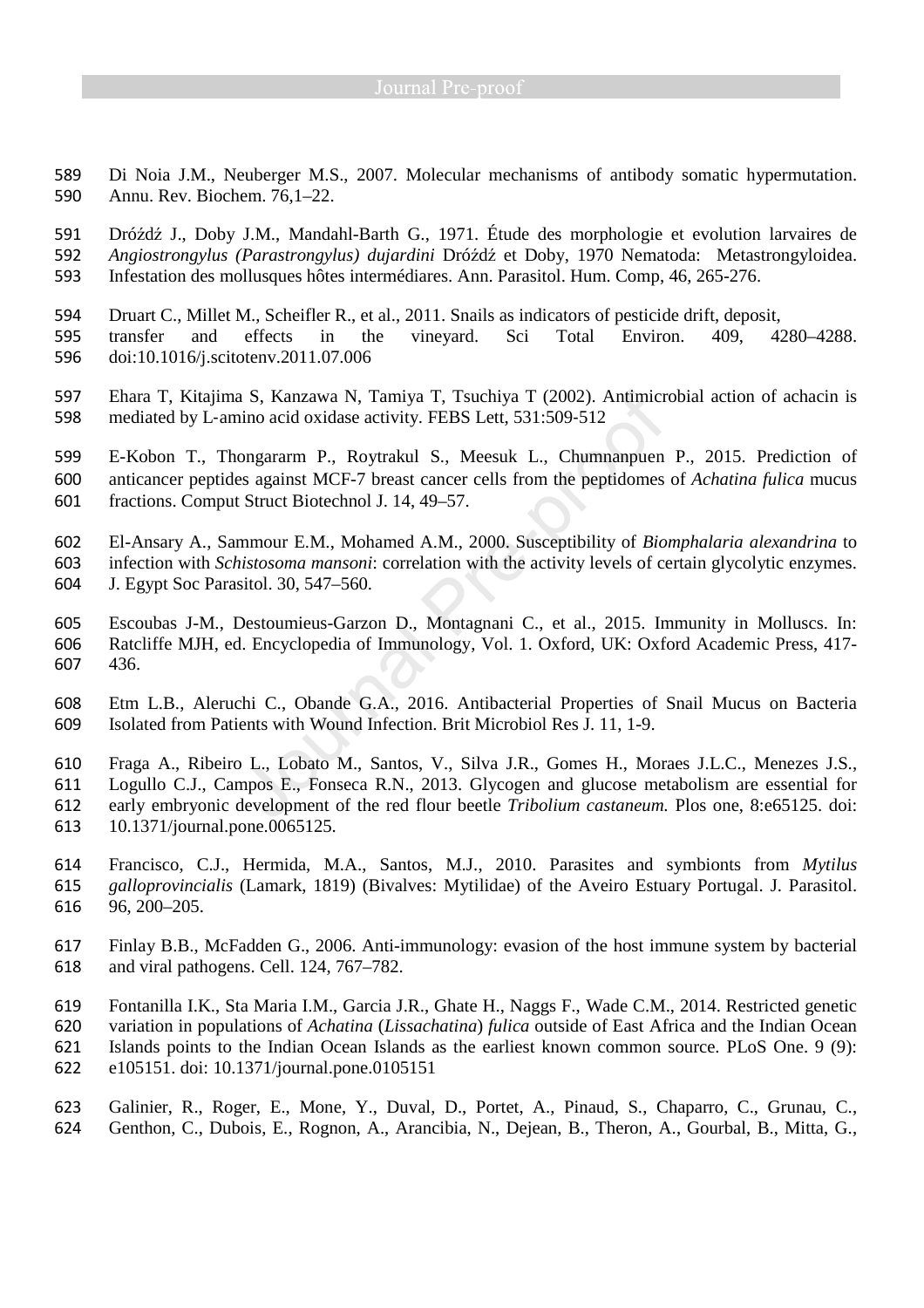- Di Noia J.M., Neuberger M.S., 2007. Molecular mechanisms of antibody somatic hypermutation. Annu. Rev. Biochem. 76,1–22.
- Dróźdź J., Doby J.M., Mandahl-Barth G., 1971. Étude des morphologie et evolution larvaires de *Angiostrongylus (Parastrongylus) dujardini* Dróźdź et Doby, 1970 Nematoda: Metastrongyloidea. Infestation des mollusques hôtes intermédiares. Ann. Parasitol. Hum. Comp, 46, 265-276.
- Druart C., Millet M., Scheifler R., et al., 2011. Snails as indicators of pesticide drift, deposit, transfer and effects in the vineyard. Sci Total Environ. 409, 4280–4288. doi:10.1016/j.scitotenv.2011.07.006
- Ehara T, Kitajima S, Kanzawa N, Tamiya T, Tsuchiya T (2002). Antimicrobial action of achacin is mediated by L‐amino acid oxidase activity. FEBS Lett, 531:509‐512
- E-Kobon T., Thongararm P., Roytrakul S., Meesuk L., Chumnanpuen P., 2015. Prediction of anticancer peptides against MCF-7 breast cancer cells from the peptidomes of *Achatina fulica* mucus fractions. Comput Struct Biotechnol J. 14, 49–57.
- El-Ansary A., Sammour E.M., Mohamed A.M., 2000. Susceptibility of *Biomphalaria alexandrina* to
- infection with *Schistosoma mansoni*: correlation with the activity levels of certain glycolytic enzymes.
- J. Egypt Soc Parasitol. 30, 547–560.
- Escoubas J-M., Destoumieus-Garzon D., Montagnani C., et al., 2015. Immunity in Molluscs. In: Ratcliffe MJH, ed. Encyclopedia of Immunology, Vol. 1. Oxford, UK: Oxford Academic Press, 417- 436.
- Etm L.B., Aleruchi C., Obande G.A., 2016. Antibacterial Properties of Snail Mucus on Bacteria Isolated from Patients with Wound Infection. Brit Microbiol Res J. 11, 1-9.
- Fraga A., Ribeiro L., Lobato M., Santos, V., Silva J.R., Gomes H., Moraes J.L.C., Menezes J.S., Logullo C.J., Campos E., Fonseca R.N., 2013. Glycogen and glucose metabolism are essential for early embryonic development of the red flour beetle *Tribolium castaneum.* Plos one, 8:e65125. doi: 10.1371/journal.pone.0065125.
- Francisco, C.J., Hermida, M.A., Santos, M.J., 2010. Parasites and symbionts from *Mytilus galloprovincialis* (Lamark, 1819) (Bivalves: Mytilidae) of the Aveiro Estuary Portugal. J. Parasitol. 96, 200–205.
- Finlay B.B., McFadden G., 2006. Anti-immunology: evasion of the host immune system by bacterial and viral pathogens. Cell. 124, 767–782.
- Fontanilla I.K., Sta Maria I.M., Garcia J.R., Ghate H., Naggs F., Wade C.M., 2014. Restricted genetic variation in populations of *Achatina* (*Lissachatina*) *fulica* outside of East Africa and the Indian Ocean Islands points to the Indian Ocean Islands as the earliest known common source. PLoS One. 9 (9): e105151. doi: 10.1371/journal.pone.0105151
- Galinier, R., Roger, E., Mone, Y., Duval, D., Portet, A., Pinaud, S., Chaparro, C., Grunau, C., Genthon, C., Dubois, E., Rognon, A., Arancibia, N., Dejean, B., Theron, A., Gourbal, B., Mitta, G.,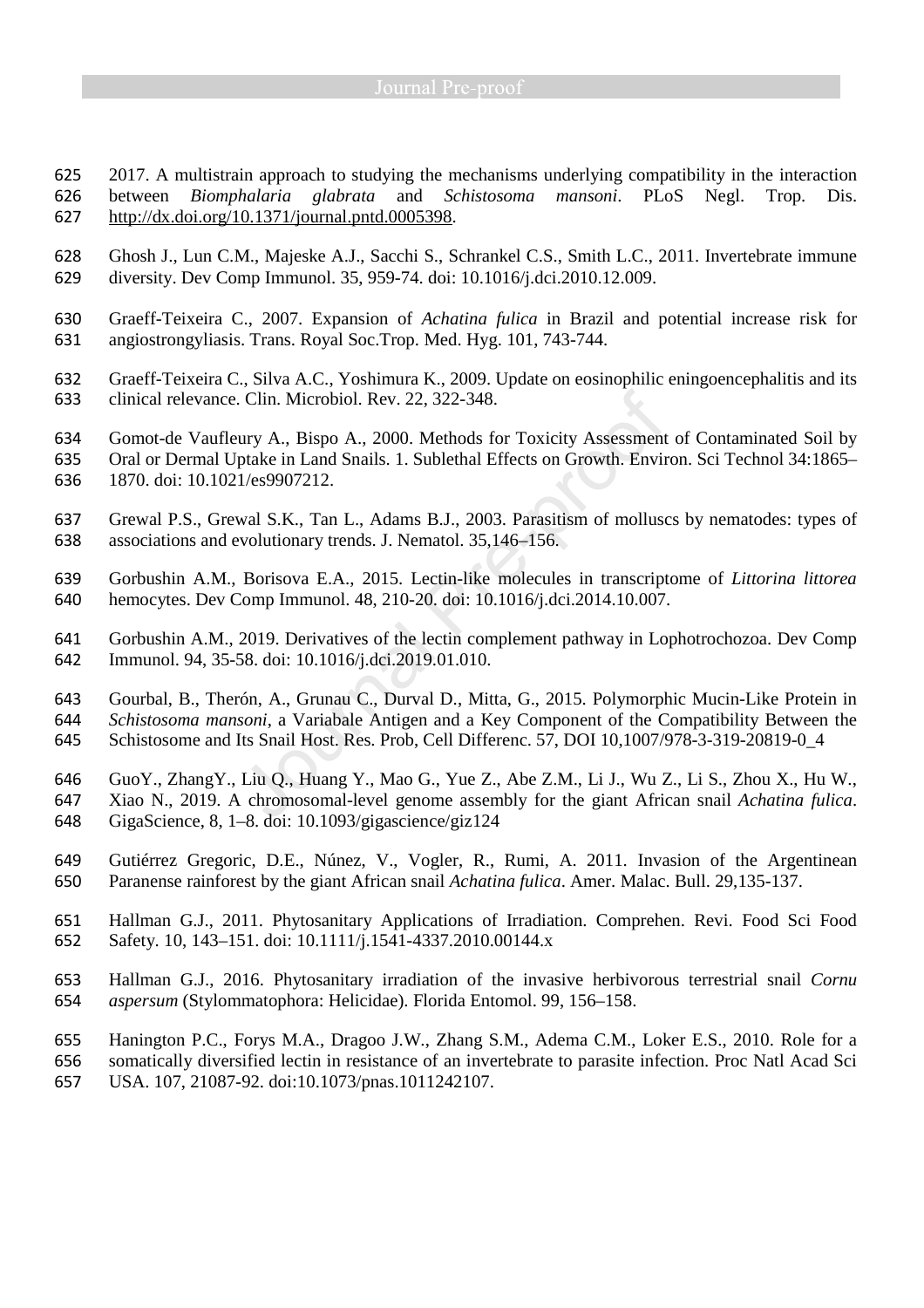2017. A multistrain approach to studying the mechanisms underlying compatibility in the interaction between *Biomphalaria glabrata* and *Schistosoma mansoni*. PLoS Negl. Trop. Dis. http://dx.doi.org/10.1371/journal.pntd.0005398.

- Ghosh J., Lun C.M., Majeske A.J., Sacchi S., Schrankel C.S., Smith L.C., 2011. Invertebrate immune diversity. Dev Comp Immunol. 35, 959-74. doi: 10.1016/j.dci.2010.12.009.
- Graeff-Teixeira C., 2007. Expansion of *Achatina fulica* in Brazil and potential increase risk for angiostrongyliasis. Trans. Royal Soc.Trop. Med. Hyg. 101, 743-744.
- Graeff-Teixeira C., Silva A.C., Yoshimura K., 2009. Update on eosinophilic eningoencephalitis and its clinical relevance. Clin. Microbiol. Rev. 22, 322-348.
- Gomot-de Vaufleury A., Bispo A., 2000. Methods for Toxicity Assessment of Contaminated Soil by Oral or Dermal Uptake in Land Snails. 1. Sublethal Effects on Growth. Environ. Sci Technol 34:1865– 1870. doi: 10.1021/es9907212.
- Grewal P.S., Grewal S.K., Tan L., Adams B.J., 2003. Parasitism of molluscs by nematodes: types of
- associations and evolutionary trends. J. Nematol. 35,146–156.
- Gorbushin A.M., Borisova E.A., 2015. Lectin-like molecules in transcriptome of *Littorina littorea* hemocytes. Dev Comp Immunol. 48, 210-20. doi: 10.1016/j.dci.2014.10.007.
- Gorbushin A.M., 2019. Derivatives of the lectin complement pathway in Lophotrochozoa. Dev Comp Immunol. 94, 35-58. doi: 10.1016/j.dci.2019.01.010.
- Gourbal, B., Therón, A., Grunau C., Durval D., Mitta, G., 2015. Polymorphic Mucin-Like Protein in *Schistosoma mansoni*, a Variabale Antigen and a Key Component of the Compatibility Between the Schistosome and Its Snail Host. Res. Prob, Cell Differenc. 57, DOI 10,1007/978-3-319-20819-0\_4
- GuoY., ZhangY., Liu Q., Huang Y., Mao G., Yue Z., Abe Z.M., Li J., Wu Z., Li S., Zhou X., Hu W., Xiao N., 2019. A chromosomal-level genome assembly for the giant African snail *Achatina fulica*. GigaScience, 8, 1–8. doi: 10.1093/gigascience/giz124
- Gutiérrez Gregoric, D.E., Núnez, V., Vogler, R., Rumi, A. 2011. Invasion of the Argentinean Paranense rainforest by the giant African snail *Achatina fulica*. Amer. Malac. Bull. 29,135-137.
- Hallman G.J., 2011. Phytosanitary Applications of Irradiation. Comprehen. Revi. Food Sci Food Safety. 10, 143–151. doi: 10.1111/j.1541-4337.2010.00144.x
- Hallman G.J., 2016. Phytosanitary irradiation of the invasive herbivorous terrestrial snail *Cornu aspersum* (Stylommatophora: Helicidae). Florida Entomol. 99, 156–158.
- Hanington P.C., Forys M.A., Dragoo J.W., Zhang S.M., Adema C.M., Loker E.S., 2010. Role for a
- somatically diversified lectin in resistance of an invertebrate to parasite infection. Proc Natl Acad Sci
- USA. 107, 21087-92. doi:10.1073/pnas.1011242107.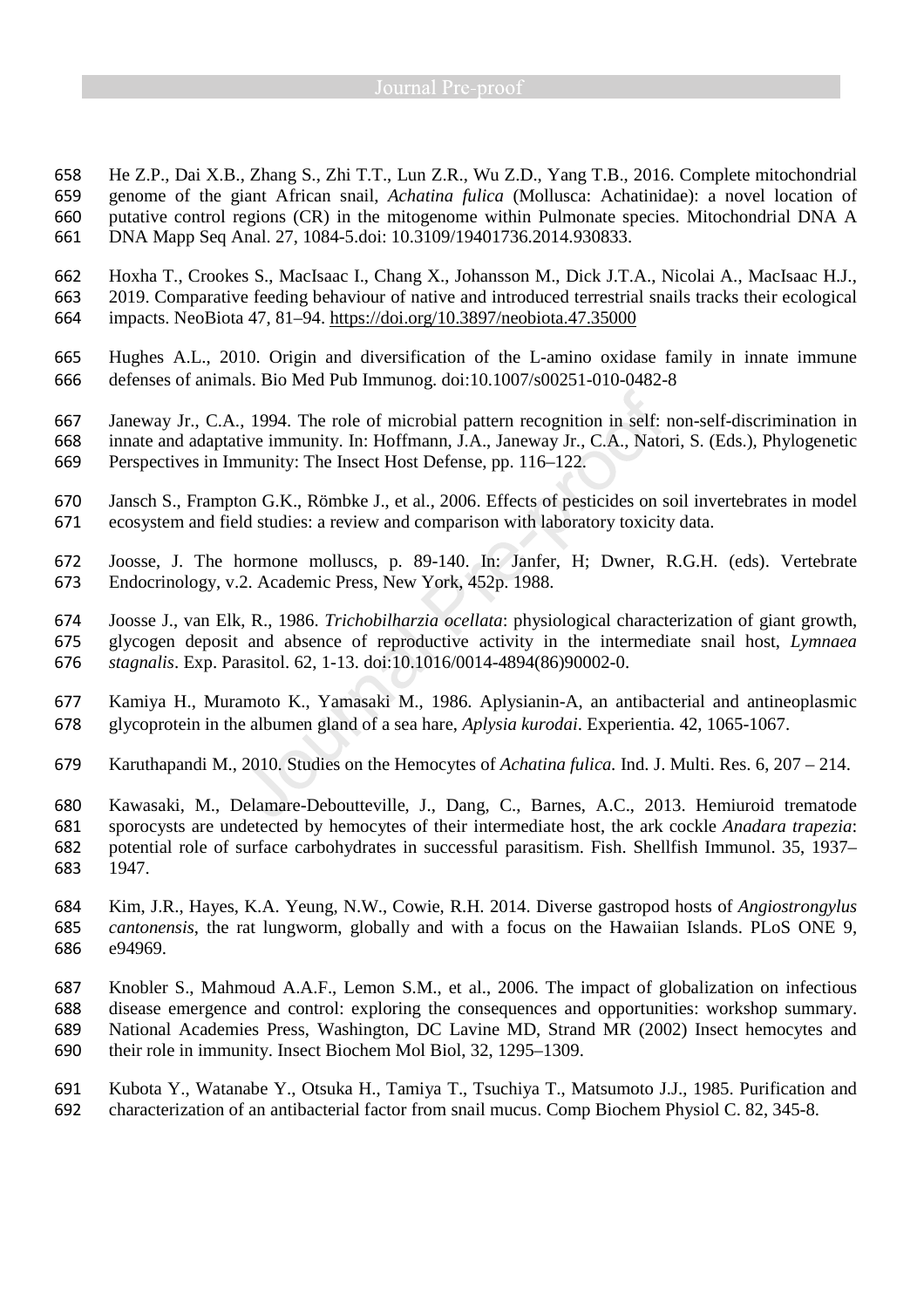He Z.P., Dai X.B., Zhang S., Zhi T.T., Lun Z.R., Wu Z.D., Yang T.B., 2016. Complete mitochondrial genome of the giant African snail, *Achatina fulica* (Mollusca: Achatinidae): a novel location of putative control regions (CR) in the mitogenome within Pulmonate species. Mitochondrial DNA A DNA Mapp Seq Anal. 27, 1084-5.doi: 10.3109/19401736.2014.930833.

Hoxha T., Crookes S., MacIsaac I., Chang X., Johansson M., Dick J.T.A., Nicolai A., MacIsaac H.J., 2019. Comparative feeding behaviour of native and introduced terrestrial snails tracks their ecological impacts. NeoBiota 47, 81–94. https://doi.org/10.3897/neobiota.47.35000

- Hughes A.L., 2010. Origin and diversification of the L-amino oxidase family in innate immune defenses of animals. Bio Med Pub Immunog. doi:10.1007/s00251-010-0482-8
- Janeway Jr., C.A., 1994. The role of microbial pattern recognition in self: non-self-discrimination in innate and adaptative immunity. In: Hoffmann, J.A., Janeway Jr., C.A., Natori, S. (Eds.), Phylogenetic Perspectives in Immunity: The Insect Host Defense, pp. 116–122.
- Jansch S., Frampton G.K., Römbke J., et al., 2006. Effects of pesticides on soil invertebrates in model ecosystem and field studies: a review and comparison with laboratory toxicity data.
- Joosse, J. The hormone molluscs, p. 89-140. In: Janfer, H; Dwner, R.G.H. (eds). Vertebrate Endocrinology, v.2. Academic Press, New York, 452p. 1988.
- Joosse J., van Elk, R., 1986. *Trichobilharzia ocellata*: physiological characterization of giant growth, glycogen deposit and absence of reproductive activity in the intermediate snail host, *Lymnaea stagnalis*. Exp. Parasitol. 62, 1-13. doi:10.1016/0014-4894(86)90002-0.
- Kamiya H., Muramoto K., Yamasaki M., 1986. Aplysianin-A, an antibacterial and antineoplasmic glycoprotein in the albumen gland of a sea hare, *Aplysia kurodai*. Experientia. 42, 1065-1067.
- Karuthapandi M., 2010. Studies on the Hemocytes of *Achatina fulica.* Ind. J. Multi. Res. 6, 207 214.
- Kawasaki, M., Delamare-Deboutteville, J., Dang, C., Barnes, A.C., 2013. Hemiuroid trematode sporocysts are undetected by hemocytes of their intermediate host, the ark cockle *Anadara trapezia*: potential role of surface carbohydrates in successful parasitism. Fish. Shellfish Immunol. 35, 1937– 1947.
- Kim, J.R., Hayes, K.A. Yeung, N.W., Cowie, R.H. 2014. Diverse gastropod hosts of *Angiostrongylus cantonensis*, the rat lungworm, globally and with a focus on the Hawaiian Islands. PLoS ONE 9, e94969.
- Knobler S., Mahmoud A.A.F., Lemon S.M., et al., 2006. The impact of globalization on infectious disease emergence and control: exploring the consequences and opportunities: workshop summary. National Academies Press, Washington, DC Lavine MD, Strand MR (2002) Insect hemocytes and
- their role in immunity. Insect Biochem Mol Biol, 32, 1295–1309.
- Kubota Y., Watanabe Y., Otsuka H., Tamiya T., Tsuchiya T., Matsumoto J.J., 1985. Purification and characterization of an antibacterial factor from snail mucus. Comp Biochem Physiol C. 82, 345-8.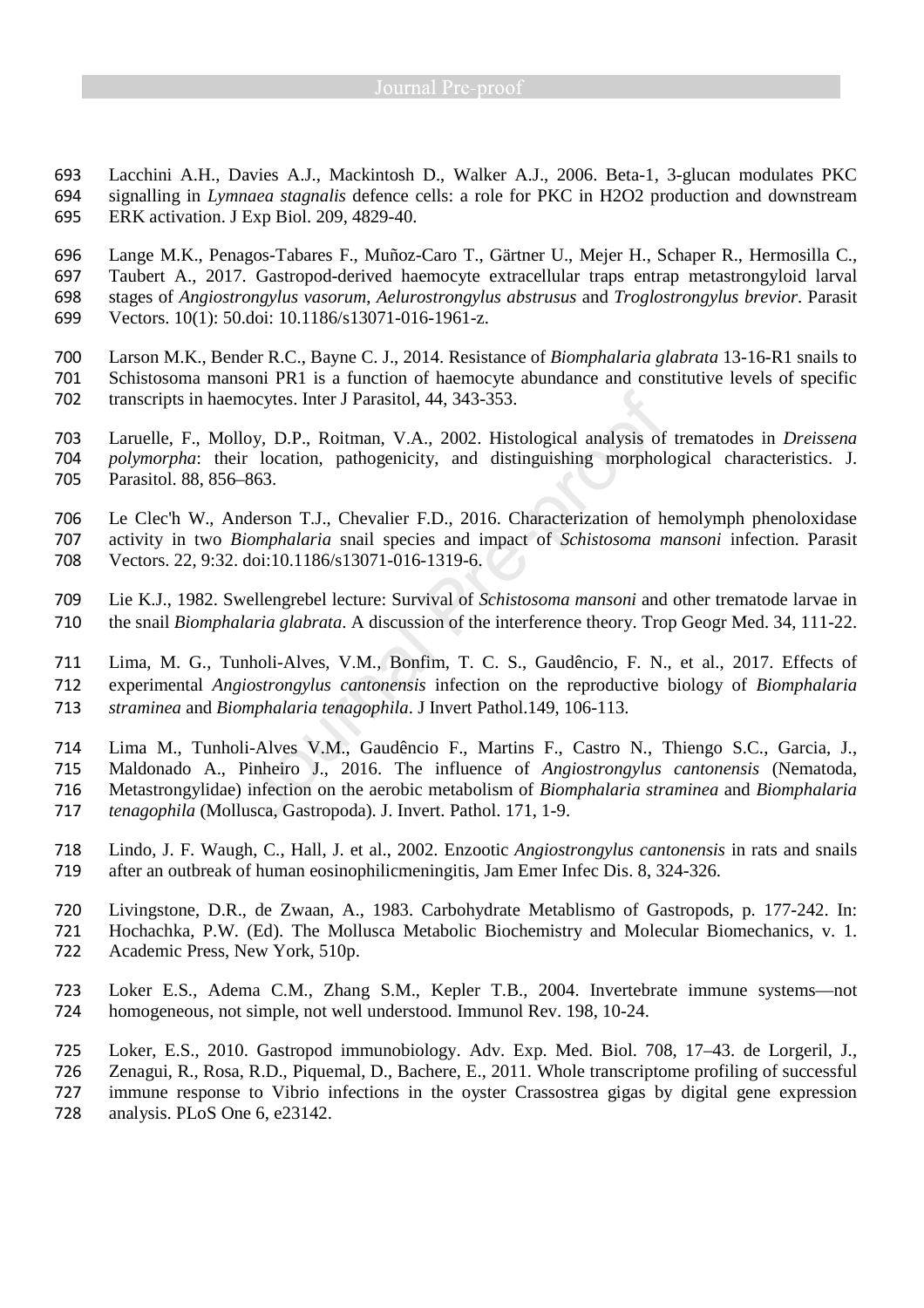Lacchini A.H., Davies A.J., Mackintosh D., Walker A.J., 2006. Beta-1, 3-glucan modulates PKC signalling in *Lymnaea stagnalis* defence cells: a role for PKC in H2O2 production and downstream ERK activation. J Exp Biol. 209, 4829-40.

Lange M.K., Penagos-Tabares F., Muñoz-Caro T., Gärtner U., Mejer H., Schaper R., Hermosilla C., Taubert A., 2017. Gastropod-derived haemocyte extracellular traps entrap metastrongyloid larval stages of *Angiostrongylus vasorum*, *Aelurostrongylus abstrusus* and *Troglostrongylus brevior*. Parasit Vectors. 10(1): 50.doi: 10.1186/s13071-016-1961-z.

Larson M.K., Bender R.C., Bayne C. J., 2014. Resistance of *Biomphalaria glabrata* 13-16-R1 snails to Schistosoma mansoni PR1 is a function of haemocyte abundance and constitutive levels of specific transcripts in haemocytes. Inter J Parasitol, 44, 343-353.

Laruelle, F., Molloy, D.P., Roitman, V.A., 2002. Histological analysis of trematodes in *Dreissena polymorpha*: their location, pathogenicity, and distinguishing morphological characteristics. J. Parasitol. 88, 856–863.

Le Clec'h W., Anderson T.J., Chevalier F.D., 2016. Characterization of hemolymph phenoloxidase

activity in two *Biomphalaria* snail species and impact of *Schistosoma mansoni* infection. Parasit Vectors. 22, 9:32. doi:10.1186/s13071-016-1319-6.

Lie K.J., 1982. Swellengrebel lecture: Survival of *Schistosoma mansoni* and other trematode larvae in the snail *Biomphalaria glabrata*. A discussion of the interference theory. Trop Geogr Med. 34, 111-22.

Lima, M. G., Tunholi-Alves, V.M., Bonfim, T. C. S., Gaudêncio, F. N., et al., 2017. Effects of experimental *Angiostrongylus cantonensis* infection on the reproductive biology of *Biomphalaria straminea* and *Biomphalaria tenagophila*. J Invert Pathol.149, 106-113.

Lima M., Tunholi-Alves V.M., Gaudêncio F., Martins F., Castro N., Thiengo S.C., Garcia, J.,

Maldonado A., Pinheiro J., 2016. The influence of *Angiostrongylus cantonensis* (Nematoda,

Metastrongylidae) infection on the aerobic metabolism of *Biomphalaria straminea* and *Biomphalaria* 

*tenagophila* (Mollusca, Gastropoda). J. Invert. Pathol. 171, 1-9.

Lindo, J. F. Waugh, C., Hall, J. et al., 2002. Enzootic *Angiostrongylus cantonensis* in rats and snails after an outbreak of human eosinophilicmeningitis, Jam Emer Infec Dis. 8, 324-326.

Livingstone, D.R., de Zwaan, A., 1983. Carbohydrate Metablismo of Gastropods, p. 177-242. In: Hochachka, P.W. (Ed). The Mollusca Metabolic Biochemistry and Molecular Biomechanics, v. 1. Academic Press, New York, 510p.

Loker E.S., Adema C.M., Zhang S.M., Kepler T.B., 2004. Invertebrate immune systems—not homogeneous, not simple, not well understood. Immunol Rev. 198, 10-24.

Loker, E.S., 2010. Gastropod immunobiology. Adv. Exp. Med. Biol. 708, 17–43. de Lorgeril, J.,

Zenagui, R., Rosa, R.D., Piquemal, D., Bachere, E., 2011. Whole transcriptome profiling of successful

immune response to Vibrio infections in the oyster Crassostrea gigas by digital gene expression

analysis. PLoS One 6, e23142.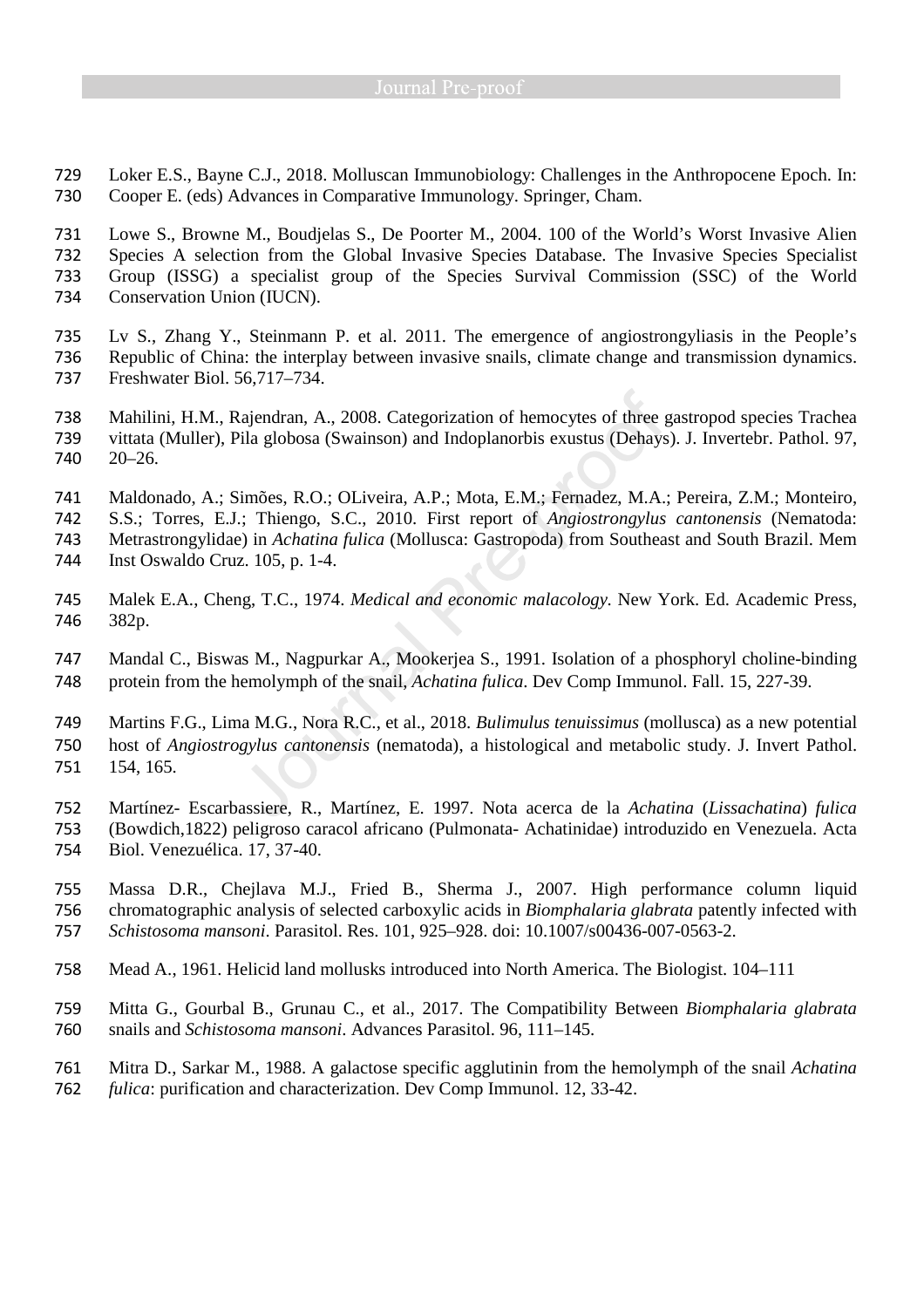Loker E.S., Bayne C.J., 2018. Molluscan Immunobiology: Challenges in the Anthropocene Epoch. In: Cooper E. (eds) Advances in Comparative Immunology. Springer, Cham.

Lowe S., Browne M., Boudjelas S., De Poorter M., 2004. 100 of the World's Worst Invasive Alien Species A selection from the Global Invasive Species Database. The Invasive Species Specialist Group (ISSG) a specialist group of the Species Survival Commission (SSC) of the World Conservation Union (IUCN).

- Lv S., Zhang Y., Steinmann P. et al. 2011. The emergence of angiostrongyliasis in the People's Republic of China: the interplay between invasive snails, climate change and transmission dynamics. Freshwater Biol. 56,717–734.
- Mahilini, H.M., Rajendran, A., 2008. Categorization of hemocytes of three gastropod species Trachea vittata (Muller), Pila globosa (Swainson) and Indoplanorbis exustus (Dehays). J. Invertebr. Pathol. 97, 20–26.
- Maldonado, A.; Simões, R.O.; OLiveira, A.P.; Mota, E.M.; Fernadez, M.A.; Pereira, Z.M.; Monteiro,
- S.S.; Torres, E.J.; Thiengo, S.C., 2010. First report of *Angiostrongylus cantonensis* (Nematoda: Metrastrongylidae) in *Achatina fulica* (Mollusca: Gastropoda) from Southeast and South Brazil. Mem
- Inst Oswaldo Cruz. 105, p. 1-4.
- Malek E.A., Cheng, T.C., 1974. *Medical and economic malacology.* New York. Ed. Academic Press, 382p.
- Mandal C., Biswas M., Nagpurkar A., Mookerjea S., 1991. Isolation of a phosphoryl choline-binding protein from the hemolymph of the snail, *Achatina fulica*. Dev Comp Immunol. Fall. 15, 227-39.
- Martins F.G., Lima M.G., Nora R.C., et al., 2018. *Bulimulus tenuissimus* (mollusca) as a new potential host of *Angiostrogylus cantonensis* (nematoda), a histological and metabolic study. J. Invert Pathol. 154, 165.
- Martínez- Escarbassiere, R., Martínez, E. 1997. Nota acerca de la *Achatina* (*Lissachatina*) *fulica*  (Bowdich,1822) peligroso caracol africano (Pulmonata- Achatinidae) introduzido en Venezuela. Acta Biol. Venezuélica. 17, 37-40.
- Massa D.R., Chejlava M.J., Fried B., Sherma J., 2007. High performance column liquid chromatographic analysis of selected carboxylic acids in *Biomphalaria glabrata* patently infected with *Schistosoma mansoni*. Parasitol. Res. 101, 925–928. doi: 10.1007/s00436-007-0563-2.
- Mead A., 1961. Helicid land mollusks introduced into North America. The Biologist. 104–111
- Mitta G., Gourbal B., Grunau C., et al., 2017. The Compatibility Between *Biomphalaria glabrata*  snails and *Schistosoma mansoni*. Advances Parasitol. 96, 111–145.
- Mitra D., Sarkar M., 1988. A galactose specific agglutinin from the hemolymph of the snail *Achatina fulica*: purification and characterization. Dev Comp Immunol. 12, 33-42.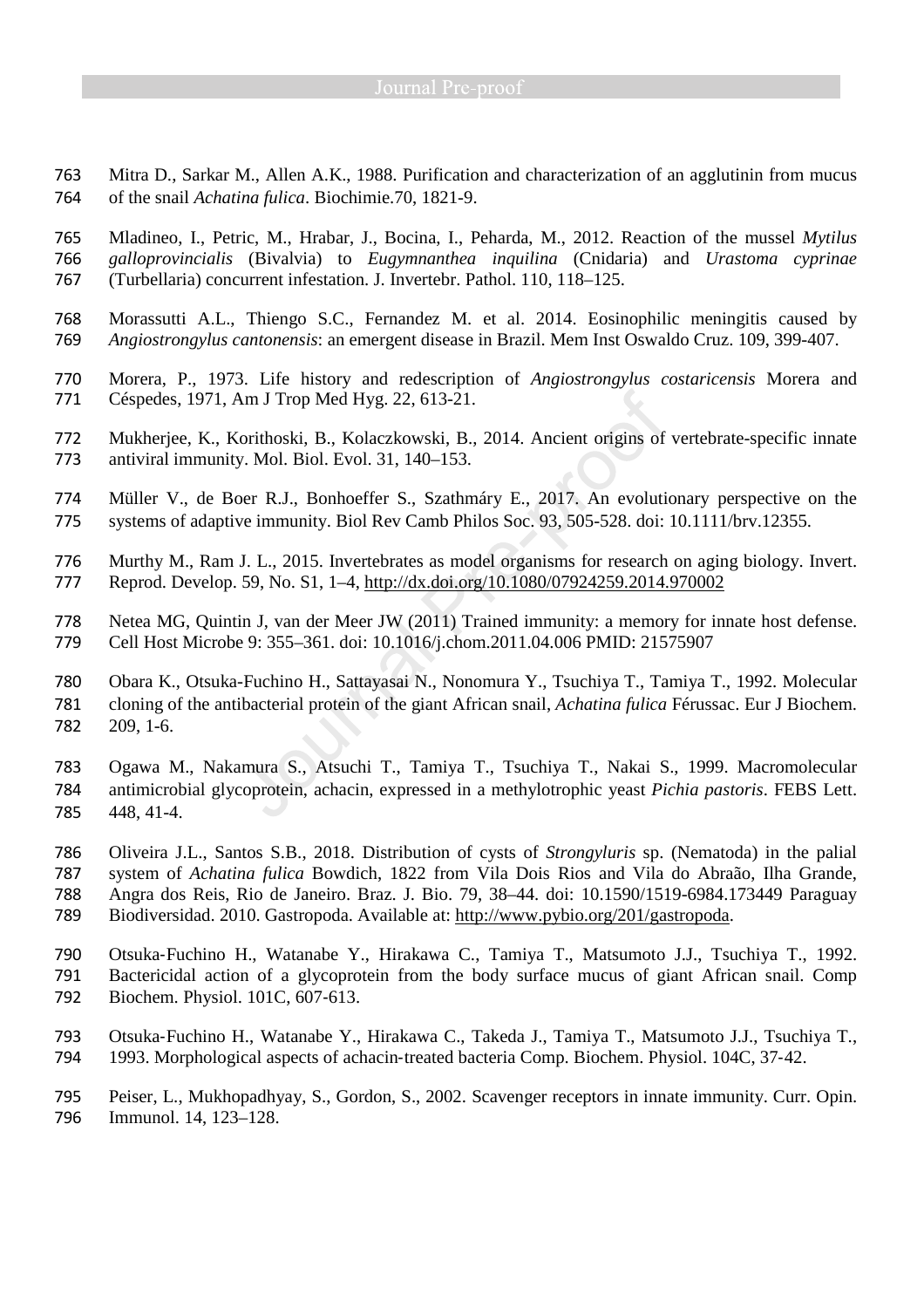Mitra D., Sarkar M., Allen A.K., 1988. Purification and characterization of an agglutinin from mucus of the snail *Achatina fulica*. Biochimie.70, 1821-9.

Mladineo, I., Petric, M., Hrabar, J., Bocina, I., Peharda, M., 2012. Reaction of the mussel *Mytilus galloprovincialis* (Bivalvia) to *Eugymnanthea inquilina* (Cnidaria) and *Urastoma cyprinae*  (Turbellaria) concurrent infestation. J. Invertebr. Pathol. 110, 118–125.

- Morassutti A.L., Thiengo S.C., Fernandez M. et al. 2014. Eosinophilic meningitis caused by *Angiostrongylus cantonensis*: an emergent disease in Brazil. Mem Inst Oswaldo Cruz. 109, 399-407.
- Morera, P., 1973. Life history and redescription of *Angiostrongylus costaricensis* Morera and Céspedes, 1971, Am J Trop Med Hyg. 22, 613-21.
- Mukherjee, K., Korithoski, B., Kolaczkowski, B., 2014. Ancient origins of vertebrate-specific innate antiviral immunity. Mol. Biol. Evol. 31, 140–153.
- Müller V., de Boer R.J., Bonhoeffer S., Szathmáry E., 2017. An evolutionary perspective on the systems of adaptive immunity. Biol Rev Camb Philos Soc. 93, 505-528. doi: 10.1111/brv.12355.
- Murthy M., Ram J. L., 2015. Invertebrates as model organisms for research on aging biology. Invert. Reprod. Develop. 59, No. S1, 1–4, http://dx.doi.org/10.1080/07924259.2014.970002
- Netea MG, Quintin J, van der Meer JW (2011) Trained immunity: a memory for innate host defense. Cell Host Microbe 9: 355–361. doi: 10.1016/j.chom.2011.04.006 PMID: 21575907
- Obara K., Otsuka-Fuchino H., Sattayasai N., Nonomura Y., Tsuchiya T., Tamiya T., 1992. Molecular cloning of the antibacterial protein of the giant African snail, *Achatina fulica* Férussac. Eur J Biochem. 209, 1-6.
- Ogawa M., Nakamura S., Atsuchi T., Tamiya T., Tsuchiya T., Nakai S., 1999. Macromolecular antimicrobial glycoprotein, achacin, expressed in a methylotrophic yeast *Pichia pastoris*. FEBS Lett. 448, 41-4.
- Oliveira J.L., Santos S.B., 2018. Distribution of cysts of *Strongyluris* sp. (Nematoda) in the palial system of *Achatina fulica* Bowdich, 1822 from Vila Dois Rios and Vila do Abraão, Ilha Grande, Angra dos Reis, Rio de Janeiro. Braz. J. Bio. 79, 38–44. doi: 10.1590/1519-6984.173449 Paraguay Biodiversidad. 2010. Gastropoda. Available at: http://www.pybio.org/201/gastropoda.
- Otsuka‐Fuchino H., Watanabe Y., Hirakawa C., Tamiya T., Matsumoto J.J., Tsuchiya T., 1992. Bactericidal action of a glycoprotein from the body surface mucus of giant African snail. Comp Biochem. Physiol. 101C, 607‐613.
- Otsuka‐Fuchino H., Watanabe Y., Hirakawa C., Takeda J., Tamiya T., Matsumoto J.J., Tsuchiya T., 1993. Morphological aspects of achacin‐treated bacteria Comp. Biochem. Physiol. 104C, 37‐42.
- Peiser, L., Mukhopadhyay, S., Gordon, S., 2002. Scavenger receptors in innate immunity. Curr. Opin. Immunol. 14, 123–128.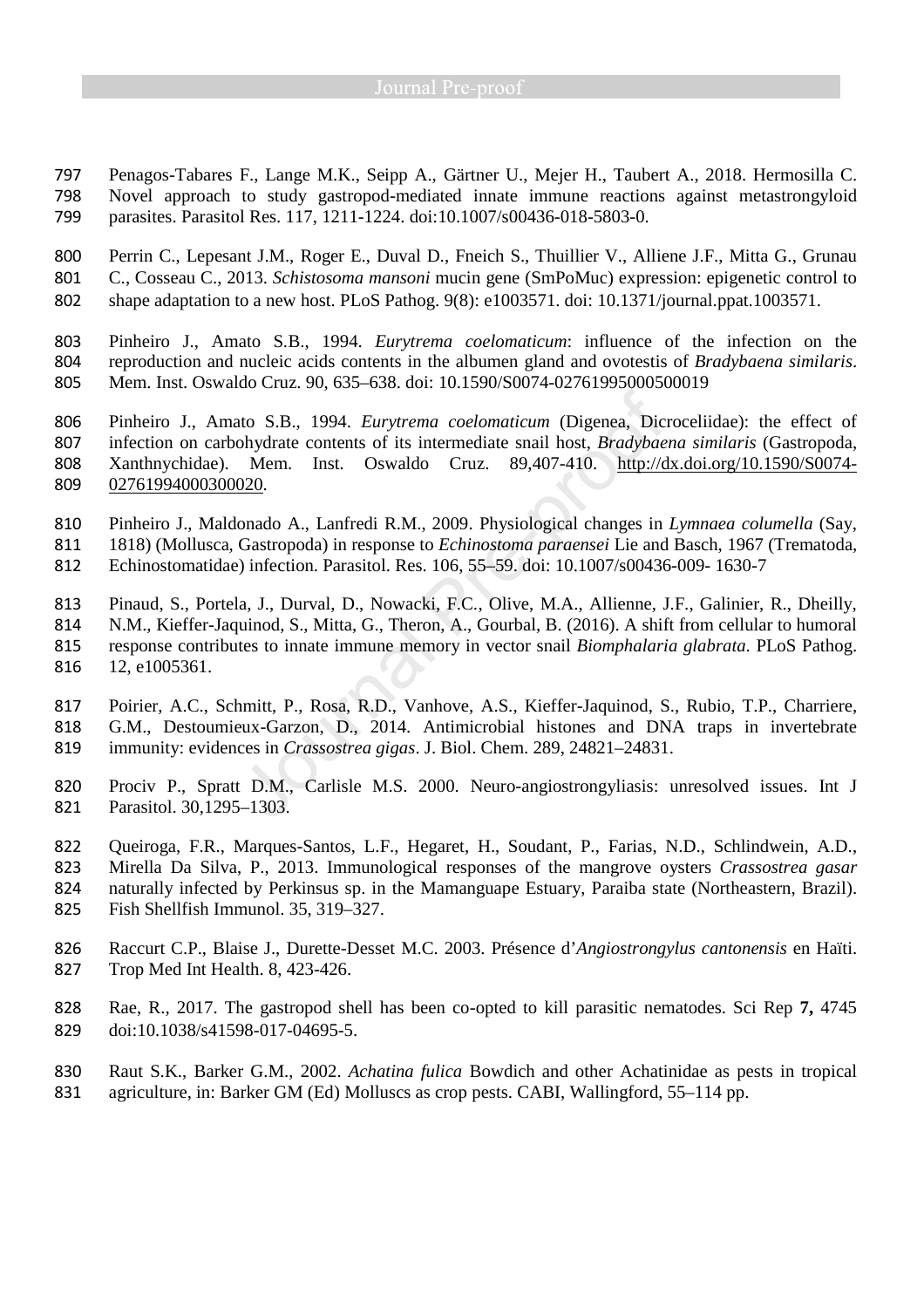Penagos-Tabares F., Lange M.K., Seipp A., Gärtner U., Mejer H., Taubert A., 2018. Hermosilla C. Novel approach to study gastropod-mediated innate immune reactions against metastrongyloid parasites. Parasitol Res. 117, 1211-1224. doi:10.1007/s00436-018-5803-0.

Perrin C., Lepesant J.M., Roger E., Duval D., Fneich S., Thuillier V., Alliene J.F., Mitta G., Grunau C., Cosseau C., 2013. *Schistosoma mansoni* mucin gene (SmPoMuc) expression: epigenetic control to shape adaptation to a new host. PLoS Pathog. 9(8): e1003571. doi: 10.1371/journal.ppat.1003571.

Pinheiro J., Amato S.B., 1994. *Eurytrema coelomaticum*: influence of the infection on the reproduction and nucleic acids contents in the albumen gland and ovotestis of *Bradybaena similaris*. Mem. Inst. Oswaldo Cruz. 90, 635–638. doi: 10.1590/S0074-02761995000500019

Pinheiro J., Amato S.B., 1994. *Eurytrema coelomaticum* (Digenea, Dicroceliidae): the effect of infection on carbohydrate contents of its intermediate snail host, *Bradybaena similaris* (Gastropoda, Xanthnychidae). Mem. Inst. Oswaldo Cruz. 89,407-410. http://dx.doi.org/10.1590/S0074- 02761994000300020.

Pinheiro J., Maldonado A., Lanfredi R.M., 2009. Physiological changes in *Lymnaea columella* (Say, 1818) (Mollusca, Gastropoda) in response to *Echinostoma paraensei* Lie and Basch, 1967 (Trematoda,

Echinostomatidae) infection. Parasitol. Res. 106, 55–59. doi: 10.1007/s00436-009- 1630-7

Pinaud, S., Portela, J., Durval, D., Nowacki, F.C., Olive, M.A., Allienne, J.F., Galinier, R., Dheilly, N.M., Kieffer-Jaquinod, S., Mitta, G., Theron, A., Gourbal, B. (2016). A shift from cellular to humoral response contributes to innate immune memory in vector snail *Biomphalaria glabrata*. PLoS Pathog. 12, e1005361.

Poirier, A.C., Schmitt, P., Rosa, R.D., Vanhove, A.S., Kieffer-Jaquinod, S., Rubio, T.P., Charriere, G.M., Destoumieux-Garzon, D., 2014. Antimicrobial histones and DNA traps in invertebrate immunity: evidences in *Crassostrea gigas*. J. Biol. Chem. 289, 24821–24831.

Prociv P., Spratt D.M., Carlisle M.S. 2000. Neuro-angiostrongyliasis: unresolved issues. Int J Parasitol. 30,1295–1303.

Queiroga, F.R., Marques-Santos, L.F., Hegaret, H., Soudant, P., Farias, N.D., Schlindwein, A.D., Mirella Da Silva, P., 2013. Immunological responses of the mangrove oysters *Crassostrea gasar*  naturally infected by Perkinsus sp. in the Mamanguape Estuary, Paraiba state (Northeastern, Brazil). Fish Shellfish Immunol. 35, 319–327.

Raccurt C.P., Blaise J., Durette-Desset M.C. 2003. Présence d'*Angiostrongylus cantonensis* en Haïti. Trop Med Int Health. 8, 423-426.

Rae, R., 2017. The gastropod shell has been co-opted to kill parasitic nematodes. Sci Rep **7,** 4745 doi:10.1038/s41598-017-04695-5.

Raut S.K., Barker G.M., 2002. *Achatina fulica* Bowdich and other Achatinidae as pests in tropical agriculture, in: Barker GM (Ed) Molluscs as crop pests. CABI, Wallingford, 55–114 pp.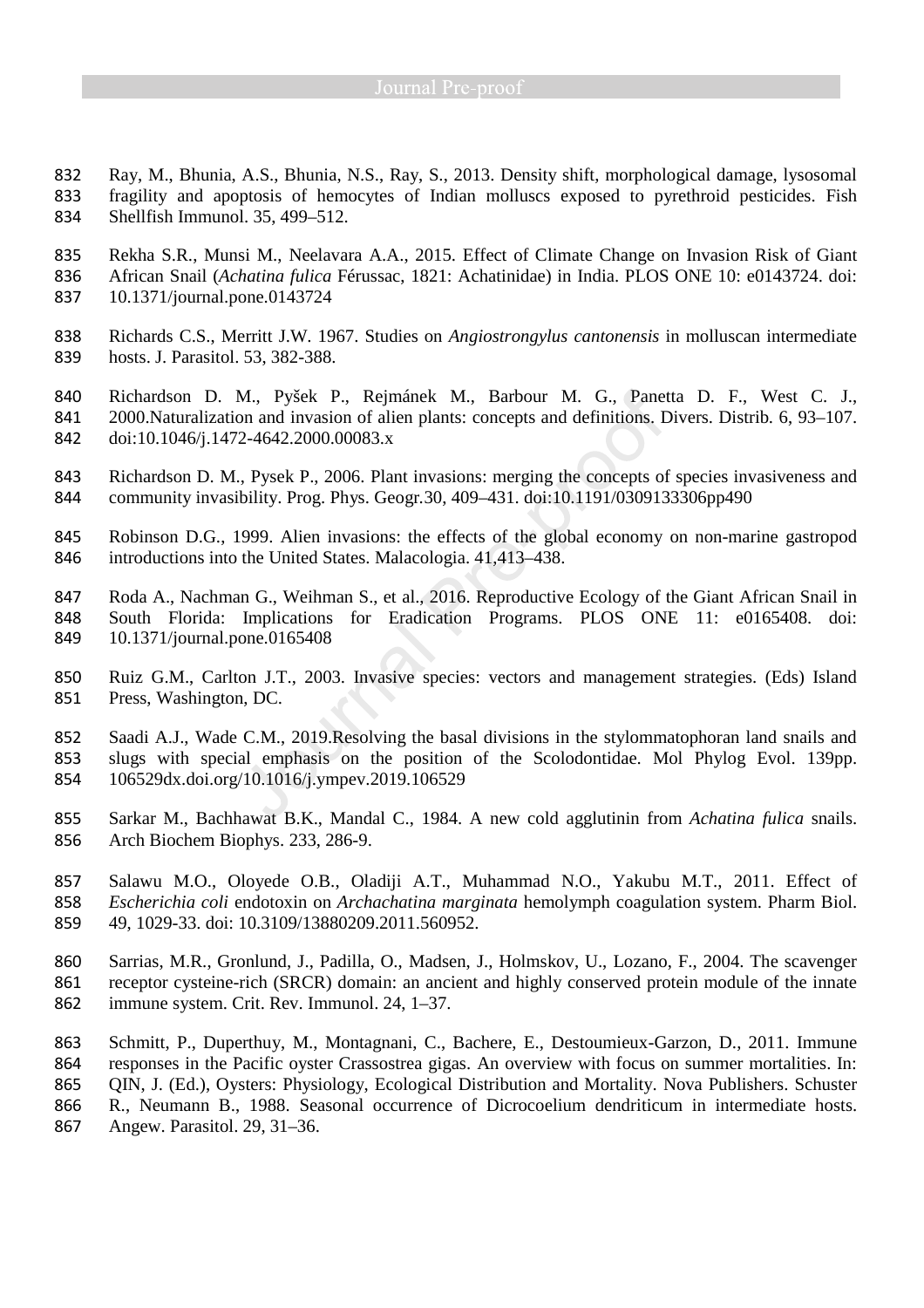Ray, M., Bhunia, A.S., Bhunia, N.S., Ray, S., 2013. Density shift, morphological damage, lysosomal fragility and apoptosis of hemocytes of Indian molluscs exposed to pyrethroid pesticides. Fish Shellfish Immunol. 35, 499–512.

Rekha S.R., Munsi M., Neelavara A.A., 2015. Effect of Climate Change on Invasion Risk of Giant African Snail (*Achatina fulica* Férussac, 1821: Achatinidae) in India. PLOS ONE 10: e0143724. doi: 10.1371/journal.pone.0143724

- Richards C.S., Merritt J.W. 1967. Studies on *Angiostrongylus cantonensis* in molluscan intermediate hosts. J. Parasitol. 53, 382-388.
- Richardson D. M., Pyšek P., Rejmánek M., Barbour M. G., Panetta D. F., West C. J., 2000.Naturalization and invasion of alien plants: concepts and definitions. Divers. Distrib*.* 6, 93–107. doi:10.1046/j.1472-4642.2000.00083.x
- Richardson D. M., Pysek P., 2006. Plant invasions: merging the concepts of species invasiveness and community invasibility. Prog. Phys. Geogr*.*30, 409–431. doi:10.1191/0309133306pp490
- Robinson D.G., 1999. Alien invasions: the effects of the global economy on non-marine gastropod introductions into the United States. Malacologia. 41,413–438.
- Roda A., Nachman G., Weihman S., et al., 2016. Reproductive Ecology of the Giant African Snail in South Florida: Implications for Eradication Programs. PLOS ONE 11: e0165408. doi: 10.1371/journal.pone.0165408
- Ruiz G.M., Carlton J.T., 2003. Invasive species: vectors and management strategies. (Eds) Island Press, Washington, DC.
- Saadi A.J., Wade C.M., 2019.Resolving the basal divisions in the stylommatophoran land snails and slugs with special emphasis on the position of the Scolodontidae. Mol Phylog Evol. 139pp. 106529dx.doi.org/10.1016/j.ympev.2019.106529
- Sarkar M., Bachhawat B.K., Mandal C., 1984. A new cold agglutinin from *Achatina fulica* snails. Arch Biochem Biophys. 233, 286-9.
- Salawu M.O., Oloyede O.B., Oladiji A.T., Muhammad N.O., Yakubu M.T., 2011. Effect of *Escherichia coli* endotoxin on *Archachatina marginata* hemolymph coagulation system. Pharm Biol. 49, 1029-33. doi: 10.3109/13880209.2011.560952.
- Sarrias, M.R., Gronlund, J., Padilla, O., Madsen, J., Holmskov, U., Lozano, F., 2004. The scavenger receptor cysteine-rich (SRCR) domain: an ancient and highly conserved protein module of the innate immune system. Crit. Rev. Immunol. 24, 1–37.
- Schmitt, P., Duperthuy, M., Montagnani, C., Bachere, E., Destoumieux-Garzon, D., 2011. Immune responses in the Pacific oyster Crassostrea gigas. An overview with focus on summer mortalities. In: 865 OIN, J. (Ed.), Oysters: Physiology, Ecological Distribution and Mortality. Nova Publishers. Schuster
- R., Neumann B., 1988. Seasonal occurrence of Dicrocoelium dendriticum in intermediate hosts.
- Angew. Parasitol. 29, 31–36.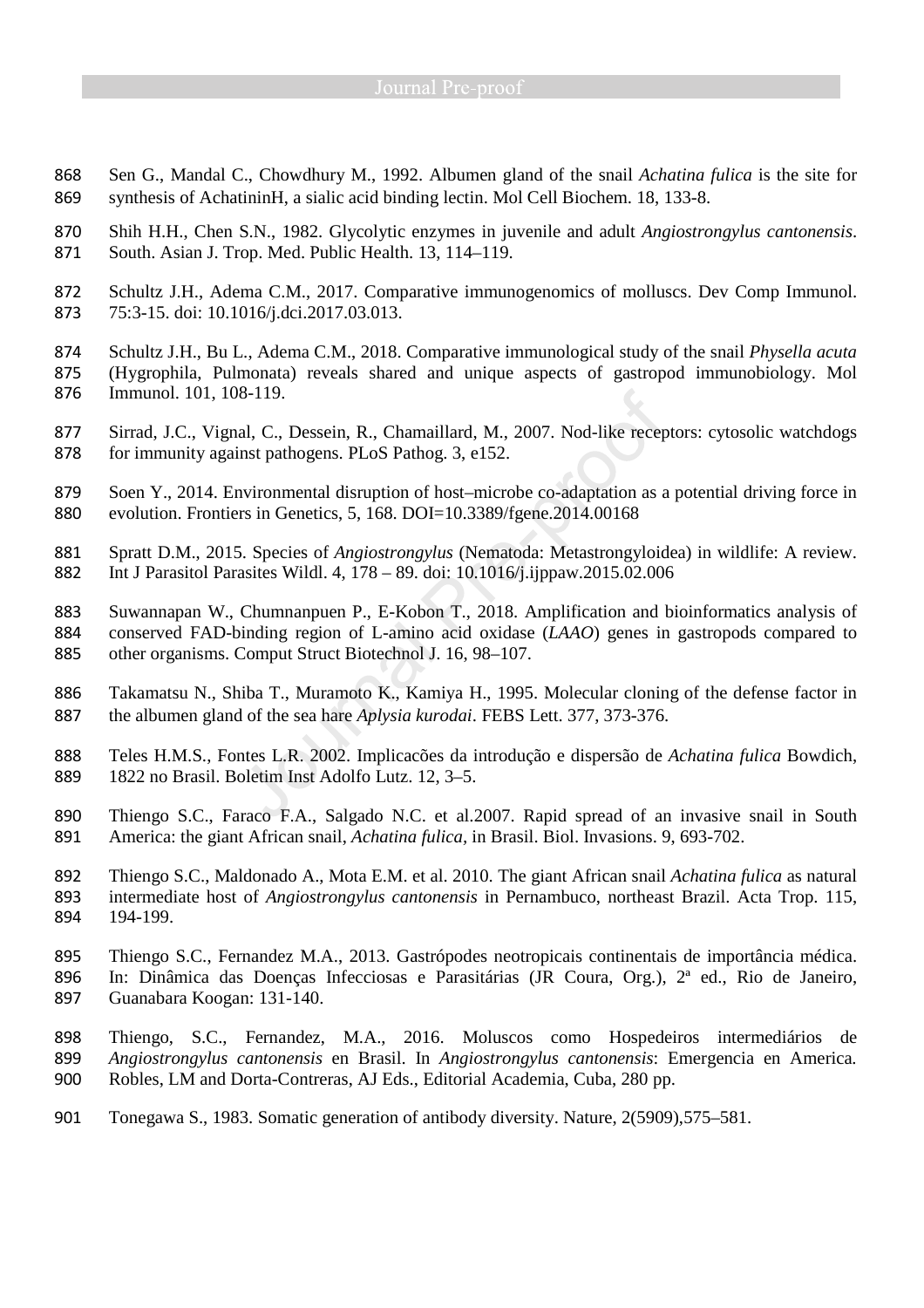- Sen G., Mandal C., Chowdhury M., 1992. Albumen gland of the snail *Achatina fulica* is the site for synthesis of AchatininH, a sialic acid binding lectin. Mol Cell Biochem. 18, 133-8.
- Shih H.H., Chen S.N., 1982. Glycolytic enzymes in juvenile and adult *Angiostrongylus cantonensis*. South. Asian J. Trop. Med. Public Health. 13, 114–119.
- Schultz J.H., Adema C.M., 2017. Comparative immunogenomics of molluscs. Dev Comp Immunol. 75:3-15. doi: 10.1016/j.dci.2017.03.013.
- Schultz J.H., Bu L., Adema C.M., 2018. Comparative immunological study of the snail *Physella acuta*
- (Hygrophila, Pulmonata) reveals shared and unique aspects of gastropod immunobiology. Mol Immunol. 101, 108-119.
- Sirrad, J.C., Vignal, C., Dessein, R., Chamaillard, M., 2007. Nod-like receptors: cytosolic watchdogs for immunity against pathogens. PLoS Pathog. 3, e152.
- 879 Soen Y., 2014. Environmental disruption of host–microbe co-adaptation as a potential driving force in evolution. Frontiers in Genetics, 5, 168. DOI=10.3389/fgene.2014.00168
- Spratt D.M., 2015. Species of *Angiostrongylus* (Nematoda: Metastrongyloidea) in wildlife: A review. Int J Parasitol Parasites Wildl. 4, 178 – 89. doi: 10.1016/j.ijppaw.2015.02.006
- Suwannapan W., Chumnanpuen P., E-Kobon T., 2018. Amplification and bioinformatics analysis of conserved FAD-binding region of L-amino acid oxidase (*LAAO*) genes in gastropods compared to other organisms. Comput Struct Biotechnol J. 16, 98–107.
- Takamatsu N., Shiba T., Muramoto K., Kamiya H., 1995. Molecular cloning of the defense factor in the albumen gland of the sea hare *Aplysia kurodai*. FEBS Lett. 377, 373-376.
- Teles H.M.S., Fontes L.R. 2002. Implicacões da introdução e dispersão de *Achatina fulica* Bowdich, 1822 no Brasil. Boletim Inst Adolfo Lutz. 12, 3–5.
- Thiengo S.C., Faraco F.A., Salgado N.C. et al.2007. Rapid spread of an invasive snail in South America: the giant African snail, *Achatina fulica,* in Brasil. Biol. Invasions. 9, 693-702.
- Thiengo S.C., Maldonado A., Mota E.M. et al. 2010. The giant African snail *Achatina fulica* as natural intermediate host of *Angiostrongylus cantonensis* in Pernambuco, northeast Brazil. Acta Trop. 115, 194-199.
- Thiengo S.C., Fernandez M.A., 2013. Gastrópodes neotropicais continentais de importância médica.
- In: Dinâmica das Doenças Infecciosas e Parasitárias (JR Coura, Org.), 2ª ed., Rio de Janeiro, Guanabara Koogan: 131-140.
- Thiengo, S.C., Fernandez, M.A., 2016. Moluscos como Hospedeiros intermediários de *Angiostrongylus cantonensis* en Brasil. In *Angiostrongylus cantonensis*: Emergencia en America*.*  Robles, LM and Dorta-Contreras, AJ Eds., Editorial Academia, Cuba, 280 pp.
- Tonegawa S., 1983. Somatic generation of antibody diversity. Nature, 2(5909),575–581.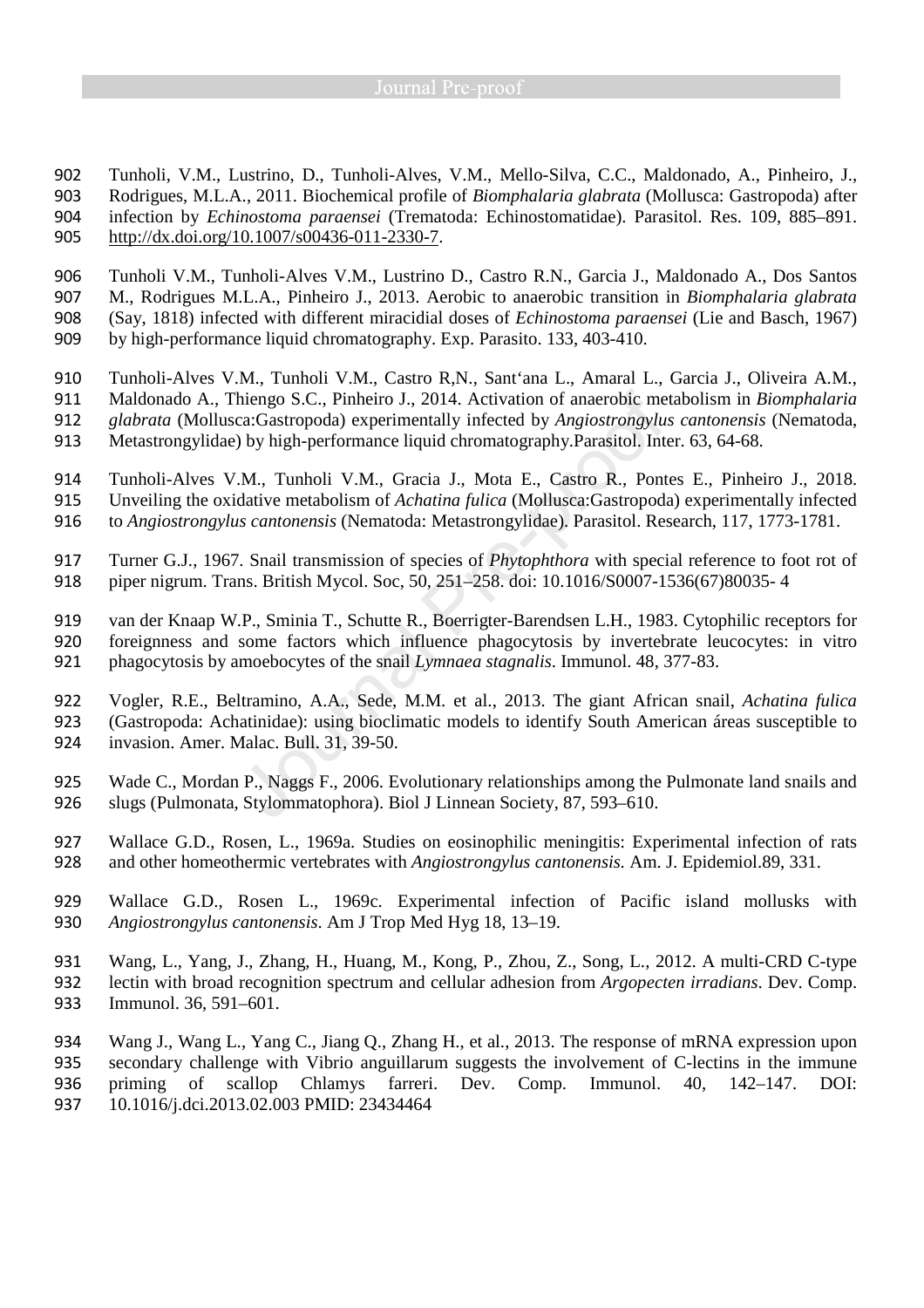Tunholi, V.M., Lustrino, D., Tunholi-Alves, V.M., Mello-Silva, C.C., Maldonado, A., Pinheiro, J., Rodrigues, M.L.A., 2011. Biochemical profile of *Biomphalaria glabrata* (Mollusca: Gastropoda) after infection by *Echinostoma paraensei* (Trematoda: Echinostomatidae). Parasitol. Res. 109, 885–891. http://dx.doi.org/10.1007/s00436-011-2330-7.

Tunholi V.M., Tunholi-Alves V.M., Lustrino D., Castro R.N., Garcia J., Maldonado A., Dos Santos M., Rodrigues M.L.A., Pinheiro J., 2013. Aerobic to anaerobic transition in *Biomphalaria glabrata*  (Say, 1818) infected with different miracidial doses of *Echinostoma paraensei* (Lie and Basch, 1967) by high-performance liquid chromatography. Exp. Parasito. 133, 403-410.

Tunholi-Alves V.M., Tunholi V.M., Castro R,N., Sant'ana L., Amaral L., Garcia J., Oliveira A.M., Maldonado A., Thiengo S.C., Pinheiro J., 2014. Activation of anaerobic metabolism in *Biomphalaria glabrata* (Mollusca:Gastropoda) experimentally infected by *Angiostrongylus cantonensis* (Nematoda, Metastrongylidae) by high-performance liquid chromatography.Parasitol. Inter. 63, 64-68.

- Tunholi-Alves V.M., Tunholi V.M., Gracia J., Mota E., Castro R., Pontes E., Pinheiro J., 2018. Unveiling the oxidative metabolism of *Achatina fulica* (Mollusca:Gastropoda) experimentally infected to *Angiostrongylus cantonensis* (Nematoda: Metastrongylidae). Parasitol. Research, 117, 1773-1781.
- Turner G.J., 1967. Snail transmission of species of *Phytophthora* with special reference to foot rot of piper nigrum. Trans. British Mycol. Soc, 50, 251–258. doi: 10.1016/S0007-1536(67)80035- 4

van der Knaap W.P., Sminia T., Schutte R., Boerrigter-Barendsen L.H., 1983. Cytophilic receptors for foreignness and some factors which influence phagocytosis by invertebrate leucocytes: in vitro phagocytosis by amoebocytes of the snail *Lymnaea stagnalis*. Immunol. 48, 377-83.

Vogler, R.E., Beltramino, A.A., Sede, M.M. et al., 2013. The giant African snail, *Achatina fulica*  (Gastropoda: Achatinidae): using bioclimatic models to identify South American áreas susceptible to invasion. Amer. Malac. Bull. 31, 39-50.

- Wade C., Mordan P., Naggs F., 2006. Evolutionary relationships among the Pulmonate land snails and slugs (Pulmonata, Stylommatophora). Biol J Linnean Society, 87, 593–610.
- Wallace G.D., Rosen, L., 1969a. Studies on eosinophilic meningitis: Experimental infection of rats and other homeothermic vertebrates with *Angiostrongylus cantonensis.* Am. J. Epidemiol.89, 331.
- Wallace G.D., Rosen L., 1969c. Experimental infection of Pacific island mollusks with *Angiostrongylus cantonensis*. Am J Trop Med Hyg 18, 13–19.
- Wang, L., Yang, J., Zhang, H., Huang, M., Kong, P., Zhou, Z., Song, L., 2012. A multi-CRD C-type
- lectin with broad recognition spectrum and cellular adhesion from *Argopecten irradians*. Dev. Comp.
- Immunol. 36, 591–601.

Wang J., Wang L., Yang C., Jiang Q., Zhang H., et al., 2013. The response of mRNA expression upon secondary challenge with Vibrio anguillarum suggests the involvement of C-lectins in the immune priming of scallop Chlamys farreri. Dev. Comp. Immunol. 40, 142–147. DOI: 10.1016/j.dci.2013.02.003 PMID: 23434464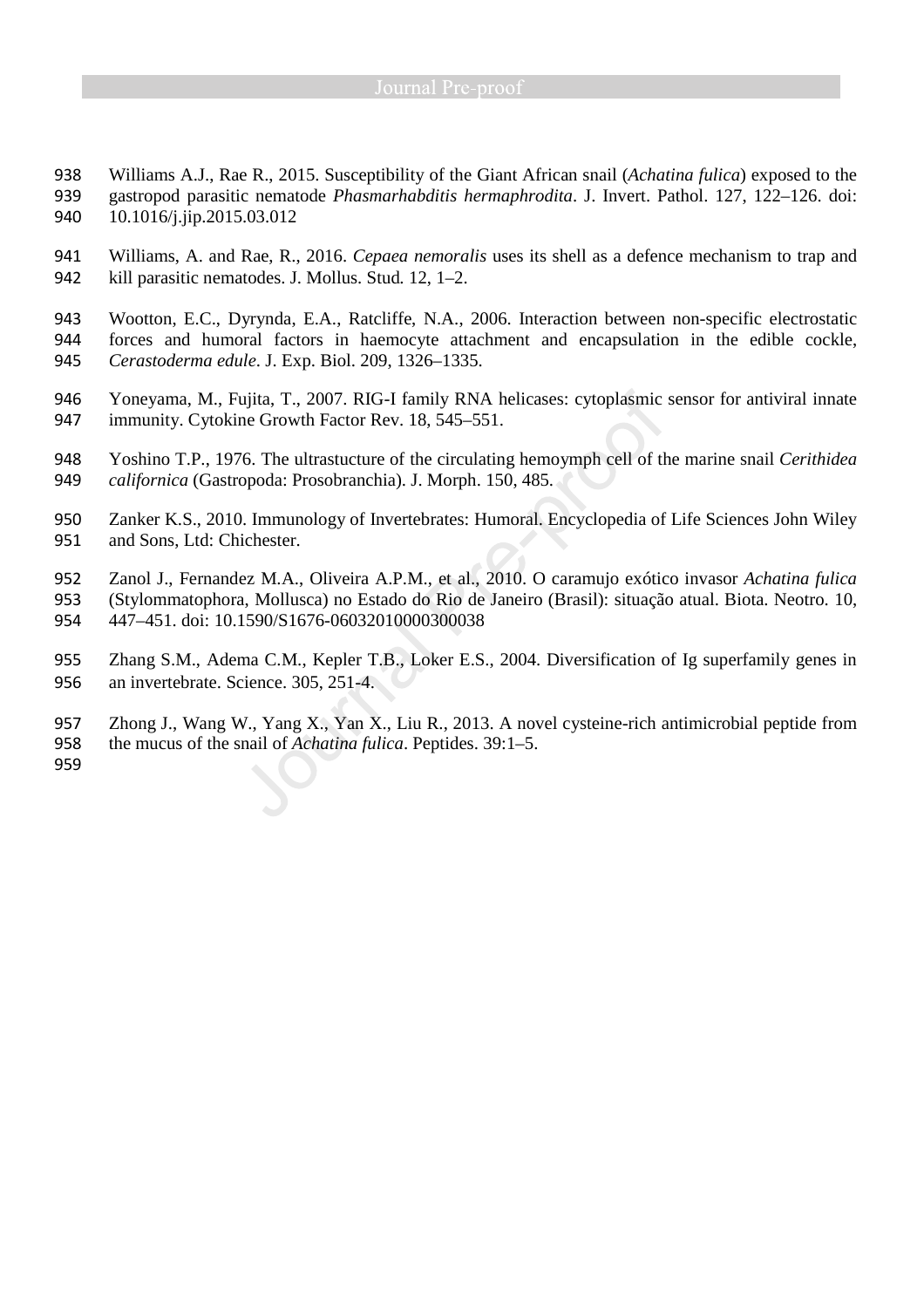- Williams A.J., Rae R., 2015. Susceptibility of the Giant African snail (*Achatina fulica*) exposed to the gastropod parasitic nematode *Phasmarhabditis hermaphrodita*. J. Invert. Pathol. 127, 122–126. doi: 10.1016/j.jip.2015.03.012
- Williams, A. and Rae, R., 2016. *Cepaea nemoralis* uses its shell as a defence mechanism to trap and kill parasitic nematodes. J. Mollus. Stud*.* 12, 1–2.
- Wootton, E.C., Dyrynda, E.A., Ratcliffe, N.A., 2006. Interaction between non-specific electrostatic forces and humoral factors in haemocyte attachment and encapsulation in the edible cockle, *Cerastoderma edule*. J. Exp. Biol. 209, 1326–1335.
- Yoneyama, M., Fujita, T., 2007. RIG-I family RNA helicases: cytoplasmic sensor for antiviral innate immunity. Cytokine Growth Factor Rev. 18, 545–551.
- Yoshino T.P., 1976. The ultrastucture of the circulating hemoymph cell of the marine snail *Cerithidea californica* (Gastropoda: Prosobranchia). J. Morph. 150, 485.
- Zanker K.S., 2010. Immunology of Invertebrates: Humoral. Encyclopedia of Life Sciences John Wiley and Sons, Ltd: Chichester.
- Zanol J., Fernandez M.A., Oliveira A.P.M., et al., 2010. O caramujo exótico invasor *Achatina fulica*  (Stylommatophora, Mollusca) no Estado do Rio de Janeiro (Brasil): situação atual. Biota. Neotro. 10, 447–451. doi: 10.1590/S1676-06032010000300038
- Zhang S.M., Adema C.M., Kepler T.B., Loker E.S., 2004. Diversification of Ig superfamily genes in an invertebrate. Science. 305, 251-4.
- Zhong J., Wang W., Yang X., Yan X., Liu R., 2013. A novel cysteine-rich antimicrobial peptide from the mucus of the snail of *Achatina fulica*. Peptides. 39:1–5.
-